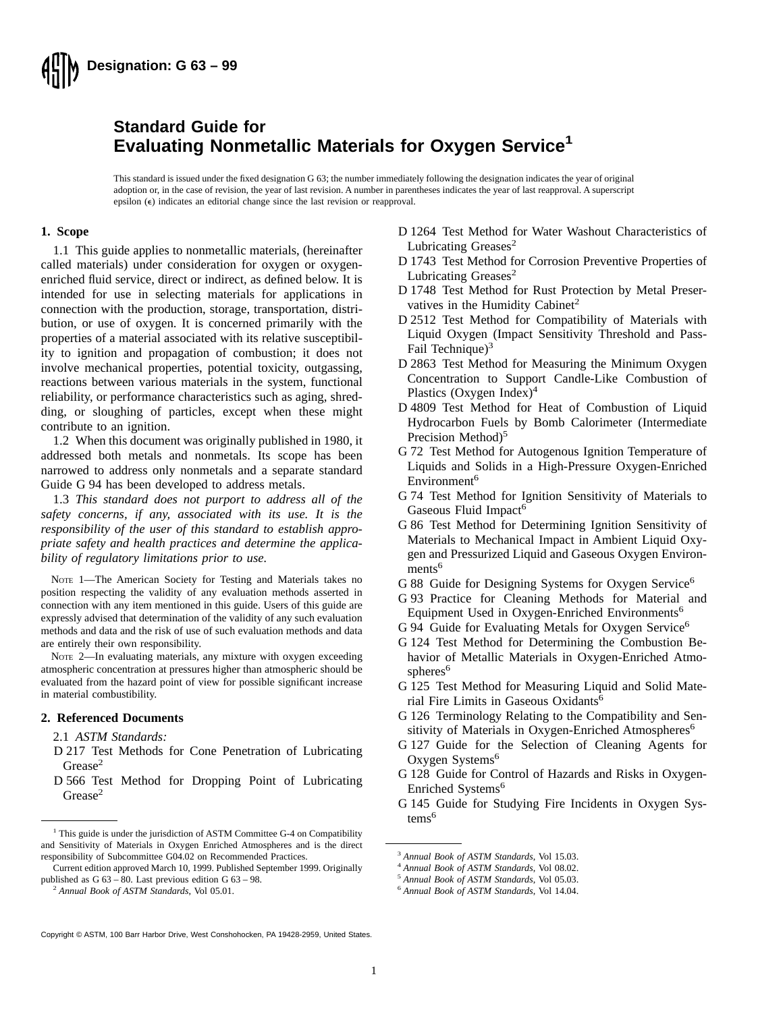

### **Standard Guide for Evaluating Nonmetallic Materials for Oxygen Service<sup>1</sup>**

This standard is issued under the fixed designation G 63; the number immediately following the designation indicates the year of original adoption or, in the case of revision, the year of last revision. A number in parentheses indicates the year of last reapproval. A superscript epsilon  $(\epsilon)$  indicates an editorial change since the last revision or reapproval.

#### **1. Scope**

1.1 This guide applies to nonmetallic materials, (hereinafter called materials) under consideration for oxygen or oxygenenriched fluid service, direct or indirect, as defined below. It is intended for use in selecting materials for applications in connection with the production, storage, transportation, distribution, or use of oxygen. It is concerned primarily with the properties of a material associated with its relative susceptibility to ignition and propagation of combustion; it does not involve mechanical properties, potential toxicity, outgassing, reactions between various materials in the system, functional reliability, or performance characteristics such as aging, shredding, or sloughing of particles, except when these might contribute to an ignition.

1.2 When this document was originally published in 1980, it addressed both metals and nonmetals. Its scope has been narrowed to address only nonmetals and a separate standard Guide G 94 has been developed to address metals.

1.3 *This standard does not purport to address all of the safety concerns, if any, associated with its use. It is the responsibility of the user of this standard to establish appropriate safety and health practices and determine the applicability of regulatory limitations prior to use.*

NOTE 1—The American Society for Testing and Materials takes no position respecting the validity of any evaluation methods asserted in connection with any item mentioned in this guide. Users of this guide are expressly advised that determination of the validity of any such evaluation methods and data and the risk of use of such evaluation methods and data are entirely their own responsibility.

NOTE 2—In evaluating materials, any mixture with oxygen exceeding atmospheric concentration at pressures higher than atmospheric should be evaluated from the hazard point of view for possible significant increase in material combustibility.

#### **2. Referenced Documents**

#### 2.1 *ASTM Standards:*

- D 217 Test Methods for Cone Penetration of Lubricating Grease<sup>2</sup>
- D 566 Test Method for Dropping Point of Lubricating Grease<sup>2</sup>
- D 1264 Test Method for Water Washout Characteristics of Lubricating Greases<sup>2</sup>
- D 1743 Test Method for Corrosion Preventive Properties of Lubricating Greases<sup>2</sup>
- D 1748 Test Method for Rust Protection by Metal Preservatives in the Humidity Cabinet<sup>2</sup>
- D 2512 Test Method for Compatibility of Materials with Liquid Oxygen (Impact Sensitivity Threshold and Pass-Fail Technique $3<sup>3</sup>$
- D 2863 Test Method for Measuring the Minimum Oxygen Concentration to Support Candle-Like Combustion of Plastics (Oxygen Index)<sup>4</sup>
- D 4809 Test Method for Heat of Combustion of Liquid Hydrocarbon Fuels by Bomb Calorimeter (Intermediate Precision Method)<sup>5</sup>
- G 72 Test Method for Autogenous Ignition Temperature of Liquids and Solids in a High-Pressure Oxygen-Enriched Environment<sup>6</sup>
- G 74 Test Method for Ignition Sensitivity of Materials to Gaseous Fluid Impact<sup>6</sup>
- G 86 Test Method for Determining Ignition Sensitivity of Materials to Mechanical Impact in Ambient Liquid Oxygen and Pressurized Liquid and Gaseous Oxygen Environments<sup>6</sup>
- G 88 Guide for Designing Systems for Oxygen Service<sup>6</sup>
- G 93 Practice for Cleaning Methods for Material and Equipment Used in Oxygen-Enriched Environments<sup>6</sup>
- G 94 Guide for Evaluating Metals for Oxygen Service<sup>6</sup>
- G 124 Test Method for Determining the Combustion Behavior of Metallic Materials in Oxygen-Enriched Atmospheres<sup>6</sup>
- G 125 Test Method for Measuring Liquid and Solid Material Fire Limits in Gaseous Oxidants<sup>6</sup>
- G 126 Terminology Relating to the Compatibility and Sensitivity of Materials in Oxygen-Enriched Atmospheres<sup>6</sup>
- G 127 Guide for the Selection of Cleaning Agents for Oxygen Systems<sup>6</sup>
- G 128 Guide for Control of Hazards and Risks in Oxygen-Enriched Systems<sup>6</sup>
- G 145 Guide for Studying Fire Incidents in Oxygen Systems<sup>6</sup>

Copyright © ASTM, 100 Barr Harbor Drive, West Conshohocken, PA 19428-2959, United States.

<sup>&</sup>lt;sup>1</sup> This guide is under the jurisdiction of ASTM Committee G-4 on Compatibility and Sensitivity of Materials in Oxygen Enriched Atmospheres and is the direct responsibility of Subcommittee G04.02 on Recommended Practices.

Current edition approved March 10, 1999. Published September 1999. Originally published as G 63 – 80. Last previous edition G 63 – 98.

<sup>2</sup> *Annual Book of ASTM Standards*, Vol 05.01.

<sup>3</sup> *Annual Book of ASTM Standards*, Vol 15.03.

<sup>4</sup> *Annual Book of ASTM Standards*, Vol 08.02.

<sup>5</sup> *Annual Book of ASTM Standards*, Vol 05.03.

<sup>6</sup> *Annual Book of ASTM Standards*, Vol 14.04.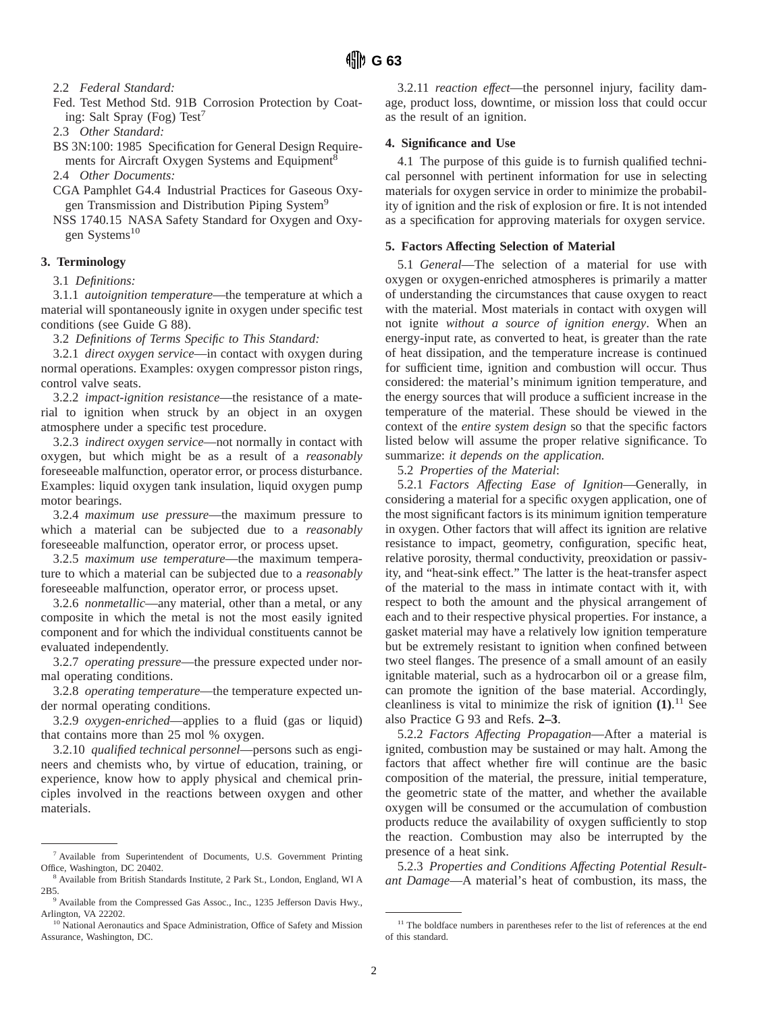2.2 *Federal Standard:*

Fed. Test Method Std. 91B Corrosion Protection by Coating: Salt Spray (Fog) Test<sup>7</sup>

2.3 *Other Standard:*

BS 3N:100: 1985 Specification for General Design Requirements for Aircraft Oxygen Systems and Equipment<sup>8</sup>

2.4 *Other Documents:*

CGA Pamphlet G4.4 Industrial Practices for Gaseous Oxygen Transmission and Distribution Piping System<sup>9</sup>

NSS 1740.15 NASA Safety Standard for Oxygen and Oxygen Systems<sup>10</sup>

#### **3. Terminology**

3.1 *Definitions:*

3.1.1 *autoignition temperature*—the temperature at which a material will spontaneously ignite in oxygen under specific test conditions (see Guide G 88).

3.2 *Definitions of Terms Specific to This Standard:*

3.2.1 *direct oxygen service*—in contact with oxygen during normal operations. Examples: oxygen compressor piston rings, control valve seats.

3.2.2 *impact-ignition resistance*—the resistance of a material to ignition when struck by an object in an oxygen atmosphere under a specific test procedure.

3.2.3 *indirect oxygen service*—not normally in contact with oxygen, but which might be as a result of a *reasonably* foreseeable malfunction, operator error, or process disturbance. Examples: liquid oxygen tank insulation, liquid oxygen pump motor bearings.

3.2.4 *maximum use pressure*—the maximum pressure to which a material can be subjected due to a *reasonably* foreseeable malfunction, operator error, or process upset.

3.2.5 *maximum use temperature*—the maximum temperature to which a material can be subjected due to a *reasonably* foreseeable malfunction, operator error, or process upset.

3.2.6 *nonmetallic*—any material, other than a metal, or any composite in which the metal is not the most easily ignited component and for which the individual constituents cannot be evaluated independently.

3.2.7 *operating pressure*—the pressure expected under normal operating conditions.

3.2.8 *operating temperature*—the temperature expected under normal operating conditions.

3.2.9 *oxygen-enriched*—applies to a fluid (gas or liquid) that contains more than 25 mol % oxygen.

3.2.10 *qualified technical personnel*—persons such as engineers and chemists who, by virtue of education, training, or experience, know how to apply physical and chemical principles involved in the reactions between oxygen and other materials.

3.2.11 *reaction effect*—the personnel injury, facility damage, product loss, downtime, or mission loss that could occur as the result of an ignition.

#### **4. Significance and Use**

4.1 The purpose of this guide is to furnish qualified technical personnel with pertinent information for use in selecting materials for oxygen service in order to minimize the probability of ignition and the risk of explosion or fire. It is not intended as a specification for approving materials for oxygen service.

#### **5. Factors Affecting Selection of Material**

5.1 *General*—The selection of a material for use with oxygen or oxygen-enriched atmospheres is primarily a matter of understanding the circumstances that cause oxygen to react with the material. Most materials in contact with oxygen will not ignite *without a source of ignition energy*. When an energy-input rate, as converted to heat, is greater than the rate of heat dissipation, and the temperature increase is continued for sufficient time, ignition and combustion will occur. Thus considered: the material's minimum ignition temperature, and the energy sources that will produce a sufficient increase in the temperature of the material. These should be viewed in the context of the *entire system design* so that the specific factors listed below will assume the proper relative significance. To summarize: *it depends on the application.*

5.2 *Properties of the Material*:

5.2.1 *Factors Affecting Ease of Ignition*—Generally, in considering a material for a specific oxygen application, one of the most significant factors is its minimum ignition temperature in oxygen. Other factors that will affect its ignition are relative resistance to impact, geometry, configuration, specific heat, relative porosity, thermal conductivity, preoxidation or passivity, and "heat-sink effect." The latter is the heat-transfer aspect of the material to the mass in intimate contact with it, with respect to both the amount and the physical arrangement of each and to their respective physical properties. For instance, a gasket material may have a relatively low ignition temperature but be extremely resistant to ignition when confined between two steel flanges. The presence of a small amount of an easily ignitable material, such as a hydrocarbon oil or a grease film, can promote the ignition of the base material. Accordingly, cleanliness is vital to minimize the risk of ignition **(1)**. <sup>11</sup> See also Practice G 93 and Refs. **2–3**.

5.2.2 *Factors Affecting Propagation*—After a material is ignited, combustion may be sustained or may halt. Among the factors that affect whether fire will continue are the basic composition of the material, the pressure, initial temperature, the geometric state of the matter, and whether the available oxygen will be consumed or the accumulation of combustion products reduce the availability of oxygen sufficiently to stop the reaction. Combustion may also be interrupted by the presence of a heat sink.

5.2.3 *Properties and Conditions Affecting Potential Resultant Damage*—A material's heat of combustion, its mass, the

<sup>7</sup> Available from Superintendent of Documents, U.S. Government Printing Office, Washington, DC 20402.

<sup>8</sup> Available from British Standards Institute, 2 Park St., London, England, WI A 2B5.

<sup>9</sup> Available from the Compressed Gas Assoc., Inc., 1235 Jefferson Davis Hwy., Arlington, VA 22202.

<sup>&</sup>lt;sup>10</sup> National Aeronautics and Space Administration, Office of Safety and Mission Assurance, Washington, DC.

<sup>&</sup>lt;sup>11</sup> The boldface numbers in parentheses refer to the list of references at the end of this standard.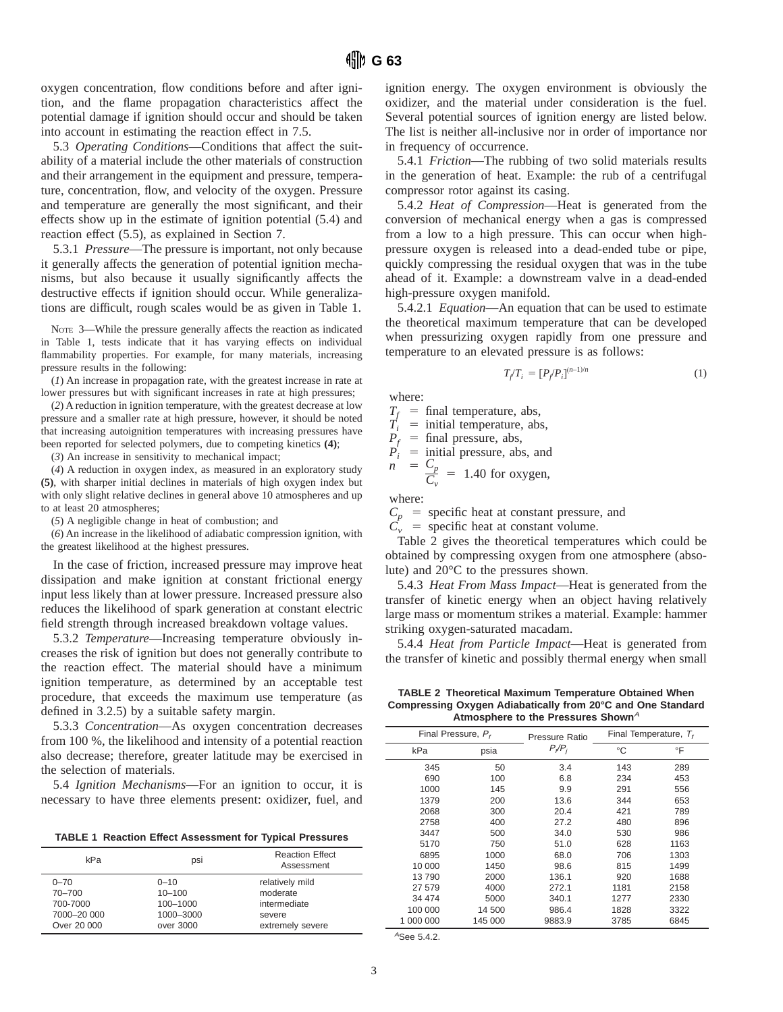oxygen concentration, flow conditions before and after ignition, and the flame propagation characteristics affect the potential damage if ignition should occur and should be taken into account in estimating the reaction effect in 7.5.

5.3 *Operating Conditions*—Conditions that affect the suitability of a material include the other materials of construction and their arrangement in the equipment and pressure, temperature, concentration, flow, and velocity of the oxygen. Pressure and temperature are generally the most significant, and their effects show up in the estimate of ignition potential (5.4) and reaction effect (5.5), as explained in Section 7.

5.3.1 *Pressure*—The pressure is important, not only because it generally affects the generation of potential ignition mechanisms, but also because it usually significantly affects the destructive effects if ignition should occur. While generalizations are difficult, rough scales would be as given in Table 1.

NOTE 3—While the pressure generally affects the reaction as indicated in Table 1, tests indicate that it has varying effects on individual flammability properties. For example, for many materials, increasing pressure results in the following:

(*1*) An increase in propagation rate, with the greatest increase in rate at lower pressures but with significant increases in rate at high pressures;

(*2*) A reduction in ignition temperature, with the greatest decrease at low pressure and a smaller rate at high pressure, however, it should be noted that increasing autoignition temperatures with increasing pressures have been reported for selected polymers, due to competing kinetics **(4)**;

(*3*) An increase in sensitivity to mechanical impact;

(*4*) A reduction in oxygen index, as measured in an exploratory study **(5)**, with sharper initial declines in materials of high oxygen index but with only slight relative declines in general above 10 atmospheres and up to at least 20 atmospheres;

(*5*) A negligible change in heat of combustion; and

(*6*) An increase in the likelihood of adiabatic compression ignition, with the greatest likelihood at the highest pressures.

In the case of friction, increased pressure may improve heat dissipation and make ignition at constant frictional energy input less likely than at lower pressure. Increased pressure also reduces the likelihood of spark generation at constant electric field strength through increased breakdown voltage values.

5.3.2 *Temperature*—Increasing temperature obviously increases the risk of ignition but does not generally contribute to the reaction effect. The material should have a minimum ignition temperature, as determined by an acceptable test procedure, that exceeds the maximum use temperature (as defined in 3.2.5) by a suitable safety margin.

5.3.3 *Concentration*—As oxygen concentration decreases from 100 %, the likelihood and intensity of a potential reaction also decrease; therefore, greater latitude may be exercised in the selection of materials.

5.4 *Ignition Mechanisms*—For an ignition to occur, it is necessary to have three elements present: oxidizer, fuel, and

**TABLE 1 Reaction Effect Assessment for Typical Pressures**

| kPa         | DSİ        | <b>Reaction Effect</b><br>Assessment |
|-------------|------------|--------------------------------------|
| $0 - 70$    | $0 - 10$   | relatively mild                      |
| 70-700      | $10 - 100$ | moderate                             |
| 700-7000    | 100-1000   | intermediate                         |
| 7000-20 000 | 1000-3000  | severe                               |
| Over 20 000 | over 3000  | extremely severe                     |

ignition energy. The oxygen environment is obviously the oxidizer, and the material under consideration is the fuel. Several potential sources of ignition energy are listed below. The list is neither all-inclusive nor in order of importance nor in frequency of occurrence.

5.4.1 *Friction*—The rubbing of two solid materials results in the generation of heat. Example: the rub of a centrifugal compressor rotor against its casing.

5.4.2 *Heat of Compression*—Heat is generated from the conversion of mechanical energy when a gas is compressed from a low to a high pressure. This can occur when highpressure oxygen is released into a dead-ended tube or pipe, quickly compressing the residual oxygen that was in the tube ahead of it. Example: a downstream valve in a dead-ended high-pressure oxygen manifold.

5.4.2.1 *Equation*—An equation that can be used to estimate the theoretical maximum temperature that can be developed when pressurizing oxygen rapidly from one pressure and temperature to an elevated pressure is as follows:

$$
T_f / T_i = [P_f / P_i]^{(n-1)/n}
$$
 (1)

where:

 $T_f$  = final temperature, abs,

 $\tilde{T}_i$  = initial temperature, abs,

 $P_f$  = final pressure, abs,  $P_i$  = initial pressure, abs, and  $- C$ 

$$
-\frac{C_p}{C_v} = 1.40 \text{ for oxygen},
$$

where:

 $C_p$  = specific heat at constant pressure, and

 $C_v$  = specific heat at constant volume.

Table 2 gives the theoretical temperatures which could be obtained by compressing oxygen from one atmosphere (absolute) and 20°C to the pressures shown.

5.4.3 *Heat From Mass Impact*—Heat is generated from the transfer of kinetic energy when an object having relatively large mass or momentum strikes a material. Example: hammer striking oxygen-saturated macadam.

5.4.4 *Heat from Particle Impact*—Heat is generated from the transfer of kinetic and possibly thermal energy when small

**TABLE 2 Theoretical Maximum Temperature Obtained When Compressing Oxygen Adiabatically from 20°C and One Standard** Atmosphere to the Pressures Shown<sup>A</sup>

|           | Final Pressure, P, | Pressure Ratio |      | Final Temperature, $T_t$ |
|-----------|--------------------|----------------|------|--------------------------|
| kPa       | psia               | $P_{i}/P_{i}$  | °C   | °F                       |
| 345       | 50                 | 3.4            | 143  | 289                      |
| 690       | 100                | 6.8            | 234  | 453                      |
| 1000      | 145                | 9.9            | 291  | 556                      |
| 1379      | 200                | 13.6           | 344  | 653                      |
| 2068      | 300                | 20.4           | 421  | 789                      |
| 2758      | 400                | 27.2           | 480  | 896                      |
| 3447      | 500                | 34.0           | 530  | 986                      |
| 5170      | 750                | 51.0           | 628  | 1163                     |
| 6895      | 1000               | 68.0           | 706  | 1303                     |
| 10 000    | 1450               | 98.6           | 815  | 1499                     |
| 13790     | 2000               | 136.1          | 920  | 1688                     |
| 27 579    | 4000               | 272.1          | 1181 | 2158                     |
| 34 474    | 5000               | 340.1          | 1277 | 2330                     |
| 100 000   | 14 500             | 986.4          | 1828 | 3322                     |
| 1 000 000 | 145 000            | 9883.9         | 3785 | 6845                     |

<sup>A</sup>See 5.4.2.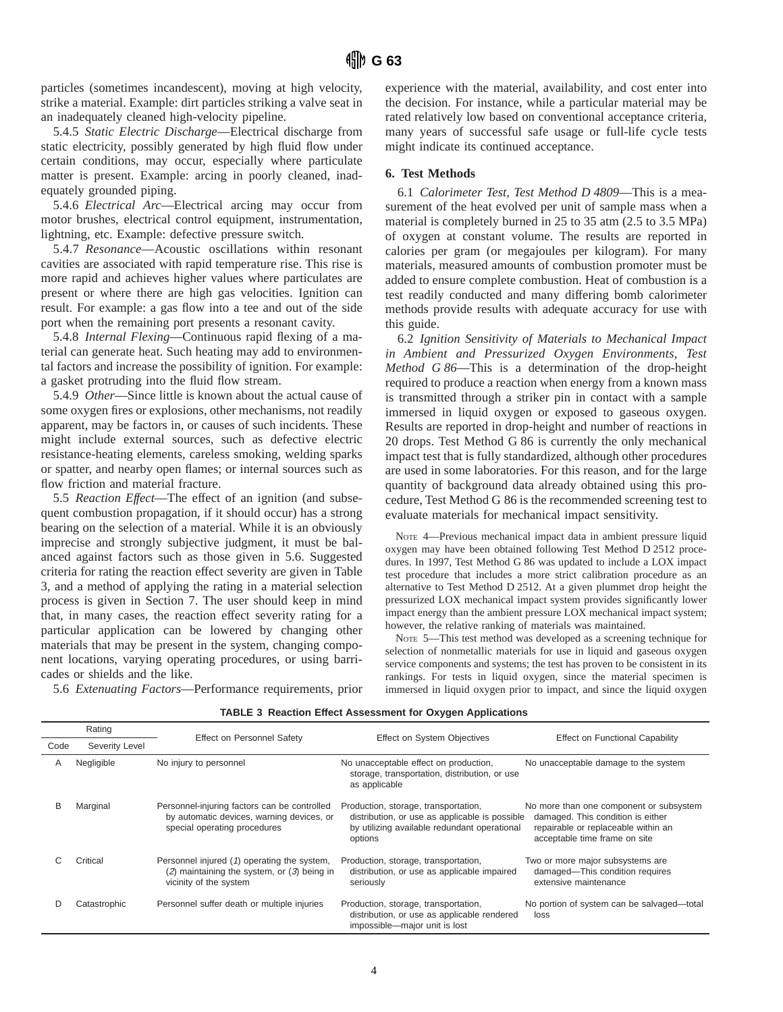particles (sometimes incandescent), moving at high velocity, strike a material. Example: dirt particles striking a valve seat in an inadequately cleaned high-velocity pipeline.

5.4.5 *Static Electric Discharge*—Electrical discharge from static electricity, possibly generated by high fluid flow under certain conditions, may occur, especially where particulate matter is present. Example: arcing in poorly cleaned, inadequately grounded piping.

5.4.6 *Electrical Arc*—Electrical arcing may occur from motor brushes, electrical control equipment, instrumentation, lightning, etc. Example: defective pressure switch.

5.4.7 *Resonance*—Acoustic oscillations within resonant cavities are associated with rapid temperature rise. This rise is more rapid and achieves higher values where particulates are present or where there are high gas velocities. Ignition can result. For example: a gas flow into a tee and out of the side port when the remaining port presents a resonant cavity.

5.4.8 *Internal Flexing*—Continuous rapid flexing of a material can generate heat. Such heating may add to environmental factors and increase the possibility of ignition. For example: a gasket protruding into the fluid flow stream.

5.4.9 *Other*—Since little is known about the actual cause of some oxygen fires or explosions, other mechanisms, not readily apparent, may be factors in, or causes of such incidents. These might include external sources, such as defective electric resistance-heating elements, careless smoking, welding sparks or spatter, and nearby open flames; or internal sources such as flow friction and material fracture.

5.5 *Reaction Effect*—The effect of an ignition (and subsequent combustion propagation, if it should occur) has a strong bearing on the selection of a material. While it is an obviously imprecise and strongly subjective judgment, it must be balanced against factors such as those given in 5.6. Suggested criteria for rating the reaction effect severity are given in Table 3, and a method of applying the rating in a material selection process is given in Section 7. The user should keep in mind that, in many cases, the reaction effect severity rating for a particular application can be lowered by changing other materials that may be present in the system, changing component locations, varying operating procedures, or using barricades or shields and the like.

experience with the material, availability, and cost enter into the decision. For instance, while a particular material may be rated relatively low based on conventional acceptance criteria, many years of successful safe usage or full-life cycle tests might indicate its continued acceptance.

#### **6. Test Methods**

6.1 *Calorimeter Test, Test Method D 4809*—This is a measurement of the heat evolved per unit of sample mass when a material is completely burned in 25 to 35 atm (2.5 to 3.5 MPa) of oxygen at constant volume. The results are reported in calories per gram (or megajoules per kilogram). For many materials, measured amounts of combustion promoter must be added to ensure complete combustion. Heat of combustion is a test readily conducted and many differing bomb calorimeter methods provide results with adequate accuracy for use with this guide.

6.2 *Ignition Sensitivity of Materials to Mechanical Impact in Ambient and Pressurized Oxygen Environments, Test Method G 86*—This is a determination of the drop-height required to produce a reaction when energy from a known mass is transmitted through a striker pin in contact with a sample immersed in liquid oxygen or exposed to gaseous oxygen. Results are reported in drop-height and number of reactions in 20 drops. Test Method G 86 is currently the only mechanical impact test that is fully standardized, although other procedures are used in some laboratories. For this reason, and for the large quantity of background data already obtained using this procedure, Test Method G 86 is the recommended screening test to evaluate materials for mechanical impact sensitivity.

NOTE 4—Previous mechanical impact data in ambient pressure liquid oxygen may have been obtained following Test Method D 2512 procedures. In 1997, Test Method G 86 was updated to include a LOX impact test procedure that includes a more strict calibration procedure as an alternative to Test Method D 2512. At a given plummet drop height the pressurized LOX mechanical impact system provides significantly lower impact energy than the ambient pressure LOX mechanical impact system; however, the relative ranking of materials was maintained.

NOTE 5—This test method was developed as a screening technique for selection of nonmetallic materials for use in liquid and gaseous oxygen service components and systems; the test has proven to be consistent in its rankings. For tests in liquid oxygen, since the material specimen is immersed in liquid oxygen prior to impact, and since the liquid oxygen

5.6 *Extenuating Factors*—Performance requirements, prior

|      | Rating<br>Effect on Personnel Safety |                                                                                                                           | <b>Effect on System Objectives</b>                                                                                                                | <b>Effect on Functional Capability</b>                                                                                                               |  |
|------|--------------------------------------|---------------------------------------------------------------------------------------------------------------------------|---------------------------------------------------------------------------------------------------------------------------------------------------|------------------------------------------------------------------------------------------------------------------------------------------------------|--|
| Code | Severity Level                       |                                                                                                                           |                                                                                                                                                   |                                                                                                                                                      |  |
| A    | Negligible                           | No injury to personnel                                                                                                    | No unacceptable effect on production,<br>storage, transportation, distribution, or use<br>as applicable                                           | No unacceptable damage to the system                                                                                                                 |  |
|      | Marginal                             | Personnel-injuring factors can be controlled<br>by automatic devices, warning devices, or<br>special operating procedures | Production, storage, transportation,<br>distribution, or use as applicable is possible<br>by utilizing available redundant operational<br>options | No more than one component or subsystem<br>damaged. This condition is either<br>repairable or replaceable within an<br>acceptable time frame on site |  |
|      | Critical                             | Personnel injured (1) operating the system,<br>$(2)$ maintaining the system, or $(3)$ being in<br>vicinity of the system  | Production, storage, transportation,<br>distribution, or use as applicable impaired<br>seriously                                                  | Two or more major subsystems are<br>damaged-This condition requires<br>extensive maintenance                                                         |  |
|      | Catastrophic                         | Personnel suffer death or multiple injuries                                                                               | Production, storage, transportation,<br>distribution, or use as applicable rendered<br>impossible-major unit is lost                              | No portion of system can be salvaged-total<br>loss                                                                                                   |  |

**TABLE 3 Reaction Effect Assessment for Oxygen Applications**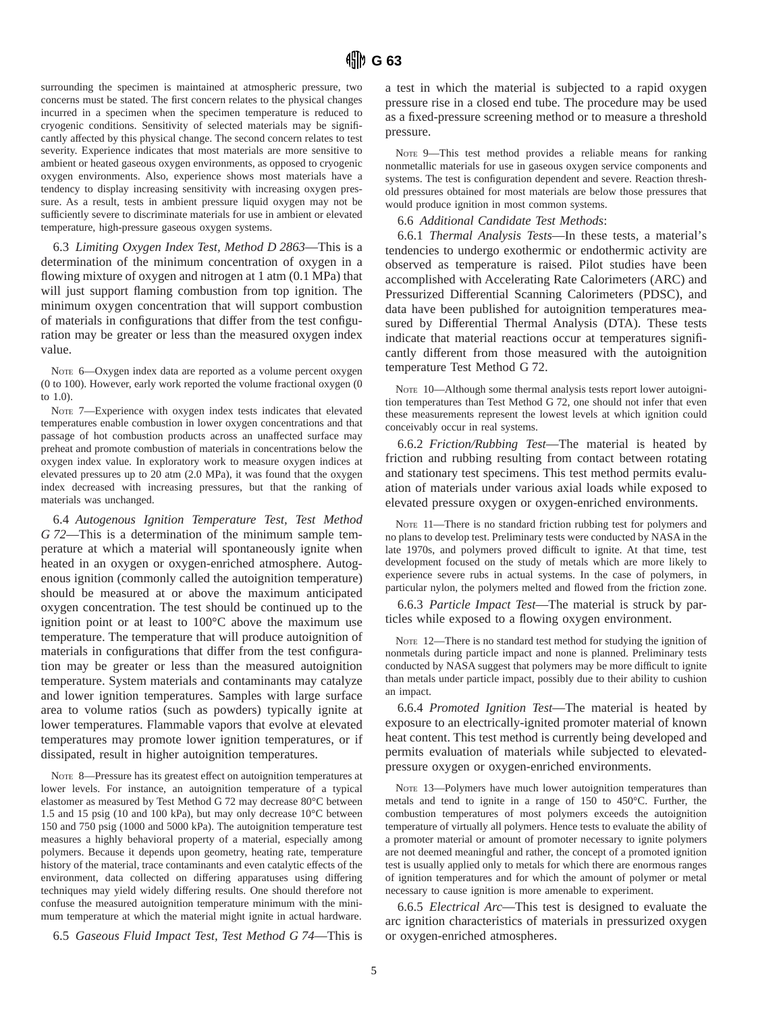surrounding the specimen is maintained at atmospheric pressure, two concerns must be stated. The first concern relates to the physical changes incurred in a specimen when the specimen temperature is reduced to cryogenic conditions. Sensitivity of selected materials may be significantly affected by this physical change. The second concern relates to test severity. Experience indicates that most materials are more sensitive to ambient or heated gaseous oxygen environments, as opposed to cryogenic oxygen environments. Also, experience shows most materials have a tendency to display increasing sensitivity with increasing oxygen pressure. As a result, tests in ambient pressure liquid oxygen may not be sufficiently severe to discriminate materials for use in ambient or elevated temperature, high-pressure gaseous oxygen systems.

6.3 *Limiting Oxygen Index Test, Method D 2863*—This is a determination of the minimum concentration of oxygen in a flowing mixture of oxygen and nitrogen at 1 atm (0.1 MPa) that will just support flaming combustion from top ignition. The minimum oxygen concentration that will support combustion of materials in configurations that differ from the test configuration may be greater or less than the measured oxygen index value.

Note 6—Oxygen index data are reported as a volume percent oxygen (0 to 100). However, early work reported the volume fractional oxygen (0 to 1.0).

NOTE 7—Experience with oxygen index tests indicates that elevated temperatures enable combustion in lower oxygen concentrations and that passage of hot combustion products across an unaffected surface may preheat and promote combustion of materials in concentrations below the oxygen index value. In exploratory work to measure oxygen indices at elevated pressures up to 20 atm (2.0 MPa), it was found that the oxygen index decreased with increasing pressures, but that the ranking of materials was unchanged.

6.4 *Autogenous Ignition Temperature Test, Test Method G 72*—This is a determination of the minimum sample temperature at which a material will spontaneously ignite when heated in an oxygen or oxygen-enriched atmosphere. Autogenous ignition (commonly called the autoignition temperature) should be measured at or above the maximum anticipated oxygen concentration. The test should be continued up to the ignition point or at least to 100°C above the maximum use temperature. The temperature that will produce autoignition of materials in configurations that differ from the test configuration may be greater or less than the measured autoignition temperature. System materials and contaminants may catalyze and lower ignition temperatures. Samples with large surface area to volume ratios (such as powders) typically ignite at lower temperatures. Flammable vapors that evolve at elevated temperatures may promote lower ignition temperatures, or if dissipated, result in higher autoignition temperatures.

NOTE 8—Pressure has its greatest effect on autoignition temperatures at lower levels. For instance, an autoignition temperature of a typical elastomer as measured by Test Method G 72 may decrease 80°C between 1.5 and 15 psig (10 and 100 kPa), but may only decrease 10°C between 150 and 750 psig (1000 and 5000 kPa). The autoignition temperature test measures a highly behavioral property of a material, especially among polymers. Because it depends upon geometry, heating rate, temperature history of the material, trace contaminants and even catalytic effects of the environment, data collected on differing apparatuses using differing techniques may yield widely differing results. One should therefore not confuse the measured autoignition temperature minimum with the minimum temperature at which the material might ignite in actual hardware.

6.5 *Gaseous Fluid Impact Test, Test Method G 74*—This is

a test in which the material is subjected to a rapid oxygen pressure rise in a closed end tube. The procedure may be used as a fixed-pressure screening method or to measure a threshold pressure.

NOTE 9—This test method provides a reliable means for ranking nonmetallic materials for use in gaseous oxygen service components and systems. The test is configuration dependent and severe. Reaction threshold pressures obtained for most materials are below those pressures that would produce ignition in most common systems.

6.6 *Additional Candidate Test Methods*:

6.6.1 *Thermal Analysis Tests*—In these tests, a material's tendencies to undergo exothermic or endothermic activity are observed as temperature is raised. Pilot studies have been accomplished with Accelerating Rate Calorimeters (ARC) and Pressurized Differential Scanning Calorimeters (PDSC), and data have been published for autoignition temperatures measured by Differential Thermal Analysis (DTA). These tests indicate that material reactions occur at temperatures significantly different from those measured with the autoignition temperature Test Method G 72.

NOTE 10-Although some thermal analysis tests report lower autoignition temperatures than Test Method G 72, one should not infer that even these measurements represent the lowest levels at which ignition could conceivably occur in real systems.

6.6.2 *Friction/Rubbing Test*—The material is heated by friction and rubbing resulting from contact between rotating and stationary test specimens. This test method permits evaluation of materials under various axial loads while exposed to elevated pressure oxygen or oxygen-enriched environments.

NOTE 11-There is no standard friction rubbing test for polymers and no plans to develop test. Preliminary tests were conducted by NASA in the late 1970s, and polymers proved difficult to ignite. At that time, test development focused on the study of metals which are more likely to experience severe rubs in actual systems. In the case of polymers, in particular nylon, the polymers melted and flowed from the friction zone.

6.6.3 *Particle Impact Test*—The material is struck by particles while exposed to a flowing oxygen environment.

NOTE 12—There is no standard test method for studying the ignition of nonmetals during particle impact and none is planned. Preliminary tests conducted by NASA suggest that polymers may be more difficult to ignite than metals under particle impact, possibly due to their ability to cushion an impact.

6.6.4 *Promoted Ignition Test*—The material is heated by exposure to an electrically-ignited promoter material of known heat content. This test method is currently being developed and permits evaluation of materials while subjected to elevatedpressure oxygen or oxygen-enriched environments.

NOTE 13—Polymers have much lower autoignition temperatures than metals and tend to ignite in a range of 150 to 450°C. Further, the combustion temperatures of most polymers exceeds the autoignition temperature of virtually all polymers. Hence tests to evaluate the ability of a promoter material or amount of promoter necessary to ignite polymers are not deemed meaningful and rather, the concept of a promoted ignition test is usually applied only to metals for which there are enormous ranges of ignition temperatures and for which the amount of polymer or metal necessary to cause ignition is more amenable to experiment.

6.6.5 *Electrical Arc*—This test is designed to evaluate the arc ignition characteristics of materials in pressurized oxygen or oxygen-enriched atmospheres.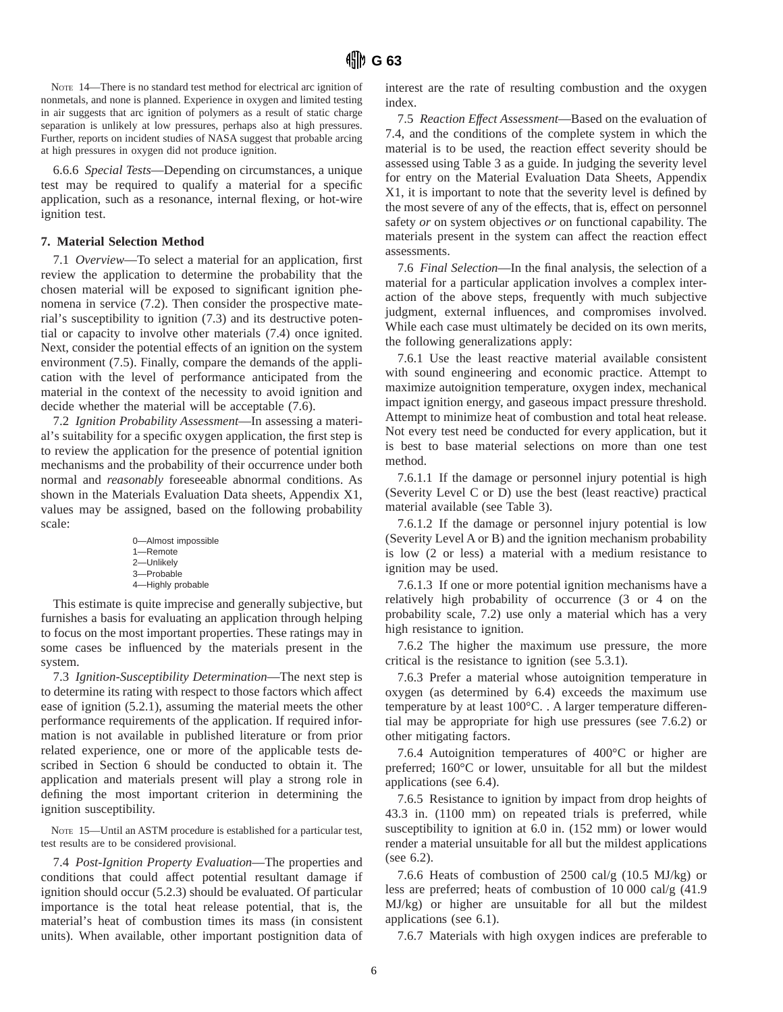NOTE 14—There is no standard test method for electrical arc ignition of nonmetals, and none is planned. Experience in oxygen and limited testing in air suggests that arc ignition of polymers as a result of static charge separation is unlikely at low pressures, perhaps also at high pressures. Further, reports on incident studies of NASA suggest that probable arcing at high pressures in oxygen did not produce ignition.

6.6.6 *Special Tests*—Depending on circumstances, a unique test may be required to qualify a material for a specific application, such as a resonance, internal flexing, or hot-wire ignition test.

#### **7. Material Selection Method**

7.1 *Overview*—To select a material for an application, first review the application to determine the probability that the chosen material will be exposed to significant ignition phenomena in service (7.2). Then consider the prospective material's susceptibility to ignition (7.3) and its destructive potential or capacity to involve other materials (7.4) once ignited. Next, consider the potential effects of an ignition on the system environment (7.5). Finally, compare the demands of the application with the level of performance anticipated from the material in the context of the necessity to avoid ignition and decide whether the material will be acceptable (7.6).

7.2 *Ignition Probability Assessment*—In assessing a material's suitability for a specific oxygen application, the first step is to review the application for the presence of potential ignition mechanisms and the probability of their occurrence under both normal and *reasonably* foreseeable abnormal conditions. As shown in the Materials Evaluation Data sheets, Appendix X1, values may be assigned, based on the following probability scale:

| 0-Almost impossible |
|---------------------|
| 1-Remote            |
| 2-Unlikely          |
| 3-Probable          |
| 4-Highly probable   |

This estimate is quite imprecise and generally subjective, but furnishes a basis for evaluating an application through helping to focus on the most important properties. These ratings may in some cases be influenced by the materials present in the system.

7.3 *Ignition-Susceptibility Determination*—The next step is to determine its rating with respect to those factors which affect ease of ignition (5.2.1), assuming the material meets the other performance requirements of the application. If required information is not available in published literature or from prior related experience, one or more of the applicable tests described in Section 6 should be conducted to obtain it. The application and materials present will play a strong role in defining the most important criterion in determining the ignition susceptibility.

NOTE 15—Until an ASTM procedure is established for a particular test, test results are to be considered provisional.

7.4 *Post-Ignition Property Evaluation*—The properties and conditions that could affect potential resultant damage if ignition should occur (5.2.3) should be evaluated. Of particular importance is the total heat release potential, that is, the material's heat of combustion times its mass (in consistent units). When available, other important postignition data of interest are the rate of resulting combustion and the oxygen index.

7.5 *Reaction Effect Assessment*—Based on the evaluation of 7.4, and the conditions of the complete system in which the material is to be used, the reaction effect severity should be assessed using Table 3 as a guide. In judging the severity level for entry on the Material Evaluation Data Sheets, Appendix X1, it is important to note that the severity level is defined by the most severe of any of the effects, that is, effect on personnel safety *or* on system objectives *or* on functional capability. The materials present in the system can affect the reaction effect assessments.

7.6 *Final Selection*—In the final analysis, the selection of a material for a particular application involves a complex interaction of the above steps, frequently with much subjective judgment, external influences, and compromises involved. While each case must ultimately be decided on its own merits, the following generalizations apply:

7.6.1 Use the least reactive material available consistent with sound engineering and economic practice. Attempt to maximize autoignition temperature, oxygen index, mechanical impact ignition energy, and gaseous impact pressure threshold. Attempt to minimize heat of combustion and total heat release. Not every test need be conducted for every application, but it is best to base material selections on more than one test method.

7.6.1.1 If the damage or personnel injury potential is high (Severity Level C or D) use the best (least reactive) practical material available (see Table 3).

7.6.1.2 If the damage or personnel injury potential is low (Severity Level A or B) and the ignition mechanism probability is low (2 or less) a material with a medium resistance to ignition may be used.

7.6.1.3 If one or more potential ignition mechanisms have a relatively high probability of occurrence (3 or 4 on the probability scale, 7.2) use only a material which has a very high resistance to ignition.

7.6.2 The higher the maximum use pressure, the more critical is the resistance to ignition (see 5.3.1).

7.6.3 Prefer a material whose autoignition temperature in oxygen (as determined by 6.4) exceeds the maximum use temperature by at least 100°C. . A larger temperature differential may be appropriate for high use pressures (see 7.6.2) or other mitigating factors.

7.6.4 Autoignition temperatures of 400°C or higher are preferred; 160°C or lower, unsuitable for all but the mildest applications (see 6.4).

7.6.5 Resistance to ignition by impact from drop heights of 43.3 in. (1100 mm) on repeated trials is preferred, while susceptibility to ignition at 6.0 in. (152 mm) or lower would render a material unsuitable for all but the mildest applications (see 6.2).

7.6.6 Heats of combustion of 2500 cal/g (10.5 MJ/kg) or less are preferred; heats of combustion of 10 000 cal/g (41.9 MJ/kg) or higher are unsuitable for all but the mildest applications (see 6.1).

7.6.7 Materials with high oxygen indices are preferable to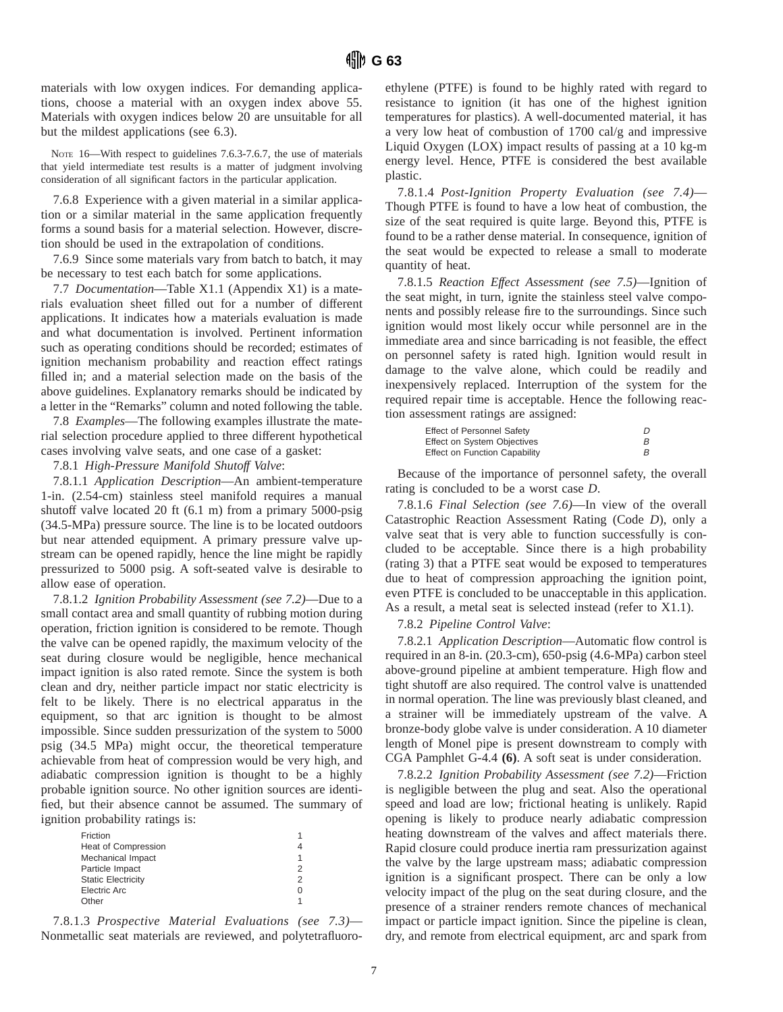materials with low oxygen indices. For demanding applications, choose a material with an oxygen index above 55. Materials with oxygen indices below 20 are unsuitable for all but the mildest applications (see 6.3).

NOTE 16—With respect to guidelines 7.6.3-7.6.7, the use of materials that yield intermediate test results is a matter of judgment involving consideration of all significant factors in the particular application.

7.6.8 Experience with a given material in a similar application or a similar material in the same application frequently forms a sound basis for a material selection. However, discretion should be used in the extrapolation of conditions.

7.6.9 Since some materials vary from batch to batch, it may be necessary to test each batch for some applications.

7.7 *Documentation*—Table X1.1 (Appendix X1) is a materials evaluation sheet filled out for a number of different applications. It indicates how a materials evaluation is made and what documentation is involved. Pertinent information such as operating conditions should be recorded; estimates of ignition mechanism probability and reaction effect ratings filled in; and a material selection made on the basis of the above guidelines. Explanatory remarks should be indicated by a letter in the "Remarks" column and noted following the table.

7.8 *Examples*—The following examples illustrate the material selection procedure applied to three different hypothetical cases involving valve seats, and one case of a gasket:

7.8.1 *High-Pressure Manifold Shutoff Valve*:

7.8.1.1 *Application Description*—An ambient-temperature 1-in. (2.54-cm) stainless steel manifold requires a manual shutoff valve located 20 ft (6.1 m) from a primary 5000-psig (34.5-MPa) pressure source. The line is to be located outdoors but near attended equipment. A primary pressure valve upstream can be opened rapidly, hence the line might be rapidly pressurized to 5000 psig. A soft-seated valve is desirable to allow ease of operation.

7.8.1.2 *Ignition Probability Assessment (see 7.2)*—Due to a small contact area and small quantity of rubbing motion during operation, friction ignition is considered to be remote. Though the valve can be opened rapidly, the maximum velocity of the seat during closure would be negligible, hence mechanical impact ignition is also rated remote. Since the system is both clean and dry, neither particle impact nor static electricity is felt to be likely. There is no electrical apparatus in the equipment, so that arc ignition is thought to be almost impossible. Since sudden pressurization of the system to 5000 psig (34.5 MPa) might occur, the theoretical temperature achievable from heat of compression would be very high, and adiabatic compression ignition is thought to be a highly probable ignition source. No other ignition sources are identified, but their absence cannot be assumed. The summary of ignition probability ratings is:

| Friction                   |                  |
|----------------------------|------------------|
| <b>Heat of Compression</b> |                  |
| Mechanical Impact          |                  |
| Particle Impact            | 2                |
| <b>Static Electricity</b>  | 2                |
| Electric Arc               | $\left( \right)$ |
| ∩ther                      |                  |

7.8.1.3 *Prospective Material Evaluations (see 7.3)*— Nonmetallic seat materials are reviewed, and polytetrafluoroethylene (PTFE) is found to be highly rated with regard to resistance to ignition (it has one of the highest ignition temperatures for plastics). A well-documented material, it has a very low heat of combustion of 1700 cal/g and impressive Liquid Oxygen (LOX) impact results of passing at a 10 kg-m energy level. Hence, PTFE is considered the best available plastic.

7.8.1.4 *Post-Ignition Property Evaluation (see 7.4)*— Though PTFE is found to have a low heat of combustion, the size of the seat required is quite large. Beyond this, PTFE is found to be a rather dense material. In consequence, ignition of the seat would be expected to release a small to moderate quantity of heat.

7.8.1.5 *Reaction Effect Assessment (see 7.5)*—Ignition of the seat might, in turn, ignite the stainless steel valve components and possibly release fire to the surroundings. Since such ignition would most likely occur while personnel are in the immediate area and since barricading is not feasible, the effect on personnel safety is rated high. Ignition would result in damage to the valve alone, which could be readily and inexpensively replaced. Interruption of the system for the required repair time is acceptable. Hence the following reaction assessment ratings are assigned:

| <b>Effect of Personnel Safety</b>    |  |
|--------------------------------------|--|
| Effect on System Objectives          |  |
| <b>Effect on Function Capability</b> |  |

Because of the importance of personnel safety, the overall rating is concluded to be a worst case *D*.

7.8.1.6 *Final Selection (see 7.6)*—In view of the overall Catastrophic Reaction Assessment Rating (Code *D*), only a valve seat that is very able to function successfully is concluded to be acceptable. Since there is a high probability (rating 3) that a PTFE seat would be exposed to temperatures due to heat of compression approaching the ignition point, even PTFE is concluded to be unacceptable in this application. As a result, a metal seat is selected instead (refer to X1.1).

#### 7.8.2 *Pipeline Control Valve*:

7.8.2.1 *Application Description*—Automatic flow control is required in an 8-in. (20.3-cm), 650-psig (4.6-MPa) carbon steel above-ground pipeline at ambient temperature. High flow and tight shutoff are also required. The control valve is unattended in normal operation. The line was previously blast cleaned, and a strainer will be immediately upstream of the valve. A bronze-body globe valve is under consideration. A 10 diameter length of Monel pipe is present downstream to comply with CGA Pamphlet G-4.4 **(6)**. A soft seat is under consideration.

7.8.2.2 *Ignition Probability Assessment (see 7.2)*—Friction is negligible between the plug and seat. Also the operational speed and load are low; frictional heating is unlikely. Rapid opening is likely to produce nearly adiabatic compression heating downstream of the valves and affect materials there. Rapid closure could produce inertia ram pressurization against the valve by the large upstream mass; adiabatic compression ignition is a significant prospect. There can be only a low velocity impact of the plug on the seat during closure, and the presence of a strainer renders remote chances of mechanical impact or particle impact ignition. Since the pipeline is clean, dry, and remote from electrical equipment, arc and spark from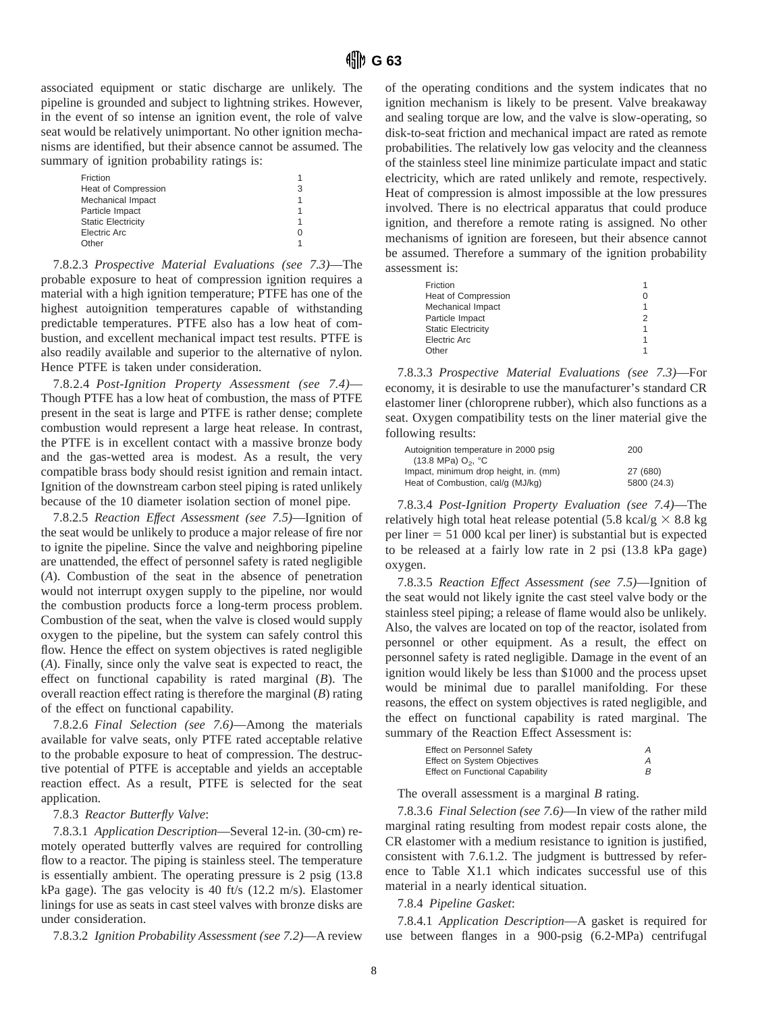associated equipment or static discharge are unlikely. The pipeline is grounded and subject to lightning strikes. However, in the event of so intense an ignition event, the role of valve seat would be relatively unimportant. No other ignition mechanisms are identified, but their absence cannot be assumed. The summary of ignition probability ratings is:

| Friction                   |   |
|----------------------------|---|
| <b>Heat of Compression</b> | 3 |
| Mechanical Impact          |   |
| Particle Impact            |   |
| <b>Static Electricity</b>  |   |
| Electric Arc               |   |
| Other                      |   |

7.8.2.3 *Prospective Material Evaluations (see 7.3)*—The probable exposure to heat of compression ignition requires a material with a high ignition temperature; PTFE has one of the highest autoignition temperatures capable of withstanding predictable temperatures. PTFE also has a low heat of combustion, and excellent mechanical impact test results. PTFE is also readily available and superior to the alternative of nylon. Hence PTFE is taken under consideration.

7.8.2.4 *Post-Ignition Property Assessment (see 7.4)*— Though PTFE has a low heat of combustion, the mass of PTFE present in the seat is large and PTFE is rather dense; complete combustion would represent a large heat release. In contrast, the PTFE is in excellent contact with a massive bronze body and the gas-wetted area is modest. As a result, the very compatible brass body should resist ignition and remain intact. Ignition of the downstream carbon steel piping is rated unlikely because of the 10 diameter isolation section of monel pipe.

7.8.2.5 *Reaction Effect Assessment (see 7.5)*—Ignition of the seat would be unlikely to produce a major release of fire nor to ignite the pipeline. Since the valve and neighboring pipeline are unattended, the effect of personnel safety is rated negligible (*A*). Combustion of the seat in the absence of penetration would not interrupt oxygen supply to the pipeline, nor would the combustion products force a long-term process problem. Combustion of the seat, when the valve is closed would supply oxygen to the pipeline, but the system can safely control this flow. Hence the effect on system objectives is rated negligible (*A*). Finally, since only the valve seat is expected to react, the effect on functional capability is rated marginal (*B*). The overall reaction effect rating is therefore the marginal (*B*) rating of the effect on functional capability.

7.8.2.6 *Final Selection (see 7.6)*—Among the materials available for valve seats, only PTFE rated acceptable relative to the probable exposure to heat of compression. The destructive potential of PTFE is acceptable and yields an acceptable reaction effect. As a result, PTFE is selected for the seat application.

#### 7.8.3 *Reactor Butterfly Valve*:

7.8.3.1 *Application Description*—Several 12-in. (30-cm) remotely operated butterfly valves are required for controlling flow to a reactor. The piping is stainless steel. The temperature is essentially ambient. The operating pressure is 2 psig (13.8 kPa gage). The gas velocity is 40 ft/s (12.2 m/s). Elastomer linings for use as seats in cast steel valves with bronze disks are under consideration.

7.8.3.2 *Ignition Probability Assessment (see 7.2)*—A review

of the operating conditions and the system indicates that no ignition mechanism is likely to be present. Valve breakaway and sealing torque are low, and the valve is slow-operating, so disk-to-seat friction and mechanical impact are rated as remote probabilities. The relatively low gas velocity and the cleanness of the stainless steel line minimize particulate impact and static electricity, which are rated unlikely and remote, respectively. Heat of compression is almost impossible at the low pressures involved. There is no electrical apparatus that could produce ignition, and therefore a remote rating is assigned. No other mechanisms of ignition are foreseen, but their absence cannot be assumed. Therefore a summary of the ignition probability assessment is:

| Friction                   |  |
|----------------------------|--|
| <b>Heat of Compression</b> |  |
| Mechanical Impact          |  |
| Particle Impact            |  |
| <b>Static Electricity</b>  |  |
| Electric Arc               |  |
| Other                      |  |

7.8.3.3 *Prospective Material Evaluations (see 7.3)*—For economy, it is desirable to use the manufacturer's standard CR elastomer liner (chloroprene rubber), which also functions as a seat. Oxygen compatibility tests on the liner material give the following results:

| Autoignition temperature in 2000 psig    | 200         |
|------------------------------------------|-------------|
| $(13.8 \text{ MPa})$ O <sub>2</sub> , °C |             |
| Impact, minimum drop height, in. (mm)    | 27 (680)    |
| Heat of Combustion, cal/q (MJ/kq)        | 5800 (24.3) |

7.8.3.4 *Post-Ignition Property Evaluation (see 7.4)*—The relatively high total heat release potential (5.8 kcal/g  $\times$  8.8 kg per liner  $= 51 000$  kcal per liner) is substantial but is expected to be released at a fairly low rate in 2 psi (13.8 kPa gage) oxygen.

7.8.3.5 *Reaction Effect Assessment (see 7.5)*—Ignition of the seat would not likely ignite the cast steel valve body or the stainless steel piping; a release of flame would also be unlikely. Also, the valves are located on top of the reactor, isolated from personnel or other equipment. As a result, the effect on personnel safety is rated negligible. Damage in the event of an ignition would likely be less than \$1000 and the process upset would be minimal due to parallel manifolding. For these reasons, the effect on system objectives is rated negligible, and the effect on functional capability is rated marginal. The summary of the Reaction Effect Assessment is:

| Effect on Personnel Safety      |  |
|---------------------------------|--|
| Effect on System Objectives     |  |
| Effect on Functional Capability |  |

The overall assessment is a marginal *B* rating.

7.8.3.6 *Final Selection (see 7.6)*—In view of the rather mild marginal rating resulting from modest repair costs alone, the CR elastomer with a medium resistance to ignition is justified, consistent with 7.6.1.2. The judgment is buttressed by reference to Table X1.1 which indicates successful use of this material in a nearly identical situation.

#### 7.8.4 *Pipeline Gasket*:

7.8.4.1 *Application Description*—A gasket is required for use between flanges in a 900-psig (6.2-MPa) centrifugal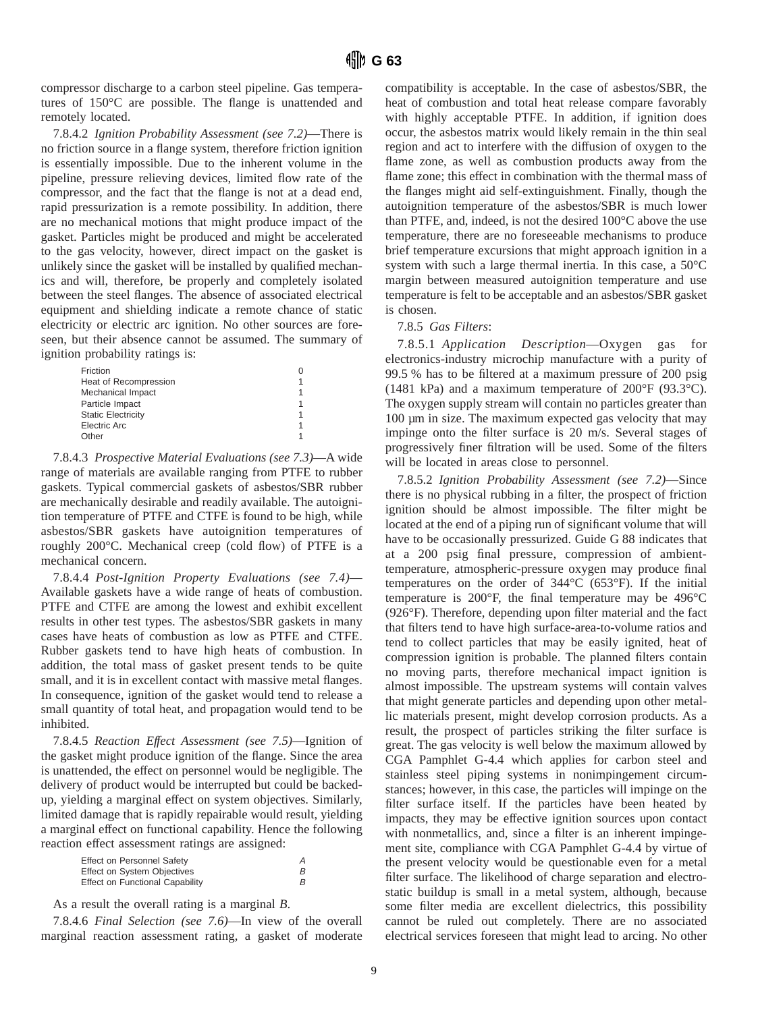compressor discharge to a carbon steel pipeline. Gas temperatures of 150°C are possible. The flange is unattended and remotely located.

7.8.4.2 *Ignition Probability Assessment (see 7.2)*—There is no friction source in a flange system, therefore friction ignition is essentially impossible. Due to the inherent volume in the pipeline, pressure relieving devices, limited flow rate of the compressor, and the fact that the flange is not at a dead end, rapid pressurization is a remote possibility. In addition, there are no mechanical motions that might produce impact of the gasket. Particles might be produced and might be accelerated to the gas velocity, however, direct impact on the gasket is unlikely since the gasket will be installed by qualified mechanics and will, therefore, be properly and completely isolated between the steel flanges. The absence of associated electrical equipment and shielding indicate a remote chance of static electricity or electric arc ignition. No other sources are foreseen, but their absence cannot be assumed. The summary of ignition probability ratings is:

| Friction                  |  |
|---------------------------|--|
| Heat of Recompression     |  |
| Mechanical Impact         |  |
| Particle Impact           |  |
| <b>Static Electricity</b> |  |
| Electric Arc              |  |
| Other                     |  |
|                           |  |

7.8.4.3 *Prospective Material Evaluations (see 7.3)*—A wide range of materials are available ranging from PTFE to rubber gaskets. Typical commercial gaskets of asbestos/SBR rubber are mechanically desirable and readily available. The autoignition temperature of PTFE and CTFE is found to be high, while asbestos/SBR gaskets have autoignition temperatures of roughly 200°C. Mechanical creep (cold flow) of PTFE is a mechanical concern.

7.8.4.4 *Post-Ignition Property Evaluations (see 7.4)*— Available gaskets have a wide range of heats of combustion. PTFE and CTFE are among the lowest and exhibit excellent results in other test types. The asbestos/SBR gaskets in many cases have heats of combustion as low as PTFE and CTFE. Rubber gaskets tend to have high heats of combustion. In addition, the total mass of gasket present tends to be quite small, and it is in excellent contact with massive metal flanges. In consequence, ignition of the gasket would tend to release a small quantity of total heat, and propagation would tend to be inhibited.

7.8.4.5 *Reaction Effect Assessment (see 7.5)*—Ignition of the gasket might produce ignition of the flange. Since the area is unattended, the effect on personnel would be negligible. The delivery of product would be interrupted but could be backedup, yielding a marginal effect on system objectives. Similarly, limited damage that is rapidly repairable would result, yielding a marginal effect on functional capability. Hence the following reaction effect assessment ratings are assigned:

| <b>Effect on Personnel Safety</b>      | Α |
|----------------------------------------|---|
| <b>Effect on System Objectives</b>     | В |
| <b>Effect on Functional Capability</b> | R |

As a result the overall rating is a marginal *B*.

7.8.4.6 *Final Selection (see 7.6)*—In view of the overall marginal reaction assessment rating, a gasket of moderate compatibility is acceptable. In the case of asbestos/SBR, the heat of combustion and total heat release compare favorably with highly acceptable PTFE. In addition, if ignition does occur, the asbestos matrix would likely remain in the thin seal region and act to interfere with the diffusion of oxygen to the flame zone, as well as combustion products away from the flame zone; this effect in combination with the thermal mass of the flanges might aid self-extinguishment. Finally, though the autoignition temperature of the asbestos/SBR is much lower than PTFE, and, indeed, is not the desired 100°C above the use temperature, there are no foreseeable mechanisms to produce brief temperature excursions that might approach ignition in a system with such a large thermal inertia. In this case, a 50°C margin between measured autoignition temperature and use temperature is felt to be acceptable and an asbestos/SBR gasket is chosen.

#### 7.8.5 *Gas Filters*:

7.8.5.1 *Application Description*—Oxygen gas for electronics-industry microchip manufacture with a purity of 99.5 % has to be filtered at a maximum pressure of 200 psig (1481 kPa) and a maximum temperature of 200°F (93.3°C). The oxygen supply stream will contain no particles greater than 100 µm in size. The maximum expected gas velocity that may impinge onto the filter surface is 20 m/s. Several stages of progressively finer filtration will be used. Some of the filters will be located in areas close to personnel.

7.8.5.2 *Ignition Probability Assessment (see 7.2)*—Since there is no physical rubbing in a filter, the prospect of friction ignition should be almost impossible. The filter might be located at the end of a piping run of significant volume that will have to be occasionally pressurized. Guide G 88 indicates that at a 200 psig final pressure, compression of ambienttemperature, atmospheric-pressure oxygen may produce final temperatures on the order of 344°C (653°F). If the initial temperature is 200°F, the final temperature may be 496°C (926°F). Therefore, depending upon filter material and the fact that filters tend to have high surface-area-to-volume ratios and tend to collect particles that may be easily ignited, heat of compression ignition is probable. The planned filters contain no moving parts, therefore mechanical impact ignition is almost impossible. The upstream systems will contain valves that might generate particles and depending upon other metallic materials present, might develop corrosion products. As a result, the prospect of particles striking the filter surface is great. The gas velocity is well below the maximum allowed by CGA Pamphlet G-4.4 which applies for carbon steel and stainless steel piping systems in nonimpingement circumstances; however, in this case, the particles will impinge on the filter surface itself. If the particles have been heated by impacts, they may be effective ignition sources upon contact with nonmetallics, and, since a filter is an inherent impingement site, compliance with CGA Pamphlet G-4.4 by virtue of the present velocity would be questionable even for a metal filter surface. The likelihood of charge separation and electrostatic buildup is small in a metal system, although, because some filter media are excellent dielectrics, this possibility cannot be ruled out completely. There are no associated electrical services foreseen that might lead to arcing. No other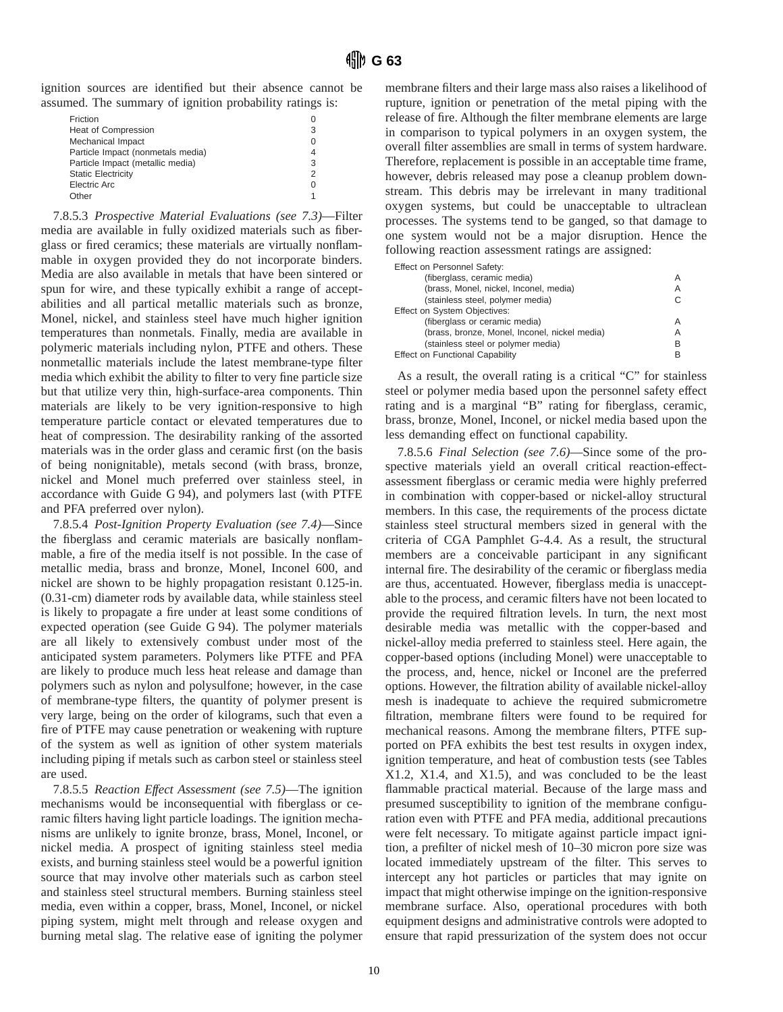ignition sources are identified but their absence cannot be assumed. The summary of ignition probability ratings is:

| Friction                          |   |
|-----------------------------------|---|
| <b>Heat of Compression</b>        | 3 |
| Mechanical Impact                 |   |
| Particle Impact (nonmetals media) |   |
| Particle Impact (metallic media)  | 3 |
| <b>Static Electricity</b>         | 2 |
| Electric Arc                      | O |
| ∩ther                             |   |

7.8.5.3 *Prospective Material Evaluations (see 7.3)*—Filter media are available in fully oxidized materials such as fiberglass or fired ceramics; these materials are virtually nonflammable in oxygen provided they do not incorporate binders. Media are also available in metals that have been sintered or spun for wire, and these typically exhibit a range of acceptabilities and all partical metallic materials such as bronze, Monel, nickel, and stainless steel have much higher ignition temperatures than nonmetals. Finally, media are available in polymeric materials including nylon, PTFE and others. These nonmetallic materials include the latest membrane-type filter media which exhibit the ability to filter to very fine particle size but that utilize very thin, high-surface-area components. Thin materials are likely to be very ignition-responsive to high temperature particle contact or elevated temperatures due to heat of compression. The desirability ranking of the assorted materials was in the order glass and ceramic first (on the basis of being nonignitable), metals second (with brass, bronze, nickel and Monel much preferred over stainless steel, in accordance with Guide G 94), and polymers last (with PTFE and PFA preferred over nylon).

7.8.5.4 *Post-Ignition Property Evaluation (see 7.4)*—Since the fiberglass and ceramic materials are basically nonflammable, a fire of the media itself is not possible. In the case of metallic media, brass and bronze, Monel, Inconel 600, and nickel are shown to be highly propagation resistant 0.125-in. (0.31-cm) diameter rods by available data, while stainless steel is likely to propagate a fire under at least some conditions of expected operation (see Guide G 94). The polymer materials are all likely to extensively combust under most of the anticipated system parameters. Polymers like PTFE and PFA are likely to produce much less heat release and damage than polymers such as nylon and polysulfone; however, in the case of membrane-type filters, the quantity of polymer present is very large, being on the order of kilograms, such that even a fire of PTFE may cause penetration or weakening with rupture of the system as well as ignition of other system materials including piping if metals such as carbon steel or stainless steel are used.

7.8.5.5 *Reaction Effect Assessment (see 7.5)*—The ignition mechanisms would be inconsequential with fiberglass or ceramic filters having light particle loadings. The ignition mechanisms are unlikely to ignite bronze, brass, Monel, Inconel, or nickel media. A prospect of igniting stainless steel media exists, and burning stainless steel would be a powerful ignition source that may involve other materials such as carbon steel and stainless steel structural members. Burning stainless steel media, even within a copper, brass, Monel, Inconel, or nickel piping system, might melt through and release oxygen and burning metal slag. The relative ease of igniting the polymer membrane filters and their large mass also raises a likelihood of rupture, ignition or penetration of the metal piping with the release of fire. Although the filter membrane elements are large in comparison to typical polymers in an oxygen system, the overall filter assemblies are small in terms of system hardware. Therefore, replacement is possible in an acceptable time frame, however, debris released may pose a cleanup problem downstream. This debris may be irrelevant in many traditional oxygen systems, but could be unacceptable to ultraclean processes. The systems tend to be ganged, so that damage to one system would not be a major disruption. Hence the following reaction assessment ratings are assigned:

| Effect on Personnel Safety:                   |   |
|-----------------------------------------------|---|
| (fiberglass, ceramic media)                   | Α |
| (brass, Monel, nickel, Inconel, media)        | Α |
| (stainless steel, polymer media)              | C |
| Effect on System Objectives:                  |   |
| (fiberglass or ceramic media)                 | А |
| (brass, bronze, Monel, Inconel, nickel media) | Α |
| (stainless steel or polymer media)            | в |
| <b>Effect on Functional Capability</b>        |   |

As a result, the overall rating is a critical "C" for stainless steel or polymer media based upon the personnel safety effect rating and is a marginal "B" rating for fiberglass, ceramic, brass, bronze, Monel, Inconel, or nickel media based upon the less demanding effect on functional capability.

7.8.5.6 *Final Selection (see 7.6)*—Since some of the prospective materials yield an overall critical reaction-effectassessment fiberglass or ceramic media were highly preferred in combination with copper-based or nickel-alloy structural members. In this case, the requirements of the process dictate stainless steel structural members sized in general with the criteria of CGA Pamphlet G-4.4. As a result, the structural members are a conceivable participant in any significant internal fire. The desirability of the ceramic or fiberglass media are thus, accentuated. However, fiberglass media is unacceptable to the process, and ceramic filters have not been located to provide the required filtration levels. In turn, the next most desirable media was metallic with the copper-based and nickel-alloy media preferred to stainless steel. Here again, the copper-based options (including Monel) were unacceptable to the process, and, hence, nickel or Inconel are the preferred options. However, the filtration ability of available nickel-alloy mesh is inadequate to achieve the required submicrometre filtration, membrane filters were found to be required for mechanical reasons. Among the membrane filters, PTFE supported on PFA exhibits the best test results in oxygen index, ignition temperature, and heat of combustion tests (see Tables X1.2, X1.4, and X1.5), and was concluded to be the least flammable practical material. Because of the large mass and presumed susceptibility to ignition of the membrane configuration even with PTFE and PFA media, additional precautions were felt necessary. To mitigate against particle impact ignition, a prefilter of nickel mesh of 10–30 micron pore size was located immediately upstream of the filter. This serves to intercept any hot particles or particles that may ignite on impact that might otherwise impinge on the ignition-responsive membrane surface. Also, operational procedures with both equipment designs and administrative controls were adopted to ensure that rapid pressurization of the system does not occur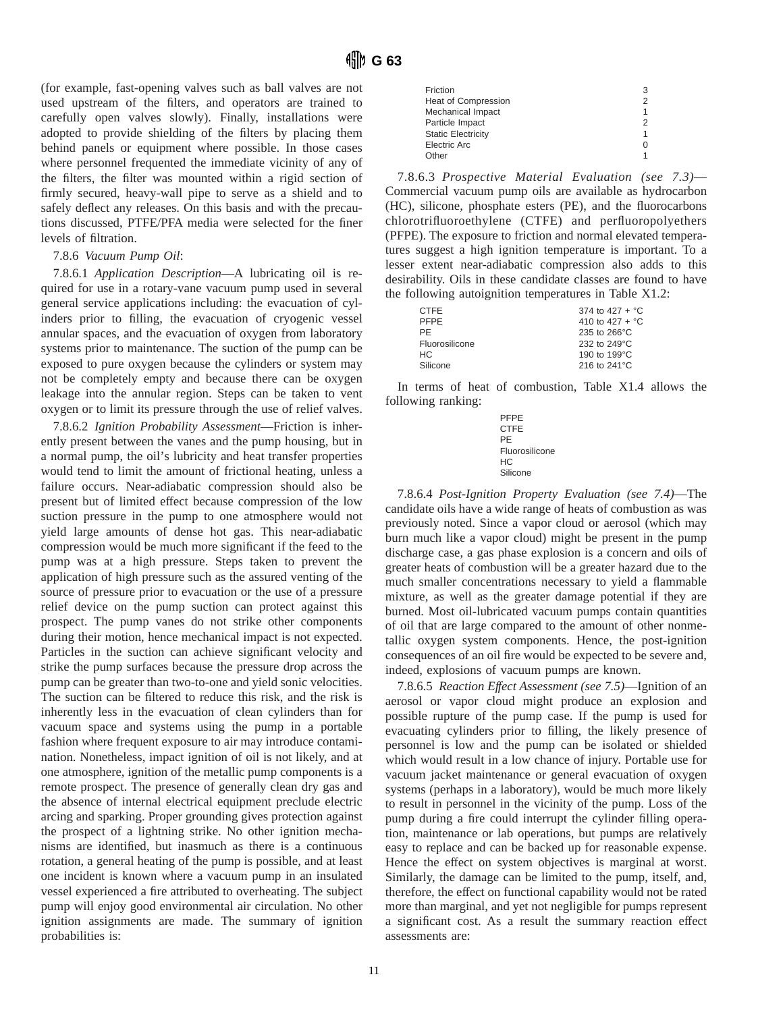(for example, fast-opening valves such as ball valves are not used upstream of the filters, and operators are trained to carefully open valves slowly). Finally, installations were adopted to provide shielding of the filters by placing them behind panels or equipment where possible. In those cases where personnel frequented the immediate vicinity of any of the filters, the filter was mounted within a rigid section of firmly secured, heavy-wall pipe to serve as a shield and to safely deflect any releases. On this basis and with the precautions discussed, PTFE/PFA media were selected for the finer levels of filtration.

#### 7.8.6 *Vacuum Pump Oil*:

7.8.6.1 *Application Description*—A lubricating oil is required for use in a rotary-vane vacuum pump used in several general service applications including: the evacuation of cylinders prior to filling, the evacuation of cryogenic vessel annular spaces, and the evacuation of oxygen from laboratory systems prior to maintenance. The suction of the pump can be exposed to pure oxygen because the cylinders or system may not be completely empty and because there can be oxygen leakage into the annular region. Steps can be taken to vent oxygen or to limit its pressure through the use of relief valves.

7.8.6.2 *Ignition Probability Assessment*—Friction is inherently present between the vanes and the pump housing, but in a normal pump, the oil's lubricity and heat transfer properties would tend to limit the amount of frictional heating, unless a failure occurs. Near-adiabatic compression should also be present but of limited effect because compression of the low suction pressure in the pump to one atmosphere would not yield large amounts of dense hot gas. This near-adiabatic compression would be much more significant if the feed to the pump was at a high pressure. Steps taken to prevent the application of high pressure such as the assured venting of the source of pressure prior to evacuation or the use of a pressure relief device on the pump suction can protect against this prospect. The pump vanes do not strike other components during their motion, hence mechanical impact is not expected. Particles in the suction can achieve significant velocity and strike the pump surfaces because the pressure drop across the pump can be greater than two-to-one and yield sonic velocities. The suction can be filtered to reduce this risk, and the risk is inherently less in the evacuation of clean cylinders than for vacuum space and systems using the pump in a portable fashion where frequent exposure to air may introduce contamination. Nonetheless, impact ignition of oil is not likely, and at one atmosphere, ignition of the metallic pump components is a remote prospect. The presence of generally clean dry gas and the absence of internal electrical equipment preclude electric arcing and sparking. Proper grounding gives protection against the prospect of a lightning strike. No other ignition mechanisms are identified, but inasmuch as there is a continuous rotation, a general heating of the pump is possible, and at least one incident is known where a vacuum pump in an insulated vessel experienced a fire attributed to overheating. The subject pump will enjoy good environmental air circulation. No other ignition assignments are made. The summary of ignition probabilities is:

7.8.6.3 *Prospective Material Evaluation (see 7.3)*— Commercial vacuum pump oils are available as hydrocarbon (HC), silicone, phosphate esters (PE), and the fluorocarbons chlorotrifluoroethylene (CTFE) and perfluoropolyethers (PFPE). The exposure to friction and normal elevated temperatures suggest a high ignition temperature is important. To a lesser extent near-adiabatic compression also adds to this desirability. Oils in these candidate classes are found to have the following autoignition temperatures in Table X1.2:

| <b>CTFF</b>    | 374 to 427 + $^{\circ}$ C |
|----------------|---------------------------|
| <b>PFPF</b>    | 410 to 427 + $^{\circ}$ C |
| PF.            | 235 to 266°C              |
| Fluorosilicone | 232 to 249°C              |
| HC.            | 190 to 199 °C             |
| Silicone       | 216 to 241°C              |

In terms of heat of combustion, Table X1.4 allows the following ranking:

```
PFPE
CTFE
PE
Fluorosilicone
HC<sub>c</sub>Silicone
```
7.8.6.4 *Post-Ignition Property Evaluation (see 7.4)*—The candidate oils have a wide range of heats of combustion as was previously noted. Since a vapor cloud or aerosol (which may burn much like a vapor cloud) might be present in the pump discharge case, a gas phase explosion is a concern and oils of greater heats of combustion will be a greater hazard due to the much smaller concentrations necessary to yield a flammable mixture, as well as the greater damage potential if they are burned. Most oil-lubricated vacuum pumps contain quantities of oil that are large compared to the amount of other nonmetallic oxygen system components. Hence, the post-ignition consequences of an oil fire would be expected to be severe and, indeed, explosions of vacuum pumps are known.

7.8.6.5 *Reaction Effect Assessment (see 7.5)*—Ignition of an aerosol or vapor cloud might produce an explosion and possible rupture of the pump case. If the pump is used for evacuating cylinders prior to filling, the likely presence of personnel is low and the pump can be isolated or shielded which would result in a low chance of injury. Portable use for vacuum jacket maintenance or general evacuation of oxygen systems (perhaps in a laboratory), would be much more likely to result in personnel in the vicinity of the pump. Loss of the pump during a fire could interrupt the cylinder filling operation, maintenance or lab operations, but pumps are relatively easy to replace and can be backed up for reasonable expense. Hence the effect on system objectives is marginal at worst. Similarly, the damage can be limited to the pump, itself, and, therefore, the effect on functional capability would not be rated more than marginal, and yet not negligible for pumps represent a significant cost. As a result the summary reaction effect assessments are: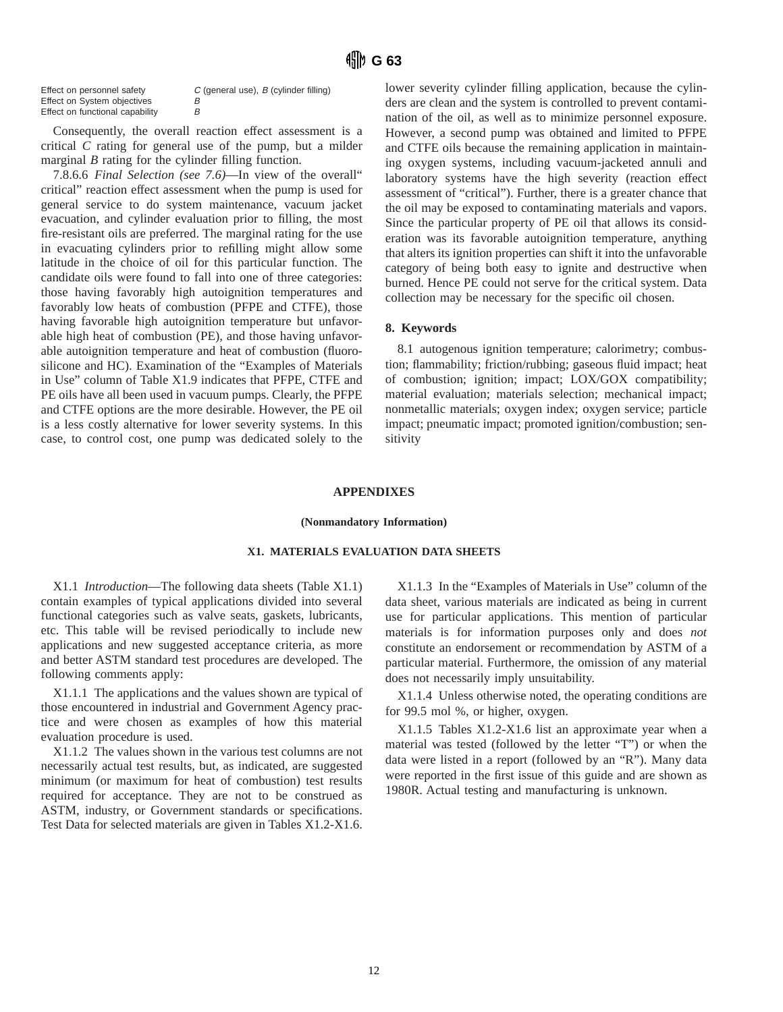| Effect on personnel safety      | $C$ (general use), $B$ (cylinder filling) |
|---------------------------------|-------------------------------------------|
| Effect on System objectives     | в                                         |
| Effect on functional capability | В                                         |

Consequently, the overall reaction effect assessment is a critical *C* rating for general use of the pump, but a milder marginal *B* rating for the cylinder filling function.

7.8.6.6 *Final Selection (see 7.6)*—In view of the overall" critical" reaction effect assessment when the pump is used for general service to do system maintenance, vacuum jacket evacuation, and cylinder evaluation prior to filling, the most fire-resistant oils are preferred. The marginal rating for the use in evacuating cylinders prior to refilling might allow some latitude in the choice of oil for this particular function. The candidate oils were found to fall into one of three categories: those having favorably high autoignition temperatures and favorably low heats of combustion (PFPE and CTFE), those having favorable high autoignition temperature but unfavorable high heat of combustion (PE), and those having unfavorable autoignition temperature and heat of combustion (fluorosilicone and HC). Examination of the "Examples of Materials in Use" column of Table X1.9 indicates that PFPE, CTFE and PE oils have all been used in vacuum pumps. Clearly, the PFPE and CTFE options are the more desirable. However, the PE oil is a less costly alternative for lower severity systems. In this case, to control cost, one pump was dedicated solely to the lower severity cylinder filling application, because the cylinders are clean and the system is controlled to prevent contamination of the oil, as well as to minimize personnel exposure. However, a second pump was obtained and limited to PFPE and CTFE oils because the remaining application in maintaining oxygen systems, including vacuum-jacketed annuli and laboratory systems have the high severity (reaction effect assessment of "critical"). Further, there is a greater chance that the oil may be exposed to contaminating materials and vapors. Since the particular property of PE oil that allows its consideration was its favorable autoignition temperature, anything that alters its ignition properties can shift it into the unfavorable category of being both easy to ignite and destructive when burned. Hence PE could not serve for the critical system. Data collection may be necessary for the specific oil chosen.

#### **8. Keywords**

8.1 autogenous ignition temperature; calorimetry; combustion; flammability; friction/rubbing; gaseous fluid impact; heat of combustion; ignition; impact; LOX/GOX compatibility; material evaluation; materials selection; mechanical impact; nonmetallic materials; oxygen index; oxygen service; particle impact; pneumatic impact; promoted ignition/combustion; sensitivity

#### **APPENDIXES**

#### **(Nonmandatory Information)**

#### **X1. MATERIALS EVALUATION DATA SHEETS**

X1.1 *Introduction*—The following data sheets (Table X1.1) contain examples of typical applications divided into several functional categories such as valve seats, gaskets, lubricants, etc. This table will be revised periodically to include new applications and new suggested acceptance criteria, as more and better ASTM standard test procedures are developed. The following comments apply:

X1.1.1 The applications and the values shown are typical of those encountered in industrial and Government Agency practice and were chosen as examples of how this material evaluation procedure is used.

X1.1.2 The values shown in the various test columns are not necessarily actual test results, but, as indicated, are suggested minimum (or maximum for heat of combustion) test results required for acceptance. They are not to be construed as ASTM, industry, or Government standards or specifications. Test Data for selected materials are given in Tables X1.2-X1.6.

X1.1.3 In the "Examples of Materials in Use" column of the data sheet, various materials are indicated as being in current use for particular applications. This mention of particular materials is for information purposes only and does *not* constitute an endorsement or recommendation by ASTM of a particular material. Furthermore, the omission of any material does not necessarily imply unsuitability.

X1.1.4 Unless otherwise noted, the operating conditions are for 99.5 mol %, or higher, oxygen.

X1.1.5 Tables X1.2-X1.6 list an approximate year when a material was tested (followed by the letter "T") or when the data were listed in a report (followed by an "R"). Many data were reported in the first issue of this guide and are shown as 1980R. Actual testing and manufacturing is unknown.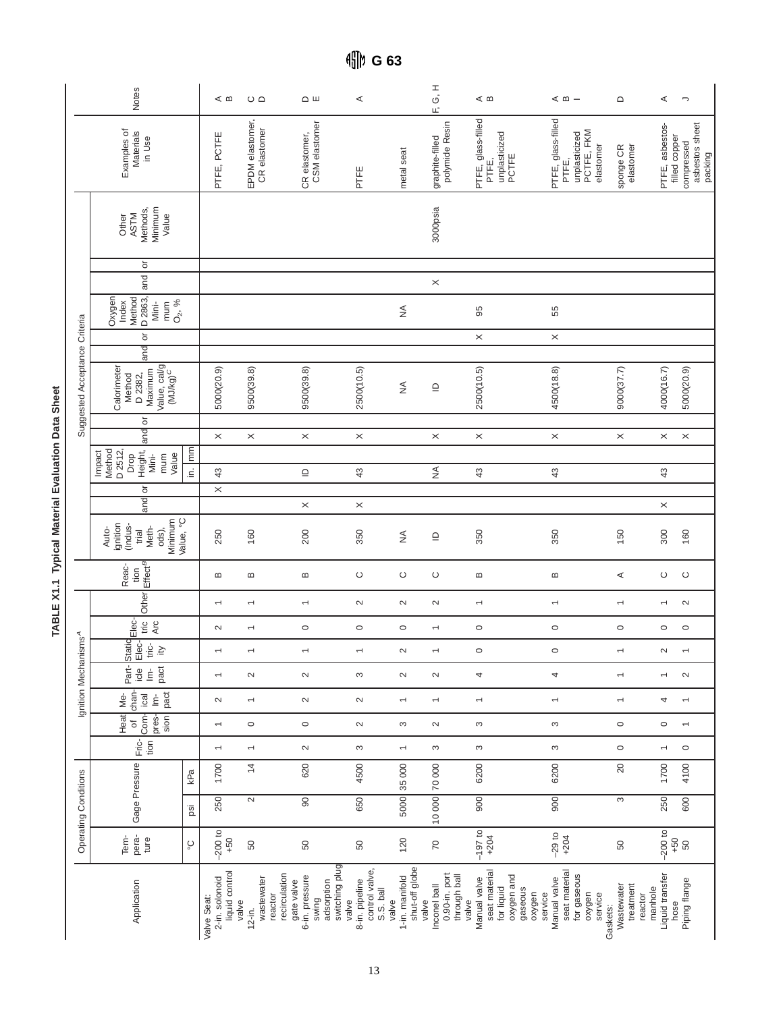|                                  | Notes                                                                                      |           | ≪ ഥ                                             | $\circ$ $\circ$                   |                                        | $\Omega$ $\mu$                                          | ⋖                                                      |                                           | Η<br>Ο<br>F,                                           | ⊲ ∞                                                                                     | $\leq$ $\omega$ $-$                                                          | $\mathrel{\mathsf{d}}$                         | ⋖                                  | $\overline{\phantom{a}}$                |
|----------------------------------|--------------------------------------------------------------------------------------------|-----------|-------------------------------------------------|-----------------------------------|----------------------------------------|---------------------------------------------------------|--------------------------------------------------------|-------------------------------------------|--------------------------------------------------------|-----------------------------------------------------------------------------------------|------------------------------------------------------------------------------|------------------------------------------------|------------------------------------|-----------------------------------------|
|                                  | Examples of<br>Materials<br>in Use                                                         |           | PTFE, PCTFE                                     | EPDM elastomer,<br>CR elastomer   |                                        | CR elastomer,<br>CSM elastomer                          | PTFE                                                   | metal seat                                | polymide Resin<br>graphite-filled                      | PTFE, glass-filled<br>unplasticized<br>PCTFE<br>PTFE,                                   | PTFE, glass-filled<br>PCTFE, FKM<br>unplasticized<br>elastomer<br>PTFE,      | elastomer<br>sponge CR                         | PTFE, asbestos-<br>filled copper   | asbestos sheet<br>compressed<br>packing |
|                                  | Minimum<br>Methods,<br><b>ASTM</b><br>Value<br>Other                                       |           |                                                 |                                   |                                        |                                                         |                                                        |                                           | 3000psia                                               |                                                                                         |                                                                              |                                                |                                    |                                         |
|                                  | ŏ<br>and                                                                                   |           |                                                 |                                   |                                        |                                                         |                                                        |                                           | $\times$                                               |                                                                                         |                                                                              |                                                |                                    |                                         |
|                                  | Oxygen<br>Method<br>D 2863,<br>$O_{2}$ , %<br>Index<br>mum<br>Mini-                        |           |                                                 |                                   |                                        |                                                         |                                                        | $\lessgtr$                                |                                                        | 95                                                                                      | 55                                                                           |                                                |                                    |                                         |
|                                  | ð                                                                                          |           |                                                 |                                   |                                        |                                                         |                                                        |                                           |                                                        | $\times$                                                                                | $\times$                                                                     |                                                |                                    |                                         |
| Suggested Acceptance Criteria    | and<br>Value, cal/g<br>(MJ/kg) <sup>C</sup><br>Calorimeter<br>Maximum<br>D 2382,<br>Method |           | 5000(20.9)                                      | 9500(39.8)                        |                                        | 9500(39.8)                                              | 2500(10.5)                                             | $\stackrel{\triangle}{\geq}$              | $\mathrel{\underline{\cup}}$                           | 2500(10.5)                                                                              | 4500(18.8)                                                                   | 9000(37.7)                                     | 4000(16.7)                         | 5000(20.9)                              |
|                                  | ŏ<br>land                                                                                  |           | $\times$                                        | $\times$                          |                                        | $\times$                                                | $\times$                                               |                                           | $\times$                                               | $\times$                                                                                | $\times$                                                                     | $\times$                                       | $\times$                           | $\times$                                |
|                                  |                                                                                            |           |                                                 |                                   |                                        |                                                         |                                                        |                                           |                                                        |                                                                                         |                                                                              |                                                |                                    |                                         |
|                                  | Method<br>Drop<br>Height,<br>D 2512,<br>Impact<br>Mini-<br>Value<br>mum                    | in.  mm   | 43                                              |                                   |                                        | $\supseteq$                                             | $43$                                                   |                                           | $\lessgtr$                                             | 43                                                                                      | 43                                                                           |                                                | 43                                 |                                         |
|                                  | ŏ<br>and                                                                                   |           | $\times$                                        |                                   |                                        | $\times$                                                | $\times$                                               |                                           |                                                        |                                                                                         |                                                                              |                                                | $\times$                           |                                         |
|                                  | Minimum<br>ignition<br>(Indus-<br>Meth-<br>Auto-<br>ods),<br>trial                         | Value, °C | 250                                             | 160                               |                                        | 200                                                     | 350                                                    | $\stackrel{\triangle}{\geq}$              | $\mathrel{\underline{\cup}}$                           | 350                                                                                     | 350                                                                          | 150                                            | 300                                | 160                                     |
|                                  | $E$ ffect $B$<br>Reac-<br>tion                                                             |           | $\bf{m}$                                        | $\bf{m}$                          |                                        | $\bf{m}$                                                | $\circ$                                                | $\circ$                                   | $\circ$                                                | $\boldsymbol{\underline{\omega}}$                                                       | $\bf{m}$                                                                     | $\prec$                                        | $\circ$                            | $\circ$                                 |
|                                  | Other                                                                                      |           | $\overline{\phantom{0}}$                        | $\overline{\phantom{0}}$          |                                        | $\overline{\phantom{0}}$                                | $\sim$                                                 | $\sim$                                    | $\sim$                                                 | $\overline{\phantom{0}}$                                                                | $\overline{}$                                                                | $\overline{\phantom{0}}$                       | $\overline{ }$                     | $\mathbf{\Omega}$                       |
|                                  | Elec-<br>tric<br>Arc                                                                       |           | $\sim$                                          | $\overline{\phantom{0}}$          |                                        | $\circ$                                                 | $\circ$                                                | $\circ$                                   | $\overline{\phantom{0}}$                               | $\circ$                                                                                 | $\circ$                                                                      | $\circ$                                        | $\circ$                            | $\circ$                                 |
|                                  | Static<br>Elec-<br>tric-<br>$\geq$                                                         |           | $\overline{\phantom{0}}$                        | $\overline{}$                     |                                        | $\overline{}$                                           | $\overline{}$                                          | $\sim$                                    | $\overline{\phantom{m}}$                               | $\circ$                                                                                 | $\circ$                                                                      | $\overline{\phantom{0}}$                       | $\sim$                             | $\overline{\phantom{0}}$                |
| Ignition Mechanisms <sup>A</sup> | pact  <br>Part-<br>$i$ cle<br>$\dot{\underline{\mathsf{E}}}$                               |           | $\overline{\phantom{0}}$                        | $\sim$                            |                                        | $\sim$                                                  | $\infty$                                               | $\sim$                                    | $\sim$                                                 | 4                                                                                       | 4                                                                            | $\overline{\phantom{m}}$                       | $\overline{\phantom{0}}$           | $\sim$                                  |
|                                  | chan-<br>pact<br>Me-<br>$\underline{\dot{\mathsf{E}}}$<br>ical                             |           | $\sim$                                          | $\overline{\phantom{0}}$          |                                        | $\sim$                                                  | $\sim$                                                 | $\overline{\phantom{0}}$                  | $\overline{ }$                                         | $\overline{ }$                                                                          | $\overline{}$                                                                | $\overline{\phantom{0}}$                       | 4                                  |                                         |
|                                  | Heat<br>Com-<br>pres-<br>sin<br>$\overline{\sigma}$                                        |           | $\overline{ }$                                  | $\circ$                           |                                        | $\circ$                                                 | $\sim$                                                 | S                                         | $\sim$                                                 | S                                                                                       | S                                                                            | $\circ$                                        | $\circ$                            |                                         |
|                                  | Fric-<br>tion                                                                              |           | $\overline{\phantom{0}}$                        | $\overline{\phantom{0}}$          |                                        | $\sim$                                                  | S                                                      | $\overline{\phantom{m}}$                  | S                                                      | $\infty$                                                                                | S                                                                            | $\circ$                                        | $\overline{\phantom{0}}$           | $\circ$                                 |
|                                  | Gage Pressure                                                                              | kPa       | 1700                                            | $\overline{4}$                    |                                        | 620                                                     | 4500                                                   | 35000                                     | 10000 70000                                            | 6200                                                                                    | 6200                                                                         | $20$                                           | 1700                               | 4100                                    |
|                                  |                                                                                            | psi       | 250                                             | $\sim$                            |                                        | $\overline{5}$                                          | 650                                                    | 5000                                      |                                                        | 900                                                                                     | $\overline{500}$                                                             | $\infty$                                       | 250                                | 600                                     |
| Operating Conditions             | pera-<br>Tem-<br>ture                                                                      | ပ္စ       | $-200$ to<br>$+50$                              | 50                                |                                        | 50                                                      | 50                                                     | 120                                       | $\overline{C}$                                         | $-197$ to<br>$+204$                                                                     | $-29$ to<br>+204                                                             | 50                                             | $-200$ to<br>$+50$                 | 50                                      |
|                                  | Application                                                                                |           | 2-in. solonoid<br>liquid control<br>Valve Seat: | wastewater<br>valve<br>$12 - in.$ | recirculation<br>gate valve<br>reactor | switching plug<br>6-in. pressure<br>adsorption<br>swing | control valve,<br>8-in. pipeline<br>S.S. ball<br>valve | shut-off globe<br>1-in. manifold<br>valve | 0.90-in. port<br>through ball<br>Inconel ball<br>valve | seat material<br>oxygen and<br>Manual valve<br>for liquid<br>gaseous<br>oxygen<br>valve | seat material<br>for gaseous<br>Manual valve<br>service<br>oxygen<br>service | Wastewater<br>treatment<br>reactor<br>Gaskets: | Liquid transfer<br>manhole<br>hose | Piping flange                           |

TABLE X1.1 Typical Material Evaluation Data Sheet **TABLE X1.1 Typical Material Evaluation Data Sheet**

**G 63**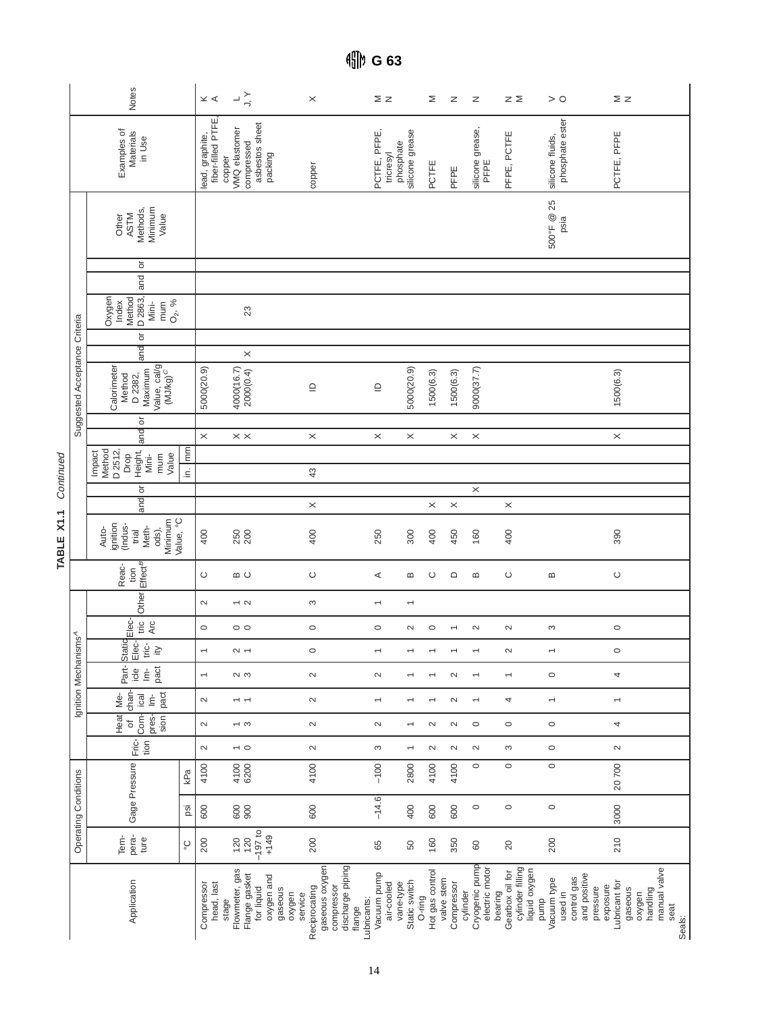|                                  | Notes                                                                               |                  | $\leq$ $\lessdot$                    | $\frac{1}{2} \sum_{i=1}^{n}$                                         | $\times$                                                        |                                                         | ΣZ                                     | Σ                                          | z                        | z                                            | zΣ                                             | > 0                                                            | ΣZ                                                               |                                                      |
|----------------------------------|-------------------------------------------------------------------------------------|------------------|--------------------------------------|----------------------------------------------------------------------|-----------------------------------------------------------------|---------------------------------------------------------|----------------------------------------|--------------------------------------------|--------------------------|----------------------------------------------|------------------------------------------------|----------------------------------------------------------------|------------------------------------------------------------------|------------------------------------------------------|
|                                  | Examples of<br>Materials<br>in Use                                                  |                  | fiber-filled PTFE<br>lead, graphite, | asbestos sheet<br>VMQ elastomer<br>compressed<br>packing<br>copper   | copper                                                          | PCTFE, PFPE,                                            | phosphate<br>tricresyl                 | silicone grease<br>PCTFE                   | PFPE                     | silicone grease<br>PFPE                      | PFPE, PCTFE                                    | phosphate ester<br>silicone fluids,                            | PCTFE, PFPE                                                      |                                                      |
|                                  | Methods,<br>Minimum<br><b>ASTM</b><br>Value<br>Other                                |                  |                                      |                                                                      |                                                                 |                                                         |                                        |                                            |                          |                                              |                                                | 500°F @ 25<br>psia                                             |                                                                  |                                                      |
|                                  | ŏ<br>$rac{1}{2}$                                                                    |                  |                                      |                                                                      |                                                                 |                                                         |                                        |                                            |                          |                                              |                                                |                                                                |                                                                  |                                                      |
|                                  | Oxygen<br>Method<br>D 2863,<br>mum<br>$O_2$ , %<br>Mini-                            |                  |                                      | 23                                                                   |                                                                 |                                                         |                                        |                                            |                          |                                              |                                                |                                                                |                                                                  |                                                      |
|                                  | ŏ<br>land                                                                           |                  |                                      | $\times$                                                             |                                                                 |                                                         |                                        |                                            |                          |                                              |                                                |                                                                |                                                                  |                                                      |
| Suggested Acceptance Criteria    | Value, cal/g<br>(MJ/kg) <sup>C</sup><br>Calorimeter<br>Maximum<br>Method<br>D 2382, |                  | 5000(20.9)                           | 4000(16.7)<br>2000(0.4)                                              | $\supseteq$                                                     | $\mathbf{\underline{\underline{\square}}}% _{T}$        |                                        | 5000(20.9)<br>1500(6.3)                    | 1500(6.3)                | 9000(37.7)                                   |                                                |                                                                | 1500(6.3)                                                        |                                                      |
|                                  | ŏ<br>land                                                                           |                  | $\times$                             | $\times\times$                                                       | $\times$                                                        |                                                         | $\times$                               | $\times$                                   | $\times$                 | $\times$                                     |                                                |                                                                | $\times$                                                         |                                                      |
|                                  | Method<br>Height,<br>D 2512,<br>Impact<br>Value<br>Drop<br>Mini-<br>mum             | $\overline{m}$ . |                                      |                                                                      | 43                                                              |                                                         |                                        |                                            |                          |                                              |                                                |                                                                |                                                                  |                                                      |
|                                  | ১                                                                                   |                  |                                      |                                                                      |                                                                 |                                                         |                                        |                                            |                          | $\times$                                     |                                                |                                                                |                                                                  |                                                      |
|                                  | and                                                                                 |                  |                                      |                                                                      | $\times$                                                        |                                                         |                                        | $\times$                                   | $\times$                 |                                              | $\times$                                       |                                                                |                                                                  |                                                      |
|                                  | Value, °C<br>Minimum<br>ignition<br>(Indus-<br>Meth-<br>Auto-<br>ods),<br>trial     |                  | 400                                  | 250<br>200                                                           | 400                                                             | 250                                                     |                                        | 300<br>400                                 | 450                      | 160                                          | 400                                            |                                                                | 390                                                              |                                                      |
|                                  | $E$ ffect $B$<br>Reac-<br>tion                                                      |                  | $\circ$                              | മ ∪                                                                  | $\circ$                                                         |                                                         | ⋖                                      | $\,\underline{\mathrm{m}}\,$<br>$\circ$    | $\Box$                   | $\bf{m}$                                     | $\circ$                                        | $\,\underline{\mathrm{m}}\,$                                   | $\circ$                                                          |                                                      |
|                                  | Other                                                                               |                  | $\sim$                               | $\sim$ $\sim$                                                        | S                                                               | $\overline{\phantom{0}}$                                |                                        | $\overline{\phantom{0}}$                   |                          |                                              |                                                |                                                                |                                                                  |                                                      |
|                                  | Elec-<br>tric $\overline{AC}$                                                       |                  | $\circ$                              | $\circ$                                                              | $\circ$                                                         |                                                         | $\circ$                                | $\circ$<br>$\sim$                          | $\overline{\phantom{0}}$ | $\sim$                                       | $\sim$                                         | S                                                              | $\circ$                                                          |                                                      |
|                                  | Static<br>Elec-<br>tric-<br>$\geq$                                                  |                  | $\overline{\phantom{0}}$             | $\sim$ $-$                                                           | $\circ$                                                         | $\overline{\phantom{0}}$                                |                                        | $\overline{\phantom{0}}$                   |                          | $\overline{\phantom{0}}$                     | $\sim$                                         | $\overline{\phantom{0}}$                                       | $\circ$                                                          |                                                      |
| Ignition Mechanisms <sup>A</sup> | pact<br>Part-<br>$rac{e}{c}$<br>$\dot{\underline{\epsilon}}$                        |                  | $\overline{\phantom{0}}$             | $\sim$ $\sim$                                                        | $\sim$                                                          |                                                         | $\sim$                                 |                                            | $\sim$                   | $\overline{\phantom{0}}$                     | $\overline{}$                                  | $\circ$                                                        | 4                                                                |                                                      |
|                                  | chan-<br>pact<br>$\underline{\dot{\mathsf{E}}}$<br>Me-<br>ical                      |                  | $\sim$                               | $\overline{ }$                                                       | $\sim$                                                          |                                                         |                                        |                                            | $\sim$                   |                                              | 4                                              | $\overline{\phantom{0}}$                                       | $\overline{\phantom{0}}$                                         |                                                      |
|                                  | Heat<br>Com-<br>sin<br>pres-<br>đ                                                   |                  | $\sim$                               | $\sim$ $\infty$                                                      | $\sim$                                                          |                                                         | $\sim$                                 | $\sim$                                     | $\sim$                   | $\circ$                                      | $\circ$                                        | $\circ$                                                        | 4                                                                |                                                      |
|                                  | Fric-<br>tion                                                                       |                  | $\sim$                               | $\sim$ 0                                                             | $\sim$                                                          |                                                         | S                                      | $\sim$<br>$\overline{\phantom{0}}$         | $\sim$                   | $\sim$                                       | S                                              | $\circ$                                                        | $\sim$                                                           |                                                      |
|                                  | Gage Pressure                                                                       | kPa              | 4100                                 | 4100<br>6200                                                         | 4100                                                            | $-100$                                                  |                                        | 2800<br>4100                               | 4100                     | $\circ$                                      | $\circ$                                        | $\circ$                                                        | 20700                                                            |                                                      |
|                                  |                                                                                     | psi              | 600                                  | 88                                                                   | 600                                                             |                                                         | $-14.6$                                | 600<br>400                                 | 600                      | $\circ$                                      | $\circ$                                        | $\circ$                                                        | 3000                                                             |                                                      |
| <b>Operating Conditions</b>      | pera-<br>Tem-<br>ture                                                               | ပ္စ              | 200                                  | $\frac{120}{120}$<br>-197 to<br>$+149$                               | 200                                                             |                                                         | 65                                     | 160<br>50                                  | 350                      | $60\,$                                       | 20                                             | 200                                                            | 210                                                              |                                                      |
|                                  | Application                                                                         |                  | head, last<br>Compressor             | Flowmeter, gas<br>Flange gasket<br>oxygen and<br>for liquid<br>stage | gaseous oxygen<br>Reciprocating<br>gaseous<br>service<br>oxygen | discharge piping<br>compressor<br>Lubricants:<br>flange | Vacuum pump<br>air-cooled<br>vane-type | Hot gas control<br>Static switch<br>O-ring | valve stem<br>Compressor | Cryogenic pump<br>electric motor<br>cylinder | cylinder filling<br>Gearbox oil for<br>bearing | liquid oxygen<br>control gas<br>Vacuum type<br>used in<br>pump | and positive<br>Lubricant for<br>exposure<br>pressure<br>gaseous | manual valve<br>handling<br>oxygen<br>seat<br>Seals: |

TABLE X1.1 Continued **TABLE X1.1** Continued

**G 63**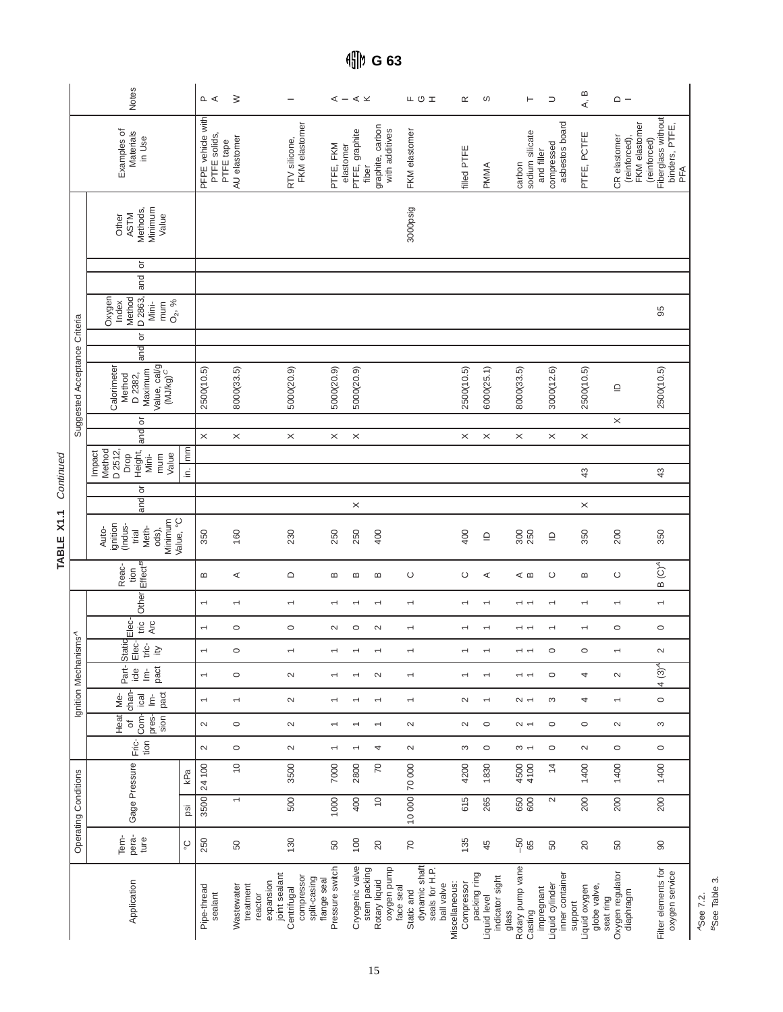|                                  | <b>Notes</b>                                                                                 |                    | $\sim$ $\prec$                    | $\geq$                    | $\overline{\phantom{m}}$                                           |                                                | $\mathbb{I}-\mathbb{I}\mathbb{I}$ |                                              | ᄔㅇェ                                                                      | $\propto$                    | ပာ                                             | $\vdash$                             | $\supset$                                        | A, B                                                  | $\sim -$                                      |                                                             |
|----------------------------------|----------------------------------------------------------------------------------------------|--------------------|-----------------------------------|---------------------------|--------------------------------------------------------------------|------------------------------------------------|-----------------------------------|----------------------------------------------|--------------------------------------------------------------------------|------------------------------|------------------------------------------------|--------------------------------------|--------------------------------------------------|-------------------------------------------------------|-----------------------------------------------|-------------------------------------------------------------|
|                                  | Examples of<br>Materials<br>in Use                                                           |                    | PFPE vehicle with<br>PTFE solids, | AU elastomer<br>PTFE tape | FKM elastomer<br>RTV silicone,                                     | PTFE, FKM                                      | elastomer<br>PTFE, graphite       | graphite, carbon<br>with additives<br>fiber  | FKM elastomer                                                            | filled PTFE                  | <b>PMMA</b>                                    | sodium silicate<br>carbon            | asbestos board<br>compressed<br>and filler       | PTFE, PCTFE                                           | FKM elastomer<br>CR elastomer<br>(reinforced) | Fiberglass without<br>binders, PTFE,<br>(reinforced)<br>PFA |
|                                  | Minimum<br>Methods,<br><b>ASTM</b><br>Value<br>Other                                         |                    |                                   |                           |                                                                    |                                                |                                   |                                              | 3000psig                                                                 |                              |                                                |                                      |                                                  |                                                       |                                               |                                                             |
|                                  | ŏ                                                                                            |                    |                                   |                           |                                                                    |                                                |                                   |                                              |                                                                          |                              |                                                |                                      |                                                  |                                                       |                                               |                                                             |
|                                  | and                                                                                          |                    |                                   |                           |                                                                    |                                                |                                   |                                              |                                                                          |                              |                                                |                                      |                                                  |                                                       |                                               |                                                             |
|                                  | D 2863,<br>Oxygen<br>Method<br>$O_2, \frac{9}{6}$<br>Index<br>Mini-<br>mum                   |                    |                                   |                           |                                                                    |                                                |                                   |                                              |                                                                          |                              |                                                |                                      |                                                  |                                                       |                                               | 95                                                          |
|                                  | ŏ<br>land                                                                                    |                    |                                   |                           |                                                                    |                                                |                                   |                                              |                                                                          |                              |                                                |                                      |                                                  |                                                       |                                               |                                                             |
| Suggested Acceptance Criteria    | Calorimeter<br>Value, cal/g<br>(MJ/kg) <sup>C</sup><br>Maximum<br>D 2382,<br>Method          |                    | 2500(10.5)                        | 8000(33.5)                | 5000(20.9)                                                         | 5000(20.9)                                     | 5000(20.9)                        |                                              |                                                                          | 2500(10.5)                   | 6000(25.1)                                     | 8000(33.5)                           | 3000(12.6)                                       | 2500(10.5)                                            | $\supseteq$                                   | 2500(10.5)                                                  |
|                                  | ŏ                                                                                            |                    |                                   |                           |                                                                    |                                                |                                   |                                              |                                                                          |                              |                                                |                                      |                                                  |                                                       | $\times$                                      |                                                             |
|                                  | and                                                                                          |                    | $\times$                          | $\times$                  | $\times$                                                           | $\times$                                       | $\times$                          |                                              |                                                                          | $\times$                     | $\times$                                       | $\times$                             | $\times$                                         | $\times$                                              |                                               |                                                             |
|                                  | Method<br>D 2512,<br>Height,<br>Impact<br>Value<br>Drop<br>mum<br>Mini-                      | $\mathbb{R}$<br>⊆. |                                   |                           |                                                                    |                                                |                                   |                                              |                                                                          |                              |                                                |                                      |                                                  | 43                                                    |                                               | 43                                                          |
|                                  | ð<br>and                                                                                     |                    |                                   |                           |                                                                    |                                                | $\times$                          |                                              |                                                                          |                              |                                                |                                      |                                                  |                                                       |                                               |                                                             |
|                                  | Minimum<br>ignition<br>(Indus-<br>trial<br>Meth-<br>Auto-<br>ods),                           | Value, °C          | 350                               | 160                       | 230                                                                | 250                                            | 250                               | 400                                          |                                                                          | 400                          | $\supseteq$                                    | 300<br>250                           | $\mathbf{\underline{\ominus}}$                   | $\times$<br>350                                       | 200                                           | 350                                                         |
|                                  | Effect <sup>B</sup><br>Reac-<br>tion                                                         |                    | ≃                                 | ⋖                         | $\mathsf{\Omega}$                                                  | Б                                              | m                                 | Б                                            | O                                                                        | $\circ$                      | ⋖                                              | ⊲ ∞                                  | ပ                                                | $\bf{m}$                                              | $\circ$                                       | $\overline{C}$<br>$\bf{m}$                                  |
|                                  | Other                                                                                        |                    | $\overline{\phantom{0}}$          | $\overline{\phantom{0}}$  | $\overline{\phantom{m}}$                                           | $\overline{\phantom{0}}$                       | $\overline{\phantom{0}}$          | $\overline{\phantom{0}}$                     | $\overline{\phantom{0}}$                                                 | $\overline{\phantom{0}}$     | $\overline{\phantom{0}}$                       | $\overline{\phantom{0}}$             | $\overline{\phantom{0}}$                         | $\overline{\phantom{0}}$                              | $\overline{\phantom{m}}$                      | $\overline{\phantom{m}}$                                    |
|                                  | tric<br>Arc                                                                                  |                    | $\overline{\phantom{0}}$          | $\circ$                   | $\circ$                                                            | $\sim$                                         | $\circ$                           | $\sim$                                       | $\overline{\phantom{0}}$                                                 | $\overline{\phantom{0}}$     | $\overline{\phantom{m}}$                       | $ -$                                 | $\overline{\phantom{0}}$                         | $\overline{\phantom{m}}$                              | $\circ$                                       | $\circ$                                                     |
|                                  | Station <sub>Elec-</sub><br>Elec-<br>tric-<br>$\cong$                                        |                    | $\overline{ }$                    | $\circ$                   |                                                                    |                                                |                                   |                                              |                                                                          |                              |                                                | $\overline{a}$                       | $\circ$                                          | $\circ$                                               |                                               | $\sim$                                                      |
| Ignition Mechanisms <sup>A</sup> | Part-<br>$_{\rm part}$<br>$i$ cle<br>$\dot{\underline{\epsilon}}$                            |                    | $\overline{\phantom{0}}$          | $\circ$                   | $\sim$                                                             |                                                |                                   | $\sim$                                       | $\overline{}$                                                            |                              |                                                |                                      | $\circ$                                          | 4                                                     | $\sim$                                        | $\frac{4}{3}$<br>4                                          |
|                                  | chan-<br>pact<br>$\frac{\overline{\mathfrak{g}}}{\underline{\mathfrak{g}}} \subseteq$<br>Мe- |                    | $\overline{\phantom{0}}$          | $\overline{\phantom{0}}$  | $\sim$                                                             |                                                |                                   |                                              | $\overline{\phantom{0}}$                                                 | $\sim$                       | $\overline{\phantom{0}}$                       | $\sim$ $-$                           | S                                                | 4                                                     | $\overline{\phantom{0}}$                      | $\circ$                                                     |
|                                  | Heat<br>Com-<br>pres-<br>sion<br>$\sigma$                                                    |                    | $\sim$                            | $\circ$                   | $\sim$                                                             |                                                |                                   |                                              | $\sim$                                                                   | $\sim$                       | $\circ$                                        | $\sim$ $-$                           | $\circ$                                          | $\circ$                                               | $\sim$                                        | S                                                           |
|                                  | Fric-<br>tion                                                                                |                    | $\sim$                            | $\circ$                   | $\sim$                                                             | $\overline{}$                                  |                                   | 4                                            | $\sim$                                                                   | S                            | $\circ$                                        | $\infty$ $\leftarrow$                | $\circ$                                          | $\sim$                                                | $\circ$                                       | $\circ$                                                     |
|                                  |                                                                                              | kPa                | 24 100                            | $\tilde{0}$               | 3500                                                               | 7000                                           | 2800                              | 20                                           |                                                                          | 4200                         | 1830                                           | 4500<br>4100                         | $\overline{4}$                                   | 1400                                                  | 1400                                          | 1400                                                        |
| Operating Conditions             | Gage Pressure                                                                                | ig                 | 3500                              | $\overline{\phantom{0}}$  | 500                                                                | 1000                                           | 400                               | $\tilde{c}$                                  | 10 000 70 000                                                            | 615                          | 265                                            | 650<br>600                           | $\sim$                                           | 200                                                   | 200                                           | 200                                                         |
|                                  | pera-<br>Tem-<br>ture                                                                        | ပ္                 | 250                               | 50                        | 130                                                                | 50                                             | 100                               | 20                                           | $\overline{C}$                                                           | 135                          | 45                                             | $-50$<br>65                          | 50                                               | 20                                                    | 50                                            | $\overline{6}$                                              |
|                                  | Application                                                                                  |                    | Pipe-thread<br>sealant            | Wastewater<br>treatment   | joint sealant<br>compressor<br>expansion<br>Centrifugal<br>reactor | Pressure switch<br>split-casing<br>flange seal | Cryogenic valve                   | oxygen pump<br>stem packing<br>Rotary liquid | dynamic shaft<br>seals for H.P.<br>face seal<br>ball valve<br>Static and | Miscellaneous:<br>Compressor | packing ring<br>indicator sight<br>lquid level | Rotary pump vane<br>Casting<br>glass | inner container<br>impregnant<br>Liquid cylinder | Liquid oxygen<br>globe valve,<br>seat ring<br>support | Oxygen regulator<br>diaphragm                 | Filter elements for<br>oxygen service                       |

TABLE X1.1 Continued **TABLE X1.1** Continued

**G 63**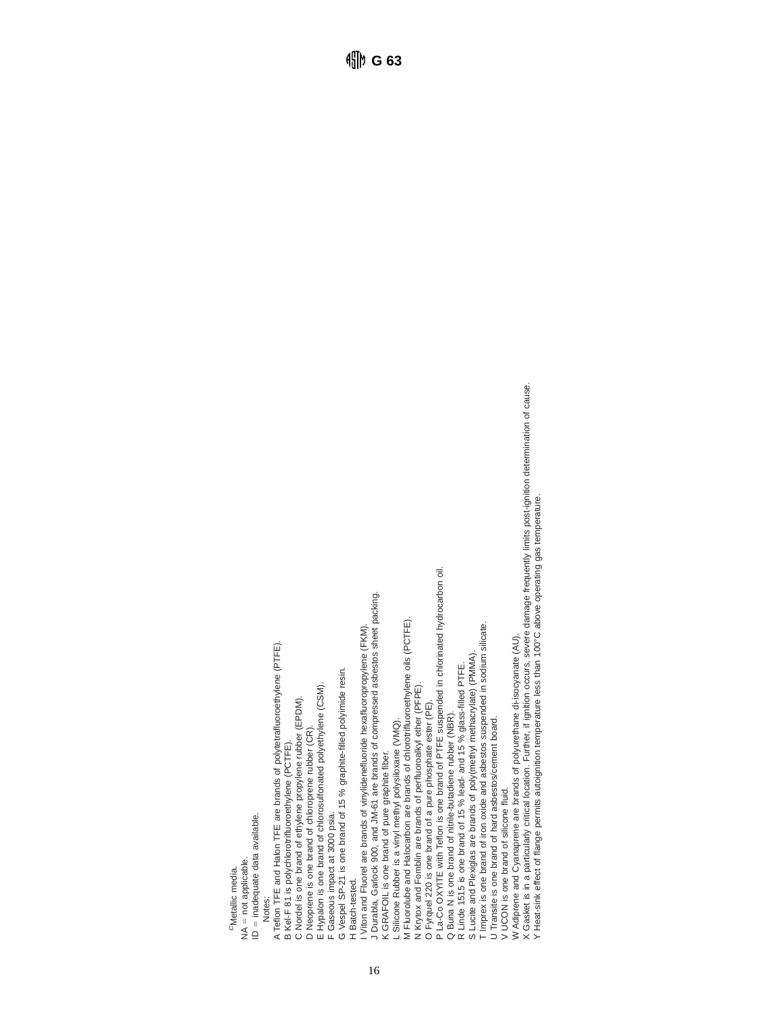<sup>O</sup>Metallic media. CMetallic media.

NA = not applicable.  $NA = not$  applicable.

 $D =$  inadequate data available.

ID = inadequate data available. Notes:

A Teflon TFE and Halon TFE are brands of polytetrafluoroethylene (PTFE). A Teflon TFE and Halon TFE are brands of polytetrafluoroethylene (PTFE).

B Kel-F 81 is polychlorotrifluoroethylene (PCTFE). B Kel-F 81 is polychlorotrifluoroethylene (PCTFE).

C Nordel is one brand of ethylene propylene rubber (EPDM). C Nordel is one brand of ethylene propylene rubber (EPDM).

D Neoprene is one brand of chloroprene rubber (CR). D Neoprene is one brand of chloroprene rubber (CR).

E Hypalon is one brand of chlorosulfonated polyethylene (CSM). E Hypalon is one brand of chlorosulfonated polyethylene (CSM).

F Gaseous impact at 3000 psia. F Gaseous impact at 3000 psia.

G Vespel SP-21 is one brand of 15 % graphite-filled polyimide resin. G Vespel SP-21 is one brand of 15 % graphite-filled polyimide resin.

H Batch-tested. H Batch-tested.

J Durabla, Garlock 900, and JM-61 are brands of compressed asbestos sheet packing. Viton and Fluorel are brands of vinylidenefluoride hexafluoropropylene (FKM). I Viton and Fluorel are brands of vinylidenefluoride hexafluoropropylene (FKM).

J Durabla, Garlock 900, and JM-61 are brands of compressed asbestos sheet packing.

16

CRAFOIL is one brand of pure graphite fiber. K GRAFOIL is one brand of pure graphite fiber.

L Silicone Rubber is a vinyl methyl polysiloxane (VMQ).

L Silicone Rubber is a vinyl methyl polysiloxane (VMQ).<br>M Fluorolube and Halocarbon are brands of chlorotrifluoroethylene oils (PCTFE).<br>N Krytox and Fomblin are brands of perfluoroalkyl ether (PFPE). M Fluorolube and Halocarbon are brands of chlorotrifluoroethylene oils (PCTFE).

N Krytox and Fomblin are brands of perfluoroalkyl ether (PFPE).

O Fyrquel 220 is one brand of a pure phosphate ester (PE). O Fyrquel 220 is one brand of a pure phosphate ester (PE)

P La-Co OXYITE with Teflon is one brand of PTFE suspended in chlorinated hydrocarbon oil P La-Co OXYITE with Teflon is one brand of PTFE suspended in chlorinated hydrocarbon oil.

Q Buna N is one brand of nitrile-butadiene rubber (NBR). Q Buna N is one brand of nitrile-butadiene rubber (NBR).

R Linde 1515 is one brand of 15 % lead- and 15 % glass-filled PTFE.

R Linde 1515 is one brand of 15 % lead- and 15 % glass-filled PTFE.<br>S Lucite and Plexiglas are brands of poly(methyl methacrylate) (PMMA).<br>T Imprex is one brand of iron oxide and asbestos suspended in sodium silicate. S Lucite and Plexiglas are brands of poly(methyl methacrylate) (PMMA).

T Imprex is one brand of iron oxide and asbestos suspended in sodium silicate.

U Transite is one brand of hard asbestos/cement board. U Transite is one brand of hard asbestos/cement board.

V UCON is one brand of silicone fluid. V UCON is one brand of silicone fluid.

W Adiprene and Cyanaprene are brands of polyurethane di-isocyanate (AU).

W Adiprene and Cyanaprene are brands of polyurethane di-isocyanate (AU).<br>X Gasket is in a particularly critical location. Further, if ignition occurs, severe damage frequently limits post-ignition determination of cause.<br>Y X Gasket is in a particularly critical location. Further, if ignition occurs, severe damage frequently limits post-ignition determination of cause.

Y Heat-sink effect of flange permits autoignition temperature less than 100°C above operating gas temperature.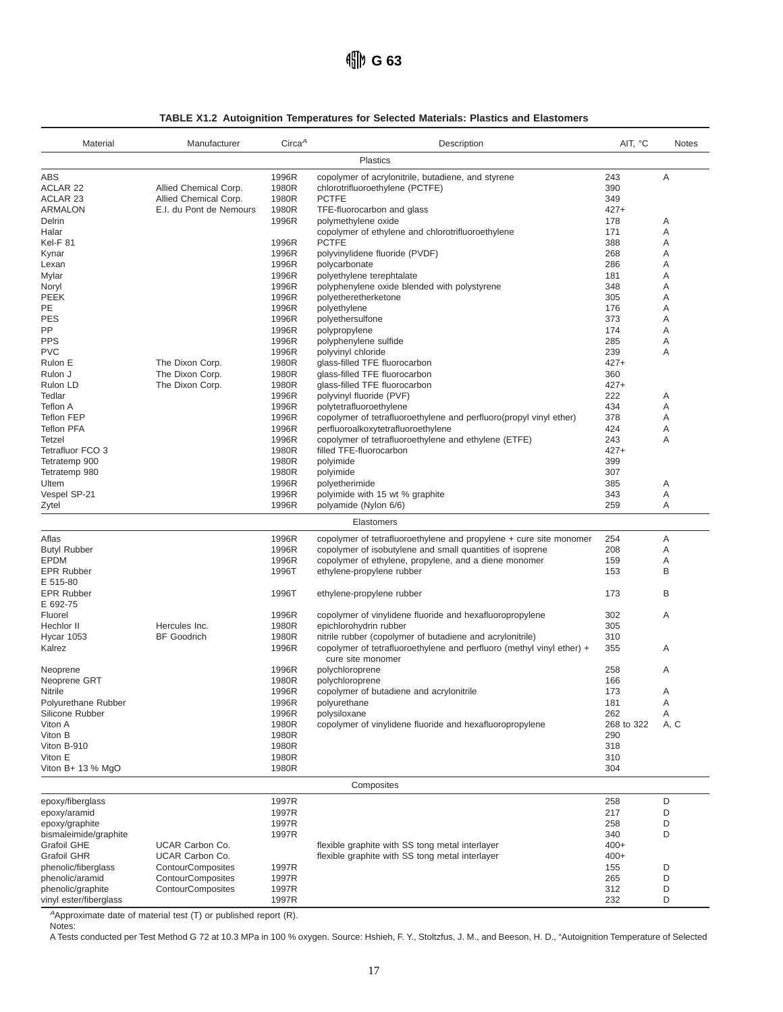|  | <b>TABLE X1.2 Autoignition Temperatures for Selected Materials: Plastics and Elastomers</b> |  |  |
|--|---------------------------------------------------------------------------------------------|--|--|
|  |                                                                                             |  |  |

| Material                                    | Manufacturer             | Circa <sup>A</sup> | Description                                                                                | AIT, °C       | <b>Notes</b> |
|---------------------------------------------|--------------------------|--------------------|--------------------------------------------------------------------------------------------|---------------|--------------|
|                                             |                          |                    | <b>Plastics</b>                                                                            |               |              |
| ABS                                         |                          | 1996R              | copolymer of acrylonitrile, butadiene, and styrene                                         | 243           | Α            |
| <b>ACLAR 22</b>                             | Allied Chemical Corp.    | 1980R              | chlorotrifluoroethylene (PCTFE)                                                            | 390           |              |
| <b>ACLAR 23</b>                             | Allied Chemical Corp.    | 1980R              | <b>PCTFE</b>                                                                               | 349           |              |
| <b>ARMALON</b>                              | E.I. du Pont de Nemours  | 1980R              | TFE-fluorocarbon and glass                                                                 | $427+$        |              |
| Delrin                                      |                          | 1996R              | polymethylene oxide                                                                        | 178           | Α            |
| Halar                                       |                          |                    | copolymer of ethylene and chlorotrifluoroethylene                                          | 171           | Α            |
| Kel-F 81                                    |                          | 1996R              | <b>PCTFE</b>                                                                               | 388<br>268    | Α<br>A       |
| Kynar<br>Lexan                              |                          | 1996R<br>1996R     | polyvinylidene fluoride (PVDF)<br>polycarbonate                                            | 286           | Α            |
| Mylar                                       |                          | 1996R              | polyethylene terephtalate                                                                  | 181           | Α            |
| Noryl                                       |                          | 1996R              | polyphenylene oxide blended with polystyrene                                               | 348           | A            |
| <b>PEEK</b>                                 |                          | 1996R              | polyetheretherketone                                                                       | 305           | Α            |
| PE                                          |                          | 1996R              | polyethylene                                                                               | 176           | Α            |
| <b>PES</b>                                  |                          | 1996R              | polyethersulfone                                                                           | 373           | Α            |
| PP.                                         |                          | 1996R              | polypropylene                                                                              | 174           | A            |
| <b>PPS</b>                                  |                          | 1996R              | polyphenylene sulfide                                                                      | 285           | Α            |
| <b>PVC</b>                                  |                          | 1996R              | polyvinyl chloride                                                                         | 239           | A            |
| Rulon E                                     | The Dixon Corp.          | 1980R              | glass-filled TFE fluorocarbon                                                              | $427+$        |              |
| Rulon J                                     | The Dixon Corp.          | 1980R              | glass-filled TFE fluorocarbon                                                              | 360           |              |
| Rulon LD                                    | The Dixon Corp.          | 1980R              | glass-filled TFE fluorocarbon                                                              | $427+$        |              |
| Tedlar                                      |                          | 1996R              | polyvinyl fluoride (PVF)                                                                   | 222           | Α            |
| Teflon A                                    |                          | 1996R              | polytetrafluoroethylene                                                                    | 434           | Α            |
| Teflon FEP<br><b>Teflon PFA</b>             |                          | 1996R              | copolymer of tetrafluoroethylene and perfluoro(propyl vinyl ether)                         | 378<br>424    | Α            |
| Tetzel                                      |                          | 1996R<br>1996R     | perfluoroalkoxytetrafluoroethylene<br>copolymer of tetrafluoroethylene and ethylene (ETFE) | 243           | Α<br>A       |
| Tetrafluor FCO 3                            |                          | 1980R              | filled TFE-fluorocarbon                                                                    | $427+$        |              |
| Tetratemp 900                               |                          | 1980R              | polyimide                                                                                  | 399           |              |
| Tetratemp 980                               |                          | 1980R              | polyimide                                                                                  | 307           |              |
| Ultem                                       |                          | 1996R              | polyetherimide                                                                             | 385           | Α            |
| Vespel SP-21                                |                          | 1996R              | polyimide with 15 wt % graphite                                                            | 343           | Α            |
| Zytel                                       |                          | 1996R              | polyamide (Nylon 6/6)                                                                      | 259           | A            |
|                                             |                          |                    | Elastomers                                                                                 |               |              |
| Aflas                                       |                          | 1996R              | copolymer of tetrafluoroethylene and propylene + cure site monomer                         | 254           | Α            |
| <b>Butyl Rubber</b>                         |                          | 1996R              | copolymer of isobutylene and small quantities of isoprene                                  | 208           | Α            |
| <b>EPDM</b>                                 |                          | 1996R              | copolymer of ethylene, propylene, and a diene monomer                                      | 159           | Α            |
| <b>EPR Rubber</b>                           |                          | 1996T              | ethylene-propylene rubber                                                                  | 153           | B            |
| E 515-80                                    |                          |                    |                                                                                            |               |              |
| <b>EPR Rubber</b>                           |                          | 1996T              | ethylene-propylene rubber                                                                  | 173           | B            |
| E 692-75                                    |                          |                    |                                                                                            |               |              |
| Fluorel<br>Hechlor II                       | Hercules Inc.            | 1996R              | copolymer of vinylidene fluoride and hexafluoropropylene                                   | 302           | Α            |
| Hycar 1053                                  | <b>BF</b> Goodrich       | 1980R<br>1980R     | epichlorohydrin rubber<br>nitrile rubber (copolymer of butadiene and acrylonitrile)        | 305<br>310    |              |
| Kalrez                                      |                          | 1996R              | copolymer of tetrafluoroethylene and perfluoro (methyl vinyl ether) +                      | 355           | Α            |
|                                             |                          |                    | cure site monomer                                                                          |               |              |
| Neoprene                                    |                          | 1996R              | polychloroprene                                                                            | 258           | Α            |
| Neoprene GRT                                |                          | 1980R              | polychloroprene                                                                            | 166           |              |
| Nitrile                                     |                          | 1996R              | copolymer of butadiene and acrylonitrile                                                   | 173           | Α            |
| Polyurethane Rubber                         |                          | 1996R              | polyurethane                                                                               | 181           | Δ            |
| Silicone Rubber                             |                          | 1996R              | polysiloxane                                                                               | 262           | Α            |
| Viton A                                     |                          | 1980R              | copolymer of vinylidene fluoride and hexafluoropropylene                                   | 268 to 322    | A, C         |
| Viton B                                     |                          | 1980R              |                                                                                            | 290           |              |
| Viton B-910                                 |                          | 1980R              |                                                                                            | 318           |              |
| Viton E                                     |                          | 1980R              |                                                                                            | 310           |              |
| Viton $B+13%$ MgO                           |                          | 1980R              |                                                                                            | 304           |              |
|                                             |                          |                    | Composites                                                                                 |               |              |
| epoxy/fiberglass                            |                          | 1997R              |                                                                                            | 258           | D            |
| epoxy/aramid                                |                          | 1997R              |                                                                                            | 217           | D            |
| epoxy/graphite                              |                          | 1997R              |                                                                                            | 258           | D            |
| bismaleimide/graphite<br><b>Grafoil GHE</b> | <b>UCAR Carbon Co.</b>   | 1997R              | flexible graphite with SS tong metal interlayer                                            | 340<br>$400+$ | D            |
| <b>Grafoil GHR</b>                          | UCAR Carbon Co.          |                    | flexible graphite with SS tong metal interlayer                                            | $400+$        |              |
| phenolic/fiberglass                         | <b>ContourComposites</b> | 1997R              |                                                                                            | 155           | D            |
| phenolic/aramid                             | <b>ContourComposites</b> | 1997R              |                                                                                            | 265           | D            |
| phenolic/graphite                           | <b>ContourComposites</b> | 1997R              |                                                                                            | 312           | D            |
| vinyl ester/fiberglass                      |                          | 1997R              |                                                                                            | 232           | D            |

<sup>A</sup>Approximate date of material test (T) or published report (R).

Notes:

A Tests conducted per Test Method G 72 at 10.3 MPa in 100 % oxygen. Source: Hshieh, F. Y., Stoltzfus, J. M., and Beeson, H. D., "Autoignition Temperature of Selected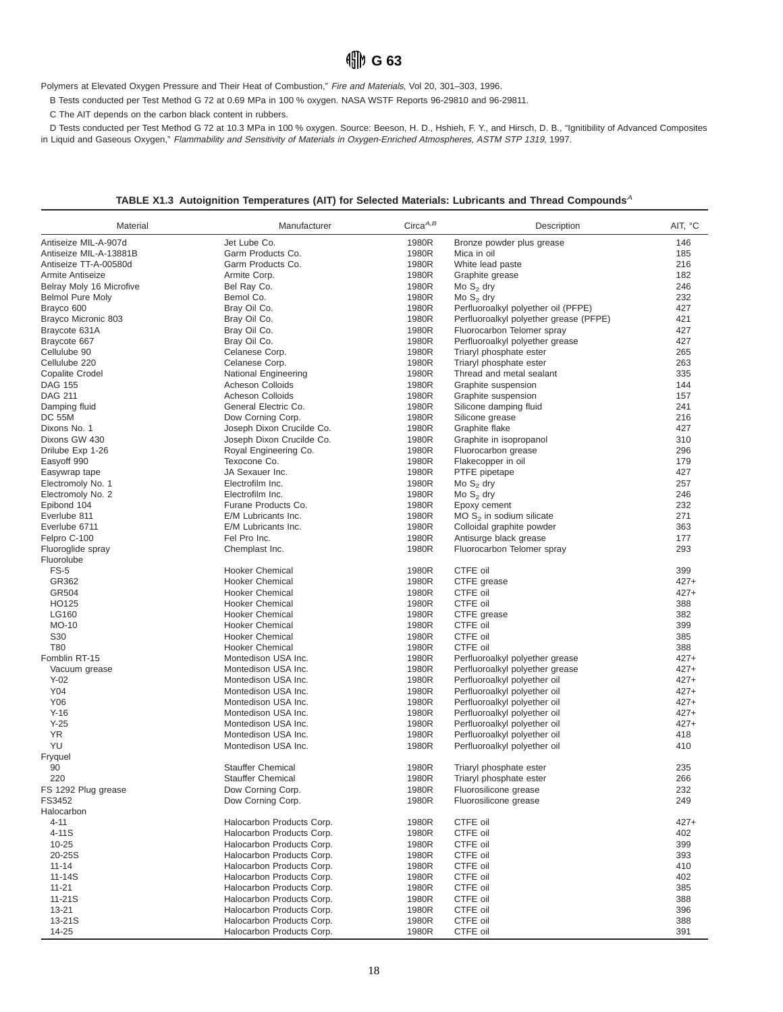## **HD** G 63

Polymers at Elevated Oxygen Pressure and Their Heat of Combustion," Fire and Materials, Vol 20, 301–303, 1996.

B Tests conducted per Test Method G 72 at 0.69 MPa in 100 % oxygen. NASA WSTF Reports 96-29810 and 96-29811.

C The AIT depends on the carbon black content in rubbers.

D Tests conducted per Test Method G 72 at 10.3 MPa in 100 % oxygen. Source: Beeson, H. D., Hshieh, F. Y., and Hirsch, D. B., "Ignitibility of Advanced Composites in Liquid and Gaseous Oxygen," Flammability and Sensitivity of Materials in Oxygen-Enriched Atmospheres, ASTM STP 1319, 1997.

#### **TABLE X1.3 Autoignition Temperatures (AIT) for Selected Materials: Lubricants and Thread Compounds**<sup>A</sup>

| Material                 | Manufacturer              | $Circa^{A,B}$ | Description                                    | AIT, °C |
|--------------------------|---------------------------|---------------|------------------------------------------------|---------|
| Antiseize MIL-A-907d     | Jet Lube Co.              | 1980R         | Bronze powder plus grease                      | 146     |
| Antiseize MIL-A-13881B   | Garm Products Co.         | 1980R         | Mica in oil                                    | 185     |
| Antiseize TT-A-00580d    | Garm Products Co.         | 1980R         | White lead paste                               | 216     |
| Armite Antiseize         | Armite Corp.              | 1980R         | Graphite grease                                | 182     |
| Belray Moly 16 Microfive | Bel Ray Co.               | 1980R         | Mo $S_2$ dry                                   | 246     |
| <b>Belmol Pure Moly</b>  | Bemol Co.                 | 1980R         | Mo $S_2$ dry                                   | 232     |
| Brayco 600               | Bray Oil Co.              | 1980R         | Perfluoroalkyl polyether oil (PFPE)            | 427     |
| Brayco Micronic 803      | Bray Oil Co.              | 1980R         | Perfluoroalkyl polyether grease (PFPE)         | 421     |
| Braycote 631A            | Bray Oil Co.              | 1980R         | Fluorocarbon Telomer spray                     | 427     |
| Braycote 667             | Bray Oil Co.              | 1980R         | Perfluoroalkyl polyether grease                | 427     |
| Cellulube 90             | Celanese Corp.            | 1980R         | Triaryl phosphate ester                        | 265     |
| Cellulube 220            | Celanese Corp.            | 1980R         |                                                | 263     |
| <b>Copalite Crodel</b>   |                           | 1980R         | Triaryl phosphate ester                        | 335     |
|                          | National Engineering      |               | Thread and metal sealant                       |         |
| <b>DAG 155</b>           | Acheson Colloids          | 1980R         | Graphite suspension                            | 144     |
| <b>DAG 211</b>           | Acheson Colloids          | 1980R         | Graphite suspension                            | 157     |
| Damping fluid            | General Electric Co.      | 1980R         | Silicone damping fluid                         | 241     |
| <b>DC 55M</b>            | Dow Corning Corp.         | 1980R         | Silicone grease                                | 216     |
| Dixons No. 1             | Joseph Dixon Crucilde Co. | 1980R         | Graphite flake                                 | 427     |
| Dixons GW 430            | Joseph Dixon Crucilde Co. | 1980R         | Graphite in isopropanol                        | 310     |
| Drilube Exp 1-26         | Royal Engineering Co.     | 1980R         | Fluorocarbon grease                            | 296     |
| Easyoff 990              | Texocone Co.              | 1980R         | Flakecopper in oil                             | 179     |
| Easywrap tape            | JA Sexauer Inc.           | 1980R         | PTFE pipetape                                  | 427     |
| Electromoly No. 1        | Electrofilm Inc.          | 1980R         | Mo $S_2$ dry                                   | 257     |
| Electromoly No. 2        | Electrofilm Inc.          | 1980R         | Mo $S_2$ dry                                   | 246     |
| Epibond 104              | Furane Products Co.       | 1980R         | Epoxy cement                                   | 232     |
| Everlube 811             | E/M Lubricants Inc.       | 1980R         | MO $S2$ in sodium silicate                     | 271     |
| Everlube 6711            | E/M Lubricants Inc.       | 1980R         | Colloidal graphite powder                      | 363     |
| Felpro C-100             | Fel Pro Inc.              | 1980R         | Antisurge black grease                         | 177     |
| Fluoroglide spray        | Chemplast Inc.            | 1980R         | Fluorocarbon Telomer spray                     | 293     |
| Fluorolube               |                           |               |                                                |         |
| $FS-5$                   | <b>Hooker Chemical</b>    | 1980R         | CTFE oil                                       | 399     |
|                          |                           |               |                                                |         |
| GR362                    | <b>Hooker Chemical</b>    | 1980R         | CTFE grease                                    | $427+$  |
| GR504                    | <b>Hooker Chemical</b>    | 1980R         | CTFE oil                                       | $427+$  |
| HO125                    | <b>Hooker Chemical</b>    | 1980R         | CTFE oil                                       | 388     |
| LG160                    | Hooker Chemical           | 1980R         | CTFE grease                                    | 382     |
| MO-10                    | <b>Hooker Chemical</b>    | 1980R         | CTFE oil                                       | 399     |
| S30                      | <b>Hooker Chemical</b>    | 1980R         | CTFE oil                                       | 385     |
| T80                      | <b>Hooker Chemical</b>    | 1980R         | CTFE oil                                       | 388     |
| Fomblin RT-15            | Montedison USA Inc.       | 1980R         | Perfluoroalkyl polyether grease                | $427+$  |
| Vacuum grease            | Montedison USA Inc.       | 1980R         | Perfluoroalkyl polyether grease                | $427+$  |
| $Y-02$                   | Montedison USA Inc.       | 1980R         | Perfluoroalkyl polyether oil                   | $427+$  |
| Y04                      | Montedison USA Inc.       | 1980R         | Perfluoroalkyl polyether oil                   | $427+$  |
| Y06                      | Montedison USA Inc.       | 1980R         | Perfluoroalkyl polyether oil                   | $427+$  |
| $Y-16$                   | Montedison USA Inc.       | 1980R         | Perfluoroalkyl polyether oil                   | $427+$  |
| $Y-25$                   | Montedison USA Inc.       | 1980R         | Perfluoroalkyl polyether oil                   | $427+$  |
| <b>YR</b>                | Montedison USA Inc.       | 1980R         | Perfluoroalkyl polyether oil                   | 418     |
| YU                       | Montedison USA Inc.       | 1980R         | Perfluoroalkyl polyether oil                   | 410     |
| Fryquel                  |                           |               |                                                |         |
| 90                       | <b>Stauffer Chemical</b>  | 1980R         | Triaryl phosphate ester                        | 235     |
| 220                      | <b>Stauffer Chemical</b>  | 1980R         | Triaryl phosphate ester                        | 266     |
| FS 1292 Plug grease      | Dow Corning Corp.         | 1980R         |                                                | 232     |
| FS3452                   | Dow Corning Corp.         | 1980R         | Fluorosilicone grease<br>Fluorosilicone grease | 249     |
|                          |                           |               |                                                |         |
| Halocarbon               |                           |               |                                                |         |
| $4 - 11$                 | Halocarbon Products Corp. | 1980R         | CTFE oil                                       | $427+$  |
| 4-11S                    | Halocarbon Products Corp. | 1980R         | CTFE oil                                       | 402     |
| $10 - 25$                | Halocarbon Products Corp. | 1980R         | CTFE oil                                       | 399     |
| 20-25S                   | Halocarbon Products Corp. | 1980R         | CTFE oil                                       | 393     |
| $11 - 14$                | Halocarbon Products Corp. | 1980R         | CTFE oil                                       | 410     |
| 11-14S                   | Halocarbon Products Corp. | 1980R         | CTFE oil                                       | 402     |
| $11 - 21$                | Halocarbon Products Corp. | 1980R         | CTFE oil                                       | 385     |
| 11-21S                   | Halocarbon Products Corp. | 1980R         | CTFE oil                                       | 388     |
| 13-21                    | Halocarbon Products Corp. | 1980R         | CTFE oil                                       | 396     |
| 13-21S                   | Halocarbon Products Corp. | 1980R         | CTFE oil                                       | 388     |
| 14-25                    | Halocarbon Products Corp. | 1980R         | CTFE oil                                       | 391     |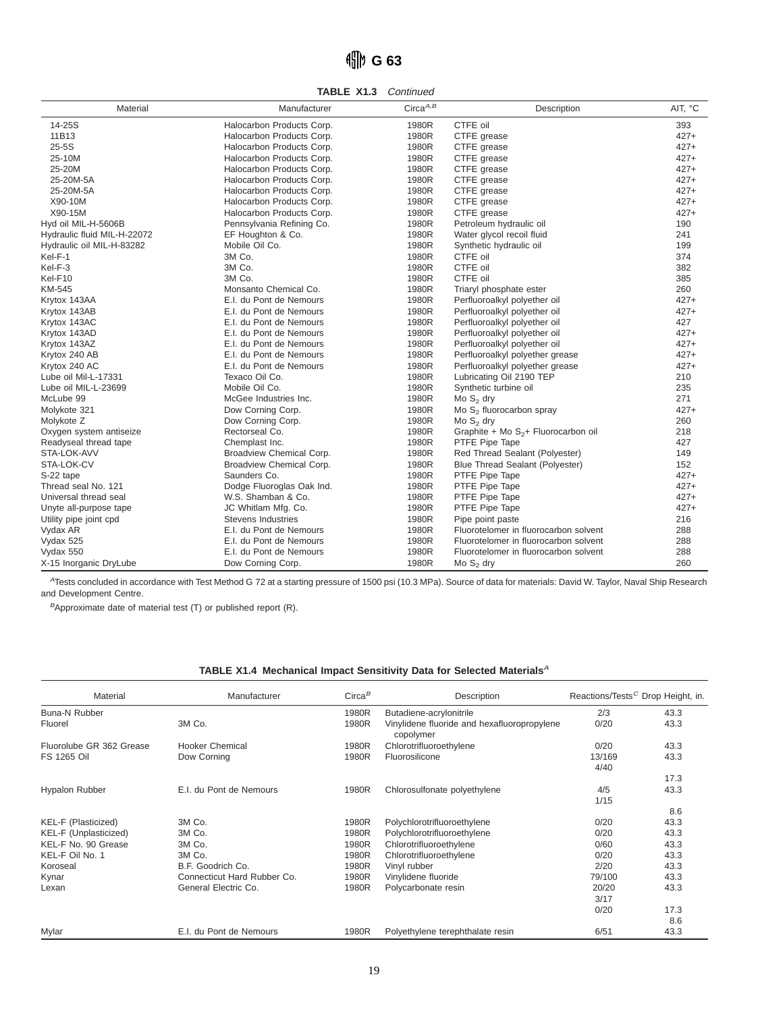# **G 63**

**TABLE X1.3** Continued

| Material                    | Manufacturer              | Circa $^{A,B}$ | Description                              | AIT, °C |
|-----------------------------|---------------------------|----------------|------------------------------------------|---------|
| 14-25S                      | Halocarbon Products Corp. | 1980R          | CTFE oil                                 | 393     |
| 11B13                       | Halocarbon Products Corp. | 1980R          | CTFE grease                              | $427+$  |
| $25-5S$                     | Halocarbon Products Corp. | 1980R          | CTFE grease                              | $427+$  |
| 25-10M                      | Halocarbon Products Corp. | 1980R          | CTFE grease                              | $427+$  |
| 25-20M                      | Halocarbon Products Corp. | 1980R          | CTFE grease                              | $427+$  |
| 25-20M-5A                   | Halocarbon Products Corp. | 1980R          | CTFE grease                              | $427+$  |
| 25-20M-5A                   | Halocarbon Products Corp. | 1980R          | CTFE grease                              | $427+$  |
| X90-10M                     | Halocarbon Products Corp. | 1980R          | CTFE grease                              | $427+$  |
| X90-15M                     | Halocarbon Products Corp. | 1980R          | CTFE grease                              | $427+$  |
| Hyd oil MIL-H-5606B         | Pennsylvania Refining Co. | 1980R          | Petroleum hydraulic oil                  | 190     |
| Hydraulic fluid MIL-H-22072 | EF Houghton & Co.         | 1980R          | Water glycol recoil fluid                | 241     |
| Hydraulic oil MIL-H-83282   | Mobile Oil Co.            | 1980R          | Synthetic hydraulic oil                  | 199     |
| Kel-F-1                     | 3M Co.                    | 1980R          | CTFE oil                                 | 374     |
| Kel-F-3                     | 3M Co.                    | 1980R          | CTFE oil                                 | 382     |
| Kel-F10                     | 3M Co.                    | 1980R          | CTFE oil                                 | 385     |
| <b>KM-545</b>               | Monsanto Chemical Co.     | 1980R          | Triaryl phosphate ester                  | 260     |
| Krytox 143AA                | E.I. du Pont de Nemours   | 1980R          | Perfluoroalkyl polyether oil             | $427+$  |
| Krytox 143AB                | E.I. du Pont de Nemours   | 1980R          | Perfluoroalkyl polyether oil             | $427+$  |
| Krytox 143AC                | E.I. du Pont de Nemours   | 1980R          | Perfluoroalkyl polyether oil             | 427     |
| Krytox 143AD                | E.I. du Pont de Nemours   | 1980R          | Perfluoroalkyl polyether oil             | $427+$  |
| Krytox 143AZ                | E.I. du Pont de Nemours   | 1980R          | Perfluoroalkyl polyether oil             | $427+$  |
| Krytox 240 AB               | E.I. du Pont de Nemours   | 1980R          | Perfluoroalkyl polyether grease          | $427+$  |
| Krytox 240 AC               | E.I. du Pont de Nemours   | 1980R          | Perfluoroalkyl polyether grease          | $427+$  |
| Lube oil Mil-L-17331        | Texaco Oil Co.            | 1980R          | Lubricating Oil 2190 TEP                 | 210     |
| Lube oil MIL-L-23699        | Mobile Oil Co.            | 1980R          | Synthetic turbine oil                    | 235     |
| McLube 99                   | McGee Industries Inc.     | 1980R          | Mo $S2$ dry                              | 271     |
| Molykote 321                | Dow Corning Corp.         | 1980R          | Mo $S_2$ fluorocarbon spray              | $427+$  |
| Molykote Z                  | Dow Corning Corp.         | 1980R          | Mo $S_2$ dry                             | 260     |
| Oxygen system antiseize     | Rectorseal Co.            | 1980R          | Graphite + Mo $S_{2}$ + Fluorocarbon oil | 218     |
| Readyseal thread tape       | Chemplast Inc.            | 1980R          | PTFE Pipe Tape                           | 427     |
| STA-LOK-AVV                 | Broadview Chemical Corp.  | 1980R          | Red Thread Sealant (Polyester)           | 149     |
| STA-LOK-CV                  | Broadview Chemical Corp.  | 1980R          | Blue Thread Sealant (Polyester)          | 152     |
| S-22 tape                   | Saunders Co.              | 1980R          | PTFE Pipe Tape                           | $427+$  |
| Thread seal No. 121         | Dodge Fluoroglas Oak Ind. | 1980R          | PTFE Pipe Tape                           | $427+$  |
| Universal thread seal       | W.S. Shamban & Co.        | 1980R          | PTFE Pipe Tape                           | $427+$  |
| Unyte all-purpose tape      | JC Whitlam Mfg. Co.       | 1980R          | PTFE Pipe Tape                           | $427+$  |
| Utility pipe joint cpd      | <b>Stevens Industries</b> | 1980R          | Pipe point paste                         | 216     |
| Vydax AR                    | E.I. du Pont de Nemours   | 1980R          | Fluorotelomer in fluorocarbon solvent    | 288     |
| Vydax 525                   | E.I. du Pont de Nemours   | 1980R          | Fluorotelomer in fluorocarbon solvent    | 288     |
| Vydax 550                   | E.I. du Pont de Nemours   | 1980R          | Fluorotelomer in fluorocarbon solvent    | 288     |
| X-15 Inorganic DryLube      | Dow Corning Corp.         | 1980R          | Mo $S_2$ dry                             | 260     |

<sup>A</sup>Tests concluded in accordance with Test Method G 72 at a starting pressure of 1500 psi (10.3 MPa). Source of data for materials: David W. Taylor, Naval Ship Research and Development Centre.

 $B$ Approximate date of material test (T) or published report (R).

| TABLE X1.4 Mechanical Impact Sensitivity Data for Selected Materials $^A$ |
|---------------------------------------------------------------------------|
|---------------------------------------------------------------------------|

| Material                 | Manufacturer                | Circa <sup>B</sup> | Description                                              | Reactions/Tests <sup>C</sup> Drop Height, in. |      |
|--------------------------|-----------------------------|--------------------|----------------------------------------------------------|-----------------------------------------------|------|
| Buna-N Rubber            |                             | 1980R              | Butadiene-acrylonitrile                                  | 2/3                                           | 43.3 |
| Fluorel                  | 3M Co.                      | 1980R              | Vinylidene fluoride and hexafluoropropylene<br>copolymer | 0/20                                          | 43.3 |
| Fluorolube GR 362 Grease | Hooker Chemical             | 1980R              | Chlorotrifluoroethylene                                  | 0/20                                          | 43.3 |
| FS 1265 Oil              | Dow Corning                 | 1980R              | Fluorosilicone                                           | 13/169<br>4/40                                | 43.3 |
|                          |                             |                    |                                                          |                                               | 17.3 |
| <b>Hypalon Rubber</b>    | E.I. du Pont de Nemours     | 1980R              | Chlorosulfonate polyethylene                             | 4/5                                           | 43.3 |
|                          |                             |                    |                                                          | 1/15                                          |      |
|                          |                             |                    |                                                          |                                               | 8.6  |
| KEL-F (Plasticized)      | 3M Co.                      | 1980R              | Polychlorotrifluoroethylene                              | 0/20                                          | 43.3 |
| KEL-F (Unplasticized)    | 3M Co.                      | 1980R              | Polychlorotrifluoroethylene                              | 0/20                                          | 43.3 |
| KEL-F No. 90 Grease      | 3M Co.                      | 1980R              | Chlorotrifluoroethylene                                  | 0/60                                          | 43.3 |
| KEL-F Oil No. 1          | 3M Co.                      | 1980R              | Chlorotrifluoroethylene                                  | 0/20                                          | 43.3 |
| Koroseal                 | B.F. Goodrich Co.           | 1980R              | Vinyl rubber                                             | 2/20                                          | 43.3 |
| Kynar                    | Connecticut Hard Rubber Co. | 1980R              | Vinylidene fluoride                                      | 79/100                                        | 43.3 |
| Lexan                    | General Electric Co.        | 1980R              | Polycarbonate resin                                      | 20/20                                         | 43.3 |
|                          |                             |                    |                                                          | 3/17                                          |      |
|                          |                             |                    |                                                          | 0/20                                          | 17.3 |
|                          |                             |                    |                                                          |                                               | 8.6  |
| Mylar                    | E.I. du Pont de Nemours     | 1980R              | Polyethylene terephthalate resin                         | 6/51                                          | 43.3 |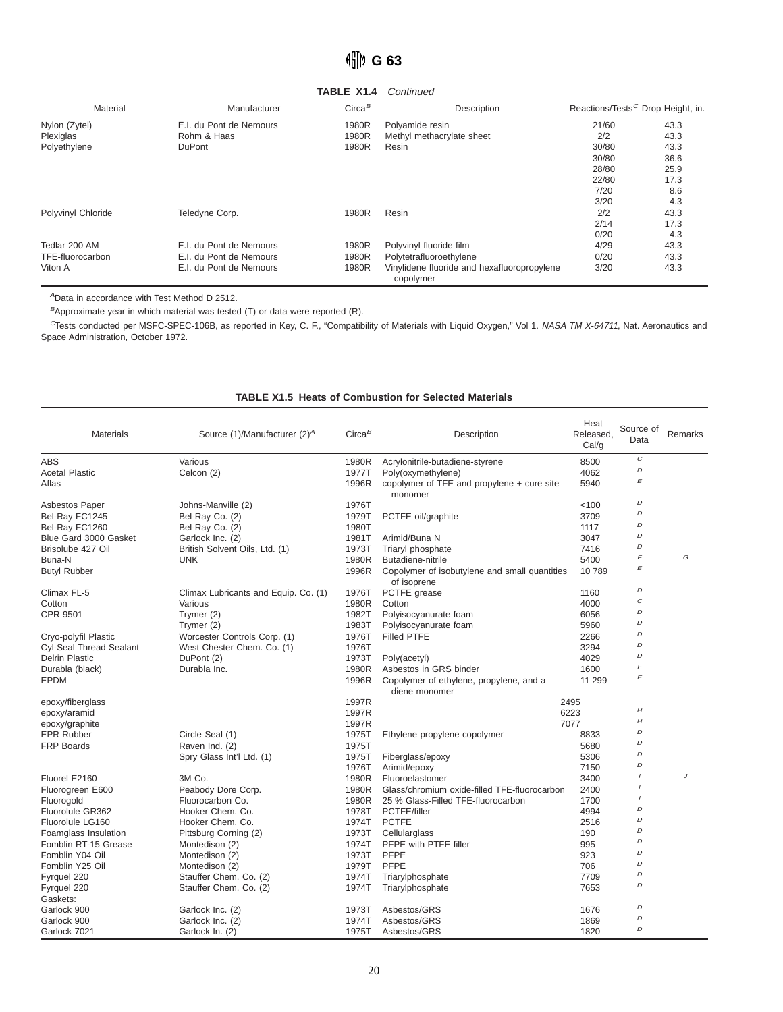# $\frac{4}{10}$  G 63

**TABLE X1.4** Continued

| Material           | Manufacturer            | Circa <sup>B</sup> | Description                                              | Reactions/Tests <sup>C</sup> Drop Height, in. |      |
|--------------------|-------------------------|--------------------|----------------------------------------------------------|-----------------------------------------------|------|
| Nylon (Zytel)      | E.I. du Pont de Nemours | 1980R              | Polyamide resin                                          | 21/60                                         | 43.3 |
| Plexiglas          | Rohm & Haas             | 1980R              | Methyl methacrylate sheet                                | 2/2                                           | 43.3 |
| Polyethylene       | <b>DuPont</b>           | 1980R              | Resin                                                    | 30/80                                         | 43.3 |
|                    |                         |                    |                                                          | 30/80                                         | 36.6 |
|                    |                         |                    |                                                          | 28/80                                         | 25.9 |
|                    |                         |                    |                                                          | 22/80                                         | 17.3 |
|                    |                         |                    |                                                          | 7/20                                          | 8.6  |
|                    |                         |                    |                                                          | 3/20                                          | 4.3  |
| Polyvinyl Chloride | Teledyne Corp.          | 1980R              | Resin                                                    | 2/2                                           | 43.3 |
|                    |                         |                    |                                                          | 2/14                                          | 17.3 |
|                    |                         |                    |                                                          | 0/20                                          | 4.3  |
| Tedlar 200 AM      | E.I. du Pont de Nemours | 1980R              | Polyvinyl fluoride film                                  | 4/29                                          | 43.3 |
| TFE-fluorocarbon   | E.I. du Pont de Nemours | 1980R              | Polytetrafluoroethylene                                  | 0/20                                          | 43.3 |
| Viton A            | E.I. du Pont de Nemours | 1980R              | Vinylidene fluoride and hexafluoropropylene<br>copolymer | 3/20                                          | 43.3 |

<sup>A</sup>Data in accordance with Test Method D 2512.

 $B$ Approximate year in which material was tested (T) or data were reported (R).

<sup>C</sup>Tests conducted per MSFC-SPEC-106B, as reported in Key, C. F., "Compatibility of Materials with Liquid Oxygen," Vol 1. NASA TM X-64711, Nat. Aeronautics and Space Administration, October 1972.

#### **TABLE X1.5 Heats of Combustion for Selected Materials**

| Materials               | Source (1)/Manufacturer (2) <sup>A</sup> | $Circa^B$ | Description                                   | Heat<br>Released,<br>Cal/g | Source of<br>Data         | Remarks |
|-------------------------|------------------------------------------|-----------|-----------------------------------------------|----------------------------|---------------------------|---------|
| <b>ABS</b>              | Various                                  | 1980R     | Acrylonitrile-butadiene-styrene               | 8500                       | $\cal C$                  |         |
| <b>Acetal Plastic</b>   | Celcon (2)                               | 1977T     | Poly(oxymethylene)                            | 4062                       | $\boldsymbol{D}$          |         |
| Aflas                   |                                          | 1996R     | copolymer of TFE and propylene + cure site    | 5940                       | E                         |         |
|                         |                                          |           | monomer                                       |                            |                           |         |
| Asbestos Paper          | Johns-Manville (2)                       | 1976T     |                                               | < 100                      | D                         |         |
| Bel-Ray FC1245          | Bel-Ray Co. (2)                          | 1979T     | PCTFE oil/graphite                            | 3709                       | D                         |         |
| Bel-Ray FC1260          | Bel-Ray Co. (2)                          | 1980T     |                                               | 1117                       | D                         |         |
| Blue Gard 3000 Gasket   | Garlock Inc. (2)                         | 1981T     | Arimid/Buna N                                 | 3047                       | D                         |         |
| Brisolube 427 Oil       | British Solvent Oils, Ltd. (1)           | 1973T     | Triaryl phosphate                             | 7416                       | D                         |         |
| Buna-N                  | <b>UNK</b>                               | 1980R     | Butadiene-nitrile                             | 5400                       | F                         | G       |
| <b>Butyl Rubber</b>     |                                          | 1996R     | Copolymer of isobutylene and small quantities | 10789                      | E                         |         |
|                         |                                          |           | of isoprene                                   |                            |                           |         |
| Climax FL-5             | Climax Lubricants and Equip. Co. (1)     | 1976T     | PCTFE grease                                  | 1160                       | D                         |         |
| Cotton                  | Various                                  | 1980R     | Cotton                                        | 4000                       | C                         |         |
| <b>CPR 9501</b>         | Trymer (2)                               | 1982T     | Polyisocyanurate foam                         | 6056                       | D                         |         |
|                         | Trymer (2)                               | 1983T     | Polyisocyanurate foam                         | 5960                       | D                         |         |
| Cryo-polyfil Plastic    | Worcester Controls Corp. (1)             | 1976T     | <b>Filled PTFE</b>                            | 2266                       | D                         |         |
| Cyl-Seal Thread Sealant | West Chester Chem. Co. (1)               | 1976T     |                                               | 3294                       | D                         |         |
| <b>Delrin Plastic</b>   | DuPont (2)                               | 1973T     | Poly(acetyl)                                  | 4029                       | D                         |         |
| Durabla (black)         | Durabla Inc.                             | 1980R     | Asbestos in GRS binder                        | 1600                       | F                         |         |
| <b>EPDM</b>             |                                          | 1996R     | Copolymer of ethylene, propylene, and a       | 11 299                     | $\boldsymbol{\mathsf{E}}$ |         |
|                         |                                          |           | diene monomer                                 |                            |                           |         |
| epoxy/fiberglass        |                                          | 1997R     |                                               | 2495                       |                           |         |
| epoxy/aramid            |                                          | 1997R     |                                               | 6223                       | H                         |         |
| epoxy/graphite          |                                          | 1997R     |                                               | 7077                       | H                         |         |
| <b>EPR Rubber</b>       | Circle Seal (1)                          | 1975T     | Ethylene propylene copolymer                  | 8833                       | D                         |         |
| <b>FRP Boards</b>       | Raven Ind. (2)                           | 1975T     |                                               | 5680                       | D                         |         |
|                         | Spry Glass Int'l Ltd. (1)                | 1975T     | Fiberglass/epoxy                              | 5306                       | D                         |         |
|                         |                                          | 1976T     | Arimid/epoxy                                  | 7150                       | D                         |         |
| Fluorel E2160           | 3M Co.                                   | 1980R     | Fluoroelastomer                               | 3400                       |                           | J       |
| Fluorogreen E600        | Peabody Dore Corp.                       | 1980R     | Glass/chromium oxide-filled TFE-fluorocarbon  | 2400                       |                           |         |
| Fluorogold              | Fluorocarbon Co.                         | 1980R     | 25 % Glass-Filled TFE-fluorocarbon            | 1700                       |                           |         |
| Fluorolule GR362        | Hooker Chem. Co.                         | 1978T     | PCTFE/filler                                  | 4994                       | D                         |         |
| Fluorolule LG160        | Hooker Chem. Co.                         | 1974T     | <b>PCTFE</b>                                  | 2516                       | D                         |         |
| Foamglass Insulation    | Pittsburg Corning (2)                    | 1973T     | Cellularglass                                 | 190                        | D                         |         |
| Fomblin RT-15 Grease    | Montedison (2)                           | 1974T     | PFPE with PTFE filler                         | 995                        | D                         |         |
| Fomblin Y04 Oil         | Montedison (2)                           | 1973T     | <b>PFPE</b>                                   | 923                        | D                         |         |
| Fomblin Y25 Oil         | Montedison (2)                           | 1979T     | <b>PFPE</b>                                   | 706                        | D                         |         |
| Fyrquel 220             | Stauffer Chem. Co. (2)                   | 1974T     | Triarylphosphate                              | 7709                       | D                         |         |
| Fyrquel 220             | Stauffer Chem. Co. (2)                   | 1974T     | Triarylphosphate                              | 7653                       | D                         |         |
| Gaskets:                |                                          |           |                                               |                            |                           |         |
| Garlock 900             | Garlock Inc. (2)                         | 1973T     | Asbestos/GRS                                  | 1676                       | D                         |         |
| Garlock 900             | Garlock Inc. (2)                         | 1974T     | Asbestos/GRS                                  | 1869                       | D                         |         |
| Garlock 7021            | Garlock In. (2)                          | 1975T     | Asbestos/GRS                                  | 1820                       | D                         |         |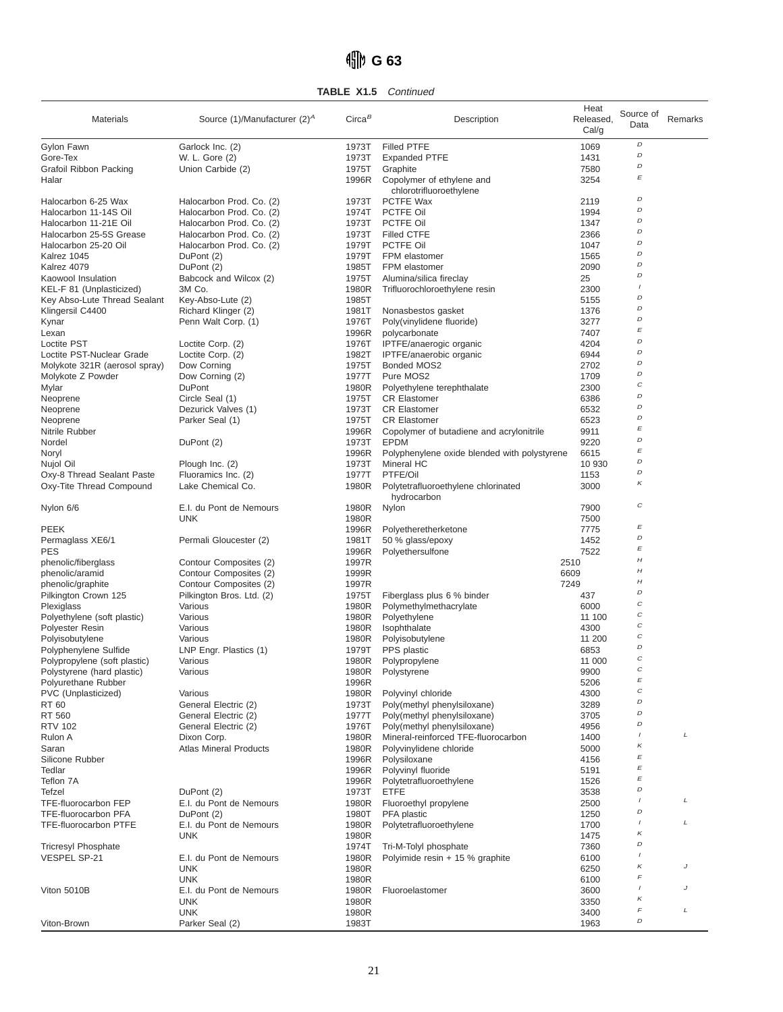# **G 63**

**TABLE X1.5** Continued

| Materials                                        | Source (1)/Manufacturer (2) <sup>A</sup>             | Circa <sup>B</sup> | Description                                                | Heat<br>Released,<br>Cal/g | Source of<br>Data         | Remarks |
|--------------------------------------------------|------------------------------------------------------|--------------------|------------------------------------------------------------|----------------------------|---------------------------|---------|
| Gylon Fawn                                       | Garlock Inc. (2)                                     | 1973T              | <b>Filled PTFE</b>                                         | 1069                       | D                         |         |
| Gore-Tex                                         | W. L. Gore (2)                                       | 1973T              | <b>Expanded PTFE</b>                                       | 1431                       | D                         |         |
| Grafoil Ribbon Packing                           | Union Carbide (2)                                    | 1975T              | Graphite                                                   | 7580                       | D                         |         |
| Halar                                            |                                                      | 1996R              | Copolymer of ethylene and                                  | 3254                       | $\boldsymbol{\mathsf{E}}$ |         |
|                                                  |                                                      |                    | chlorotrifluoroethylene                                    |                            | D                         |         |
| Halocarbon 6-25 Wax                              | Halocarbon Prod. Co. (2)                             | 1973T              | PCTFE Wax                                                  | 2119                       | D                         |         |
| Halocarbon 11-14S Oil                            | Halocarbon Prod. Co. (2)                             | 1974T              | PCTFE Oil                                                  | 1994                       | D                         |         |
| Halocarbon 11-21E Oil<br>Halocarbon 25-5S Grease | Halocarbon Prod. Co. (2)<br>Halocarbon Prod. Co. (2) | 1973T<br>1973T     | PCTFE Oil<br><b>Filled CTFE</b>                            | 1347<br>2366               | D                         |         |
| Halocarbon 25-20 Oil                             | Halocarbon Prod. Co. (2)                             | 1979T              | PCTFE Oil                                                  | 1047                       | D                         |         |
| Kalrez 1045                                      | DuPont (2)                                           | 1979T              | FPM elastomer                                              | 1565                       | D                         |         |
| Kalrez 4079                                      | DuPont (2)                                           | 1985T              | FPM elastomer                                              | 2090                       | D                         |         |
| Kaowool Insulation                               | Babcock and Wilcox (2)                               | 1975T              | Alumina/silica fireclay                                    | 25                         | D                         |         |
| KEL-F 81 (Unplasticized)                         | 3M Co.                                               | 1980R              | Trifluorochloroethylene resin                              | 2300                       |                           |         |
| Key Abso-Lute Thread Sealant                     | Key-Abso-Lute (2)                                    | 1985T              |                                                            | 5155                       | D                         |         |
| Klingersil C4400                                 | Richard Klinger (2)                                  | 1981T              | Nonasbestos gasket                                         | 1376                       | D                         |         |
| Kynar                                            | Penn Walt Corp. (1)                                  | 1976T              | Poly(vinylidene fluoride)                                  | 3277                       | D                         |         |
| Lexan                                            |                                                      | 1996R              | polycarbonate                                              | 7407                       | E                         |         |
| <b>Loctite PST</b>                               | Loctite Corp. (2)                                    | 1976T              | IPTFE/anaerogic organic                                    | 4204                       | D<br>D                    |         |
| Loctite PST-Nuclear Grade                        | Loctite Corp. (2)                                    | 1982T              | IPTFE/anaerobic organic                                    | 6944                       | D                         |         |
| Molykote 321R (aerosol spray)                    | Dow Corning                                          | 1975T              | Bonded MOS2<br>Pure MOS2                                   | 2702                       | D                         |         |
| Molykote Z Powder<br>Mylar                       | Dow Corning (2)<br><b>DuPont</b>                     | 1977T<br>1980R     | Polyethylene terephthalate                                 | 1709<br>2300               | $\cal C$                  |         |
| Neoprene                                         | Circle Seal (1)                                      | 1975T              | <b>CR Elastomer</b>                                        | 6386                       | D                         |         |
| Neoprene                                         | Dezurick Valves (1)                                  | 1973T              | <b>CR Elastomer</b>                                        | 6532                       | D                         |         |
| Neoprene                                         | Parker Seal (1)                                      | 1975T              | <b>CR Elastomer</b>                                        | 6523                       | D                         |         |
| Nitrile Rubber                                   |                                                      | 1996R              | Copolymer of butadiene and acrylonitrile                   | 9911                       | E                         |         |
| Nordel                                           | DuPont (2)                                           | 1973T              | <b>EPDM</b>                                                | 9220                       | D                         |         |
| Noryl                                            |                                                      | 1996R              | Polyphenylene oxide blended with polystyrene               | 6615                       | E                         |         |
| Nujol Oil                                        | Plough Inc. (2)                                      | 1973T              | Mineral HC                                                 | 10 930                     | D                         |         |
| Oxy-8 Thread Sealant Paste                       | Fluoramics Inc. (2)                                  | 1977T              | PTFE/Oil                                                   | 1153                       | D                         |         |
| Oxy-Tite Thread Compound                         | Lake Chemical Co.                                    | 1980R              | Polytetrafluoroethylene chlorinated<br>hydrocarbon         | 3000                       | Κ                         |         |
| Nylon 6/6                                        | E.I. du Pont de Nemours                              | 1980R              | Nylon                                                      | 7900                       | С                         |         |
|                                                  | <b>UNK</b>                                           | 1980R              |                                                            | 7500                       |                           |         |
| PEEK                                             |                                                      | 1996R              | Polyetheretherketone                                       | 7775                       | E<br>D                    |         |
| Permaglass XE6/1                                 | Permali Gloucester (2)                               | 1981T              | 50 % glass/epoxy                                           | 1452                       | E                         |         |
| PES                                              |                                                      | 1996R              | Polyethersulfone                                           | 7522                       | H                         |         |
| phenolic/fiberglass<br>phenolic/aramid           | Contour Composites (2)<br>Contour Composites (2)     | 1997R<br>1999R     |                                                            | 2510<br>6609               | H                         |         |
| phenolic/graphite                                | Contour Composites (2)                               | 1997R              |                                                            | 7249                       | H                         |         |
| Pilkington Crown 125                             | Pilkington Bros. Ltd. (2)                            | 1975T              | Fiberglass plus 6 % binder                                 | 437                        | D                         |         |
| Plexiglass                                       | Various                                              | 1980R              | Polymethylmethacrylate                                     | 6000                       | C                         |         |
| Polyethylene (soft plastic)                      | Various                                              | 1980R              | Polyethylene                                               | 11 100                     | $\cal C$                  |         |
| Polyester Resin                                  | Various                                              | 1980R              | Isophthalate                                               | 4300                       | С                         |         |
| Polyisobutylene                                  | Various                                              | 1980R              | Polyisobutylene                                            | 11 200                     | $\cal C$                  |         |
| Polyphenylene Sulfide                            | LNP Engr. Plastics (1)                               | 1979T              | PPS plastic                                                | 6853                       | D                         |         |
| Polypropylene (soft plastic)                     | Various                                              | 1980R              | Polypropylene                                              | 11 000                     | C                         |         |
| Polystyrene (hard plastic)                       | Various                                              | 1980R              | Polystyrene                                                | 9900                       | $\mathcal{C}$             |         |
| Polyurethane Rubber                              |                                                      | 1996R              |                                                            | 5206                       | E<br>$\cal C$             |         |
| PVC (Unplasticized)                              | Various                                              | 1980R              | Polyvinyl chloride                                         | 4300                       | D                         |         |
| RT 60                                            | General Electric (2)                                 | 1973T              | Poly(methyl phenylsiloxane)                                | 3289                       | D                         |         |
| RT 560<br><b>RTV 102</b>                         | General Electric (2)<br>General Electric (2)         | 1977T<br>1976T     | Poly(methyl phenylsiloxane)<br>Poly(methyl phenylsiloxane) | 3705<br>4956               | D                         |         |
| Rulon A                                          | Dixon Corp.                                          | 1980R              | Mineral-reinforced TFE-fluorocarbon                        | 1400                       | $\overline{I}$            | L       |
| Saran                                            | <b>Atlas Mineral Products</b>                        | 1980R              | Polyvinylidene chloride                                    | 5000                       | $\kappa$                  |         |
| Silicone Rubber                                  |                                                      | 1996R              | Polysiloxane                                               | 4156                       | E                         |         |
| Tedlar                                           |                                                      | 1996R              | Polyvinyl fluoride                                         | 5191                       | $\boldsymbol{\mathit{E}}$ |         |
| Teflon 7A                                        |                                                      | 1996R              | Polytetrafluoroethylene                                    | 1526                       | E                         |         |
| Tefzel                                           | DuPont (2)                                           | 1973T              | <b>ETFE</b>                                                | 3538                       | D                         |         |
| TFE-fluorocarbon FEP                             | E.I. du Pont de Nemours                              | 1980R              | Fluoroethyl propylene                                      | 2500                       |                           | L       |
| TFE-fluorocarbon PFA                             | DuPont (2)                                           | 1980T              | PFA plastic                                                | 1250                       | D                         |         |
| <b>TFE-fluorocarbon PTFE</b>                     | E.I. du Pont de Nemours                              | 1980R              | Polytetrafluoroethylene                                    | 1700                       | $\prime$                  | L       |
|                                                  | <b>UNK</b>                                           | 1980R              |                                                            | 1475                       | $\kappa$                  |         |
| <b>Tricresyl Phosphate</b>                       |                                                      | 1974T              | Tri-M-Tolyl phosphate                                      | 7360                       | D<br>$\prime$             |         |
| VESPEL SP-21                                     | E.I. du Pont de Nemours                              | 1980R              | Polyimide resin + 15 % graphite                            | 6100                       | Κ                         | J       |
|                                                  | <b>UNK</b>                                           | 1980R              |                                                            | 6250                       | F                         |         |
| Viton 5010B                                      | <b>UNK</b><br>E.I. du Pont de Nemours                | 1980R<br>1980R     | Fluoroelastomer                                            | 6100<br>3600               | $\overline{I}$            | J       |
|                                                  | <b>UNK</b>                                           | 1980R              |                                                            | 3350                       | $\kappa$                  |         |
|                                                  | <b>UNK</b>                                           | 1980R              |                                                            | 3400                       | F                         | L       |
| Viton-Brown                                      | Parker Seal (2)                                      | 1983T              |                                                            | 1963                       | D                         |         |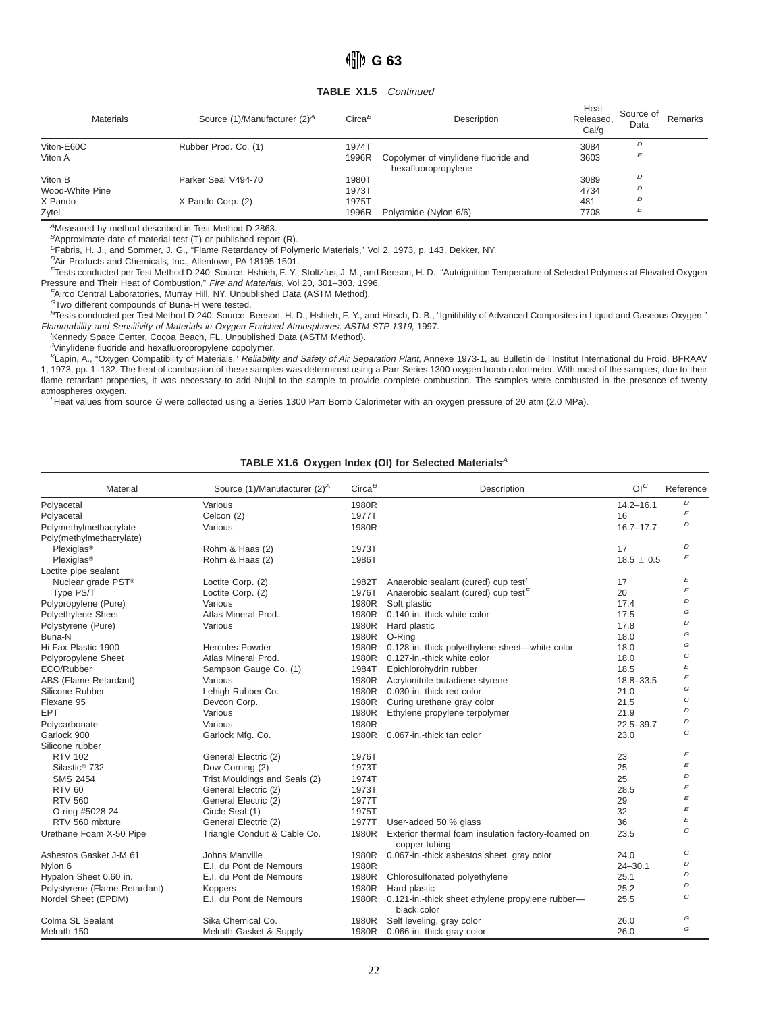**TABLE X1.5** Continued

| <b>Materials</b> | Source (1)/Manufacturer (2) <sup>A</sup> | $Circa^B$ | Description                                                 | Heat<br>Released,<br>Cal/q | Source of<br>Data | Remarks |
|------------------|------------------------------------------|-----------|-------------------------------------------------------------|----------------------------|-------------------|---------|
| Viton-E60C       | Rubber Prod. Co. (1)                     | 1974T     |                                                             | 3084                       | D                 |         |
| Viton A          |                                          | 1996R     | Copolymer of vinylidene fluoride and<br>hexafluoropropylene | 3603                       | E                 |         |
| Viton B          | Parker Seal V494-70                      | 1980T     |                                                             | 3089                       | D                 |         |
| Wood-White Pine  |                                          | 1973T     |                                                             | 4734                       | D                 |         |
| X-Pando          | X-Pando Corp. (2)                        | 1975T     |                                                             | 481                        | D                 |         |
| Zytel            |                                          | 1996R     | Polyamide (Nylon 6/6)                                       | 7708                       | E                 |         |

<sup>A</sup>Measured by method described in Test Method D 2863.

 $B$ Approximate date of material test (T) or published report (R).

<sup>C</sup>Fabris, H. J., and Sommer, J. G., "Flame Retardancy of Polymeric Materials," Vol 2, 1973, p. 143, Dekker, NY.

<sup>D</sup>Air Products and Chemicals, Inc., Allentown, PA 18195-1501.

<sup>E</sup>Tests conducted per Test Method D 240. Source: Hshieh, F.-Y., Stoltzfus, J. M., and Beeson, H. D., "Autoignition Temperature of Selected Polymers at Elevated Oxygen Pressure and Their Heat of Combustion," Fire and Materials, Vol 20, 301-303, 1996.

<sup>F</sup>Airco Central Laboratories, Murray Hill, NY. Unpublished Data (ASTM Method).

<sup>G</sup>Two different compounds of Buna-H were tested.

HTests conducted per Test Method D 240. Source: Beeson, H. D., Hshieh, F.-Y., and Hirsch, D. B., "Ignitibility of Advanced Composites in Liquid and Gaseous Oxygen," Flammability and Sensitivity of Materials in Oxygen-Enriched Atmospheres, ASTM STP 1319, 1997.

Kennedy Space Center, Cocoa Beach, FL. Unpublished Data (ASTM Method).

<sup>J</sup>Vinylidene fluoride and hexafluoropropylene copolymer.

KLapin, A., "Oxygen Compatibility of Materials," Reliability and Safety of Air Separation Plant, Annexe 1973-1, au Bulletin de l'Institut International du Froid, BFRAAV 1, 1973, pp. 1–132. The heat of combustion of these samples was determined using a Parr Series 1300 oxygen bomb calorimeter. With most of the samples, due to their flame retardant properties, it was necessary to add Nujol to the sample to provide complete combustion. The samples were combusted in the presence of twenty atmospheres oxygen.

<sup>L</sup>Heat values from source G were collected using a Series 1300 Parr Bomb Calorimeter with an oxygen pressure of 20 atm (2.0 MPa).

#### TABLE X1.6 Oxygen Index (OI) for Selected Materials<sup>A</sup>

| Material                       | Source (1)/Manufacturer (2) <sup>A</sup> | Circa <sup>B</sup> | Description                                                         | O <sup>C</sup> | Reference      |
|--------------------------------|------------------------------------------|--------------------|---------------------------------------------------------------------|----------------|----------------|
| Polyacetal                     | Various                                  | 1980R              |                                                                     | $14.2 - 16.1$  | D              |
| Polyacetal                     | Celcon (2)                               | 1977T              |                                                                     | 16             | E              |
| Polymethylmethacrylate         | Various                                  | 1980R              |                                                                     | $16.7 - 17.7$  | D              |
| Poly(methylmethacrylate)       |                                          |                    |                                                                     |                |                |
| Plexiglas <sup>®</sup>         | Rohm & Haas (2)                          | 1973T              |                                                                     | 17             | D              |
| Plexiglas <sup>®</sup>         | Rohm & Haas (2)                          | 1986T              |                                                                     | $18.5 \pm 0.5$ | F              |
| Loctite pipe sealant           |                                          |                    |                                                                     |                |                |
| Nuclear grade PST <sup>®</sup> | Loctite Corp. (2)                        | 1982T              | Anaerobic sealant (cured) cup test <sup><math>F</math></sup>        | 17             | E              |
| Type PS/T                      | Loctite Corp. (2)                        | 1976T              | Anaerobic sealant (cured) cup test <sup>F</sup>                     | 20             | E              |
| Polypropylene (Pure)           | Various                                  | 1980R              | Soft plastic                                                        | 17.4           | D              |
| Polyethylene Sheet             | Atlas Mineral Prod.                      | 1980R              | 0.140-in.-thick white color                                         | 17.5           | G              |
| Polystyrene (Pure)             | Various                                  | 1980R              | Hard plastic                                                        | 17.8           | D              |
| Buna-N                         |                                          | 1980R              | O-Ring                                                              | 18.0           | G              |
| Hi Fax Plastic 1900            | <b>Hercules Powder</b>                   | 1980R              | 0.128-in.-thick polyethylene sheet-white color                      | 18.0           | G              |
| Polypropylene Sheet            | Atlas Mineral Prod.                      | 1980R              | 0.127-in.-thick white color                                         | 18.0           | G              |
| ECO/Rubber                     | Sampson Gauge Co. (1)                    | 1984T              | Epichlorohydrin rubber                                              | 18.5           | E              |
| ABS (Flame Retardant)          | Various                                  | 1980R              | Acrylonitrile-butadiene-styrene                                     | 18.8-33.5      | E              |
| Silicone Rubber                | Lehigh Rubber Co.                        | 1980R              | 0.030-in.-thick red color                                           | 21.0           | G              |
| Flexane 95                     | Devcon Corp.                             | 1980R              | Curing urethane gray color                                          | 21.5           | G              |
| EPT                            | Various                                  | 1980R              | Ethylene propylene terpolymer                                       | 21.9           | D              |
| Polycarbonate                  | Various                                  | 1980R              |                                                                     | $22.5 - 39.7$  | D              |
| Garlock 900                    | Garlock Mfg. Co.                         | 1980R              | 0.067-in.-thick tan color                                           | 23.0           | G              |
| Silicone rubber                |                                          |                    |                                                                     |                |                |
| <b>RTV 102</b>                 | General Electric (2)                     | 1976T              |                                                                     | 23             | E              |
| Silastic <sup>®</sup> 732      | Dow Corning (2)                          | 1973T              |                                                                     | 25             | E              |
| <b>SMS 2454</b>                | Trist Mouldings and Seals (2)            | 1974T              |                                                                     | 25             | D              |
| <b>RTV 60</b>                  | General Electric (2)                     | 1973T              |                                                                     | 28.5           | E              |
| <b>RTV 560</b>                 | General Electric (2)                     | 1977T              |                                                                     | 29             | E              |
| O-ring #5028-24                | Circle Seal (1)                          | 1975T              |                                                                     | 32             | E              |
| RTV 560 mixture                | General Electric (2)                     | 1977T              | User-added 50 % glass                                               | 36             | E              |
| Urethane Foam X-50 Pipe        | Triangle Conduit & Cable Co.             | 1980R              | Exterior thermal foam insulation factory-foamed on<br>copper tubing | 23.5           | G              |
| Asbestos Gasket J-M 61         | Johns Manville                           | 1980R              | 0.067-in.-thick asbestos sheet, gray color                          | 24.0           | G              |
| Nylon 6                        | E.I. du Pont de Nemours                  | 1980R              |                                                                     | $24 - 30.1$    | D              |
| Hypalon Sheet 0.60 in.         | E.I. du Pont de Nemours                  | 1980R              | Chlorosulfonated polyethylene                                       | 25.1           | D              |
| Polystyrene (Flame Retardant)  | Koppers                                  | 1980R              | Hard plastic                                                        | 25.2           | $\overline{D}$ |
| Nordel Sheet (EPDM)            | E.I. du Pont de Nemours                  | 1980R              | 0.121-in.-thick sheet ethylene propylene rubber-<br>black color     | 25.5           | G              |
| Colma SL Sealant               | Sika Chemical Co.                        | 1980R              | Self leveling, gray color                                           | 26.0           | G              |
| Melrath 150                    | Melrath Gasket & Supply                  |                    | 1980R 0.066-in.-thick gray color                                    | 26.0           | G              |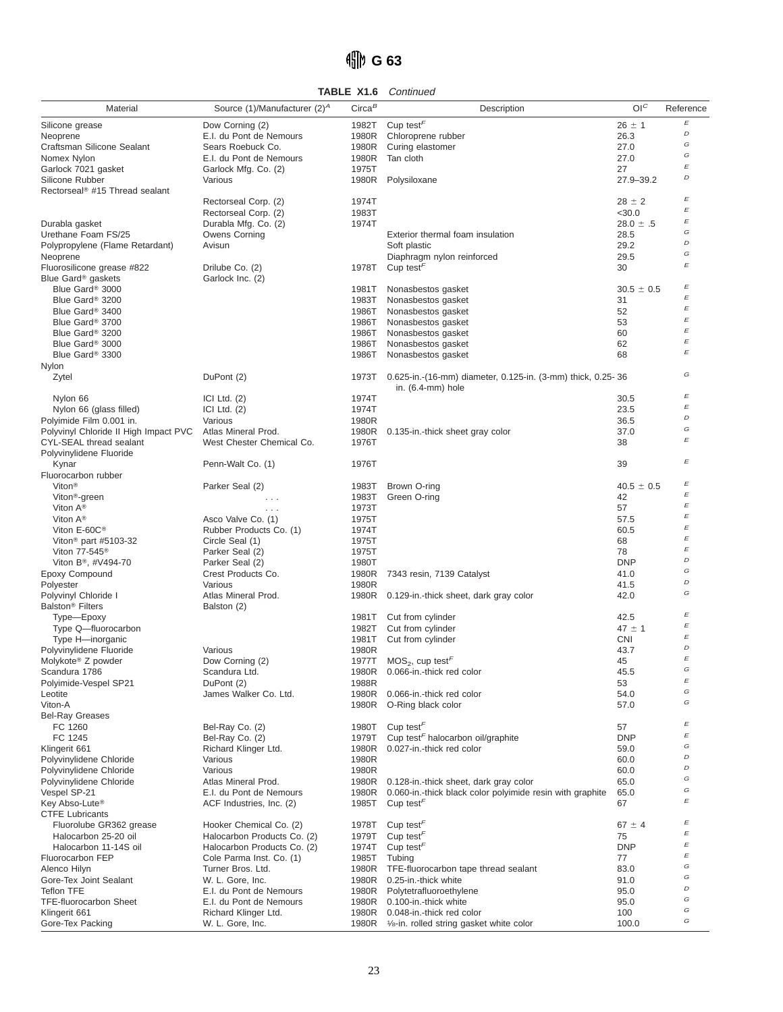# **G 63**

**TABLE X1.6** Continued

| Material                                        | Source (1)/Manufacturer (2) <sup>A</sup>      | $Circa^B$      | Description                                                                                     | O <sup>C</sup> | Reference                      |
|-------------------------------------------------|-----------------------------------------------|----------------|-------------------------------------------------------------------------------------------------|----------------|--------------------------------|
| Silicone grease                                 | Dow Corning (2)                               | 1982T          | Cup test $\sqrt{r}$                                                                             | $26 \pm 1$     | E                              |
| Neoprene                                        | E.I. du Pont de Nemours                       | 1980R          | Chloroprene rubber                                                                              | 26.3           | D                              |
| Craftsman Silicone Sealant                      | Sears Roebuck Co.                             | 1980R          | Curing elastomer                                                                                | 27.0           | G                              |
| Nomex Nylon                                     | E.I. du Pont de Nemours                       | 1980R          | Tan cloth                                                                                       | 27.0           | G                              |
| Garlock 7021 gasket                             | Garlock Mfg. Co. (2)                          | 1975T          |                                                                                                 | 27             | E                              |
| Silicone Rubber                                 | Various                                       | 1980R          | Polysiloxane                                                                                    | $27.9 - 39.2$  | D                              |
| Rectorseal <sup>®</sup> #15 Thread sealant      |                                               |                |                                                                                                 |                |                                |
|                                                 | Rectorseal Corp. (2)                          | 1974T          |                                                                                                 | $28 \pm 2$     | E                              |
|                                                 | Rectorseal Corp. (2)                          | 1983T          |                                                                                                 | < 30.0         | E<br>E                         |
| Durabla gasket                                  | Durabla Mfg. Co. (2)                          | 1974T          |                                                                                                 | $28.0 \pm .5$  | G                              |
| Urethane Foam FS/25                             | Owens Corning                                 |                | Exterior thermal foam insulation                                                                | 28.5           | D                              |
| Polypropylene (Flame Retardant)                 | Avisun                                        |                | Soft plastic                                                                                    | 29.2<br>29.5   | G                              |
| Neoprene<br>Fluorosilicone grease #822          | Drilube Co. (2)                               | 1978T          | Diaphragm nylon reinforced<br>Cup test <sup><math>\vdash</math></sup>                           | 30             | E                              |
| Blue Gard <sup>®</sup> gaskets                  | Garlock Inc. (2)                              |                |                                                                                                 |                |                                |
| Blue Gard <sup>®</sup> 3000                     |                                               | 1981T          | Nonasbestos gasket                                                                              | $30.5 \pm 0.5$ | E                              |
| Blue Gard <sup>®</sup> 3200                     |                                               | 1983T          | Nonasbestos gasket                                                                              | 31             | E                              |
| Blue Gard <sup>®</sup> 3400                     |                                               | 1986T          | Nonasbestos gasket                                                                              | 52             | E                              |
| Blue Gard <sup>®</sup> 3700                     |                                               | 1986T          | Nonasbestos gasket                                                                              | 53             | $\boldsymbol{\mathsf{E}}$      |
| Blue Gard <sup>®</sup> 3200                     |                                               | 1986T          | Nonasbestos gasket                                                                              | 60             | $\boldsymbol{\mathit{E}}$      |
| Blue Gard <sup>®</sup> 3000                     |                                               | 1986T          | Nonasbestos gasket                                                                              | 62             | E                              |
| Blue Gard <sup>®</sup> 3300                     |                                               | 1986T          | Nonasbestos gasket                                                                              | 68             | E                              |
| Nylon                                           |                                               |                |                                                                                                 |                | G                              |
| Zytel                                           | DuPont (2)                                    | 1973T          | 0.625-in.-(16-mm) diameter, 0.125-in. (3-mm) thick, 0.25-36<br>in. (6.4-mm) hole                |                |                                |
| Nylon 66                                        | ICI Ltd. $(2)$                                | 1974T          |                                                                                                 | 30.5           | $\boldsymbol{\mathit{E}}$      |
| Nylon 66 (glass filled)                         | ICI Ltd. $(2)$                                | 1974T          |                                                                                                 | 23.5           | E                              |
| Polyimide Film 0.001 in.                        | Various                                       | 1980R          |                                                                                                 | 36.5           | D                              |
| Polyvinyl Chloride II High Impact PVC           | Atlas Mineral Prod.                           | 1980R          | 0.135-in.-thick sheet gray color                                                                | 37.0           | G                              |
| CYL-SEAL thread sealant                         | West Chester Chemical Co.                     | 1976T          |                                                                                                 | 38             | $\boldsymbol{\mathit{E}}$      |
| Polyvinylidene Fluoride                         |                                               |                |                                                                                                 |                |                                |
| Kynar                                           | Penn-Walt Co. (1)                             | 1976T          |                                                                                                 | 39             | E                              |
| Fluorocarbon rubber                             |                                               |                |                                                                                                 |                |                                |
| Viton <sup>®</sup>                              | Parker Seal (2)                               | 1983T          | Brown O-ring                                                                                    | $40.5 \pm 0.5$ | E<br>E                         |
| Viton <sup>®</sup> -green                       | .                                             | 1983T          | Green O-ring                                                                                    | 42             | E                              |
| Viton A <sup>®</sup><br>Viton $A^*$             |                                               | 1973T<br>1975T |                                                                                                 | 57             | E                              |
| Viton E-60C <sup>®</sup>                        | Asco Valve Co. (1)<br>Rubber Products Co. (1) | 1974T          |                                                                                                 | 57.5<br>60.5   | E                              |
| Viton <sup>®</sup> part #5103-32                | Circle Seal (1)                               | 1975T          |                                                                                                 | 68             | $\boldsymbol{\mathsf{E}}$      |
| Viton 77-545 <sup>®</sup>                       | Parker Seal (2)                               | 1975T          |                                                                                                 | 78             | $\boldsymbol{\mathit{E}}$      |
| Viton B <sup>®</sup> , #V494-70                 | Parker Seal (2)                               | 1980T          |                                                                                                 | <b>DNP</b>     | D                              |
| Epoxy Compound                                  | Crest Products Co.                            | 1980R          | 7343 resin, 7139 Catalyst                                                                       | 41.0           | G                              |
| Polyester                                       | Various                                       | 1980R          |                                                                                                 | 41.5           | D                              |
| Polyvinyl Chloride I                            | Atlas Mineral Prod.                           | 1980R          | 0.129-in.-thick sheet, dark gray color                                                          | 42.0           | G                              |
| Balston <sup>®</sup> Filters                    | Balston (2)                                   |                |                                                                                                 |                |                                |
| Type-Epoxy                                      |                                               | 1981T          | Cut from cylinder                                                                               | 42.5           | E                              |
| Type Q-fluorocarbon                             |                                               | 1982T          | Cut from cylinder                                                                               | $47 \pm 1$     | $\boldsymbol{\mathit{E}}$<br>E |
| Type H-inorganic                                |                                               | 1981T          | Cut from cylinder                                                                               | CNI            | D                              |
| Polyvinylidene Fluoride                         | Various                                       | 1980R          |                                                                                                 | 43.7           | E                              |
| Molykote <sup>®</sup> Z powder<br>Scandura 1786 | Dow Corning (2)<br>Scandura Ltd.              | 1977T          | $MOS_2$ , cup test <sup>F</sup>                                                                 | 45<br>45.5     | $\mathcal{L}$                  |
| Polyimide-Vespel SP21                           | DuPont (2)                                    | 1980R<br>1988R | 0.066-in.-thick red color                                                                       | 53             | $\boldsymbol{\mathit{E}}$      |
| Leotite                                         | James Walker Co. Ltd.                         | 1980R          | 0.066-in.-thick red color                                                                       | 54.0           | G                              |
| Viton-A                                         |                                               | 1980R          | O-Ring black color                                                                              | 57.0           | G                              |
| <b>Bel-Ray Greases</b>                          |                                               |                |                                                                                                 |                |                                |
| FC 1260                                         | Bel-Ray Co. (2)                               | 1980T          | Cup test $\sqrt{F}$                                                                             | 57             | $\boldsymbol{\mathit{E}}$      |
| FC 1245                                         | Bel-Ray Co. (2)                               | 1979T          | Cup test <sup>F</sup> halocarbon oil/graphite                                                   | <b>DNP</b>     | $\boldsymbol{\mathit{E}}$      |
| Klingerit 661                                   | Richard Klinger Ltd.                          | 1980R          | 0.027-in.-thick red color                                                                       | 59.0           | G                              |
| Polyvinylidene Chloride                         | Various                                       | 1980R          |                                                                                                 | 60.0           | D<br>D                         |
| Polyvinylidene Chloride                         | Various                                       | 1980R          |                                                                                                 | 60.0           | G                              |
| Polyvinylidene Chloride                         | Atlas Mineral Prod.                           | 1980R          | 0.128-in.-thick sheet, dark gray color                                                          | 65.0           | G                              |
| Vespel SP-21<br>Key Abso-Lute <sup>®</sup>      | E.I. du Pont de Nemours                       | 1980R<br>1985T | 0.060-in.-thick black color polyimide resin with graphite<br>Cup test <sup><math>F</math></sup> | 65.0<br>67     | E                              |
| <b>CTFE Lubricants</b>                          | ACF Industries, Inc. (2)                      |                |                                                                                                 |                |                                |
| Fluorolube GR362 grease                         | Hooker Chemical Co. (2)                       | 1978T          | Cup test <sup><math>F</math></sup>                                                              | $67 \pm 4$     | E                              |
| Halocarbon 25-20 oil                            | Halocarbon Products Co. (2)                   | 1979T          | Cup test <sup><math>F</math></sup>                                                              | 75             | E                              |
| Halocarbon 11-14S oil                           | Halocarbon Products Co. (2)                   | 1974T          | Cup test <sup><math>F</math></sup>                                                              | <b>DNP</b>     | $\boldsymbol{\mathit{E}}$      |
| Fluorocarbon FEP                                | Cole Parma Inst. Co. (1)                      | 1985T          | Tubing                                                                                          | 77             | E                              |
| Alenco Hilyn                                    | Turner Bros. Ltd.                             | 1980R          | TFE-fluorocarbon tape thread sealant                                                            | 83.0           | G                              |
| Gore-Tex Joint Sealant                          | W. L. Gore, Inc.                              | 1980R          | 0.25-in.-thick white                                                                            | 91.0           | G                              |
| <b>Teflon TFE</b>                               | E.I. du Pont de Nemours                       | 1980R          | Polytetrafluoroethylene                                                                         | 95.0           | D                              |
| <b>TFE-fluorocarbon Sheet</b>                   | E.I. du Pont de Nemours                       | 1980R          | 0.100-in.-thick white                                                                           | 95.0           | G<br>G                         |
| Klingerit 661                                   | Richard Klinger Ltd.                          | 1980R          | 0.048-in.-thick red color                                                                       | 100            | G                              |
| Gore-Tex Packing                                | W. L. Gore, Inc.                              | 1980R          | 1/8-in. rolled string gasket white color                                                        | 100.0          |                                |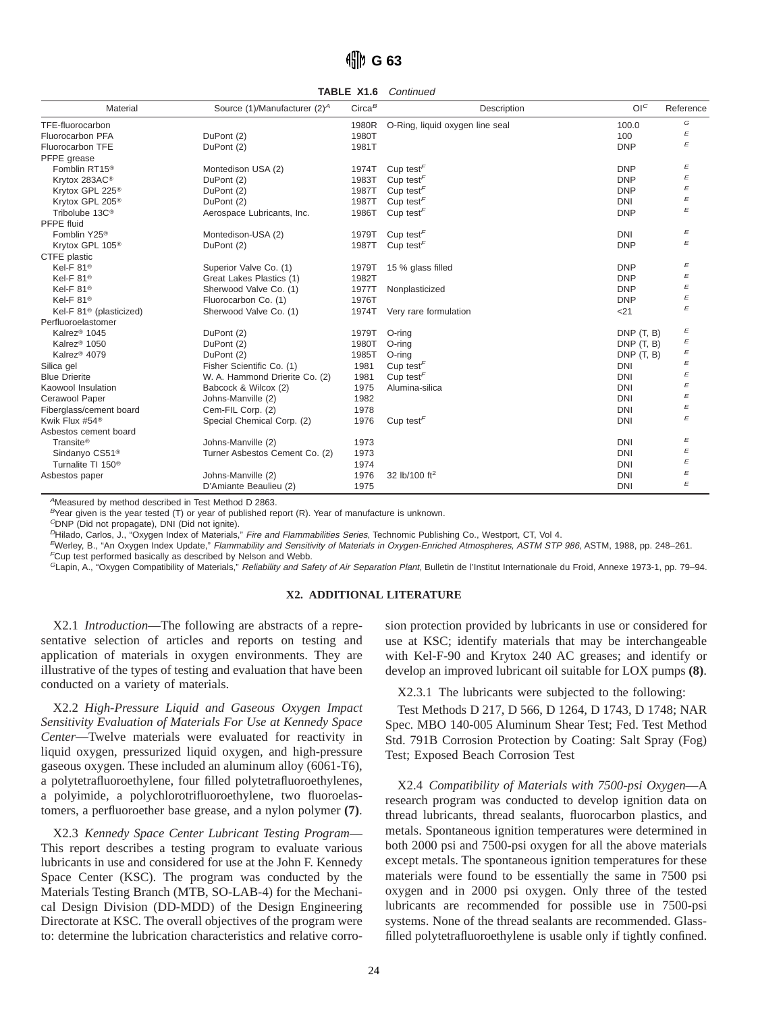### *fill* G 63

**TABLE X1.6** Continued

| Material                            | Source (1)/Manufacturer (2) <sup>A</sup> | $Circa^B$ | Description                               | O <sup>C</sup> | Reference |
|-------------------------------------|------------------------------------------|-----------|-------------------------------------------|----------------|-----------|
| TFE-fluorocarbon                    |                                          | 1980R     | O-Ring, liquid oxygen line seal           | 100.0          | G         |
| Fluorocarbon PFA                    | DuPont (2)                               | 1980T     |                                           | 100            | E         |
| Fluorocarbon TFE                    | DuPont (2)                               | 1981T     |                                           | <b>DNP</b>     | E         |
| PFPE grease                         |                                          |           |                                           |                |           |
| Fomblin RT15 <sup>®</sup>           | Montedison USA (2)                       | 1974T     | Cup test <sup><math>\sqrt{r}</math></sup> | <b>DNP</b>     | E         |
| Krytox 283AC <sup>®</sup>           | DuPont (2)                               | 1983T     | Cup test <sup><math>F</math></sup>        | <b>DNP</b>     | E         |
| Krytox GPL 225 <sup>®</sup>         | DuPont (2)                               | 1987T     | Cup test <sup><math>F</math></sup>        | <b>DNP</b>     | E         |
| Krytox GPL 205 <sup>®</sup>         | DuPont (2)                               | 1987T     | Cup test <sup><math>F</math></sup>        | <b>DNI</b>     | E         |
| Tribolube 13C <sup>®</sup>          | Aerospace Lubricants, Inc.               | 1986T     | Cup test $\sqrt{r}$                       | <b>DNP</b>     | E         |
| PFPE fluid                          |                                          |           |                                           |                |           |
| Fomblin Y25 <sup>®</sup>            | Montedison-USA (2)                       | 1979T     | Cup test <sup><math>F</math></sup>        | <b>DNI</b>     | E         |
| Krytox GPL 105 <sup>®</sup>         | DuPont (2)                               | 1987T     | Cup test $\sqrt{r}$                       | <b>DNP</b>     | E         |
| CTFE plastic                        |                                          |           |                                           |                |           |
| Kel-F 81 <sup>®</sup>               | Superior Valve Co. (1)                   | 1979T     | 15 % glass filled                         | <b>DNP</b>     | E         |
| Kel-F 81 <sup>®</sup>               | Great Lakes Plastics (1)                 | 1982T     |                                           | <b>DNP</b>     | E         |
| Kel-F $81^\circ$                    | Sherwood Valve Co. (1)                   | 1977T     | Nonplasticized                            | <b>DNP</b>     | E         |
| Kel-F $81^\circ$                    | Fluorocarbon Co. (1)                     | 1976T     |                                           | <b>DNP</b>     | E         |
| Kel-F 81 <sup>®</sup> (plasticized) | Sherwood Valve Co. (1)                   | 1974T     | Very rare formulation                     | < 21           | E         |
| Perfluoroelastomer                  |                                          |           |                                           |                |           |
| Kalrez <sup>®</sup> 1045            | DuPont (2)                               | 1979T     | O-ring                                    | DNP(T, B)      | E         |
| Kalrez <sup>®</sup> 1050            | DuPont (2)                               | 1980T     | O-rina                                    | DNP(T, B)      | E         |
| Kalrez <sup>®</sup> 4079            | DuPont (2)                               | 1985T     | O-rina                                    | DNP(T, B)      | E         |
| Silica gel                          | Fisher Scientific Co. (1)                | 1981      | Cup test <sup><math>F</math></sup>        | <b>DNI</b>     | E         |
| <b>Blue Drierite</b>                | W. A. Hammond Drierite Co. (2)           | 1981      | Cup test <sup><math>F</math></sup>        | <b>DNI</b>     | E         |
| Kaowool Insulation                  | Babcock & Wilcox (2)                     | 1975      | Alumina-silica                            | <b>DNI</b>     | E         |
| Cerawool Paper                      | Johns-Manville (2)                       | 1982      |                                           | <b>DNI</b>     | E         |
| Fiberglass/cement board             | Cem-FIL Corp. (2)                        | 1978      |                                           | <b>DNI</b>     | E         |
| Kwik Flux #54 <sup>®</sup>          | Special Chemical Corp. (2)               | 1976      | Cup test <sup><math>F</math></sup>        | <b>DNI</b>     | E         |
| Asbestos cement board               |                                          |           |                                           |                |           |
| Transite <sup>®</sup>               | Johns-Manville (2)                       | 1973      |                                           | <b>DNI</b>     | E         |
| Sindanyo CS51 <sup>®</sup>          | Turner Asbestos Cement Co. (2)           | 1973      |                                           | <b>DNI</b>     | E         |
| Turnalite TI 150 <sup>®</sup>       |                                          | 1974      |                                           | <b>DNI</b>     | E         |
| Asbestos paper                      | Johns-Manville (2)                       | 1976      | 32 lb/100 ft <sup>2</sup>                 | <b>DNI</b>     | E         |
|                                     | D'Amiante Beaulieu (2)                   | 1975      |                                           | <b>DNI</b>     | E         |

<sup>A</sup>Measured by method described in Test Method D 2863.

 $B$ Year given is the year tested (T) or year of published report (R). Year of manufacture is unknown.

 $^C$ DNP (Did not propagate), DNI (Did not ignite).

PHilado, Carlos, J., "Oxygen Index of Materials," Fire and Flammabilities Series, Technomic Publishing Co., Westport, CT, Vol 4.

<sup>E</sup>Werley, B., "An Oxygen Index Update," Flammability and Sensitivity of Materials in Oxygen-Enriched Atmospheres, ASTM STP <sup>986</sup>, ASTM, 1988, pp. 248–261. <sup>F</sup>Cup test performed basically as described by Nelson and Webb.

<sup>G</sup>Lapin, A., "Oxygen Compatibility of Materials," Reliability and Safety of Air Separation Plant, Bulletin de l'Institut Internationale du Froid, Annexe 1973-1, pp. 79–94.

#### **X2. ADDITIONAL LITERATURE**

X2.1 *Introduction*—The following are abstracts of a representative selection of articles and reports on testing and application of materials in oxygen environments. They are illustrative of the types of testing and evaluation that have been conducted on a variety of materials.

X2.2 *High-Pressure Liquid and Gaseous Oxygen Impact Sensitivity Evaluation of Materials For Use at Kennedy Space Center*—Twelve materials were evaluated for reactivity in liquid oxygen, pressurized liquid oxygen, and high-pressure gaseous oxygen. These included an aluminum alloy (6061-T6), a polytetrafluoroethylene, four filled polytetrafluoroethylenes, a polyimide, a polychlorotrifluoroethylene, two fluoroelastomers, a perfluoroether base grease, and a nylon polymer **(7)**.

X2.3 *Kennedy Space Center Lubricant Testing Program*— This report describes a testing program to evaluate various lubricants in use and considered for use at the John F. Kennedy Space Center (KSC). The program was conducted by the Materials Testing Branch (MTB, SO-LAB-4) for the Mechanical Design Division (DD-MDD) of the Design Engineering Directorate at KSC. The overall objectives of the program were to: determine the lubrication characteristics and relative corrosion protection provided by lubricants in use or considered for use at KSC; identify materials that may be interchangeable with Kel-F-90 and Krytox 240 AC greases; and identify or develop an improved lubricant oil suitable for LOX pumps **(8)**.

X2.3.1 The lubricants were subjected to the following:

Test Methods D 217, D 566, D 1264, D 1743, D 1748; NAR Spec. MBO 140-005 Aluminum Shear Test; Fed. Test Method Std. 791B Corrosion Protection by Coating: Salt Spray (Fog) Test; Exposed Beach Corrosion Test

X2.4 *Compatibility of Materials with 7500-psi Oxygen*—A research program was conducted to develop ignition data on thread lubricants, thread sealants, fluorocarbon plastics, and metals. Spontaneous ignition temperatures were determined in both 2000 psi and 7500-psi oxygen for all the above materials except metals. The spontaneous ignition temperatures for these materials were found to be essentially the same in 7500 psi oxygen and in 2000 psi oxygen. Only three of the tested lubricants are recommended for possible use in 7500-psi systems. None of the thread sealants are recommended. Glassfilled polytetrafluoroethylene is usable only if tightly confined.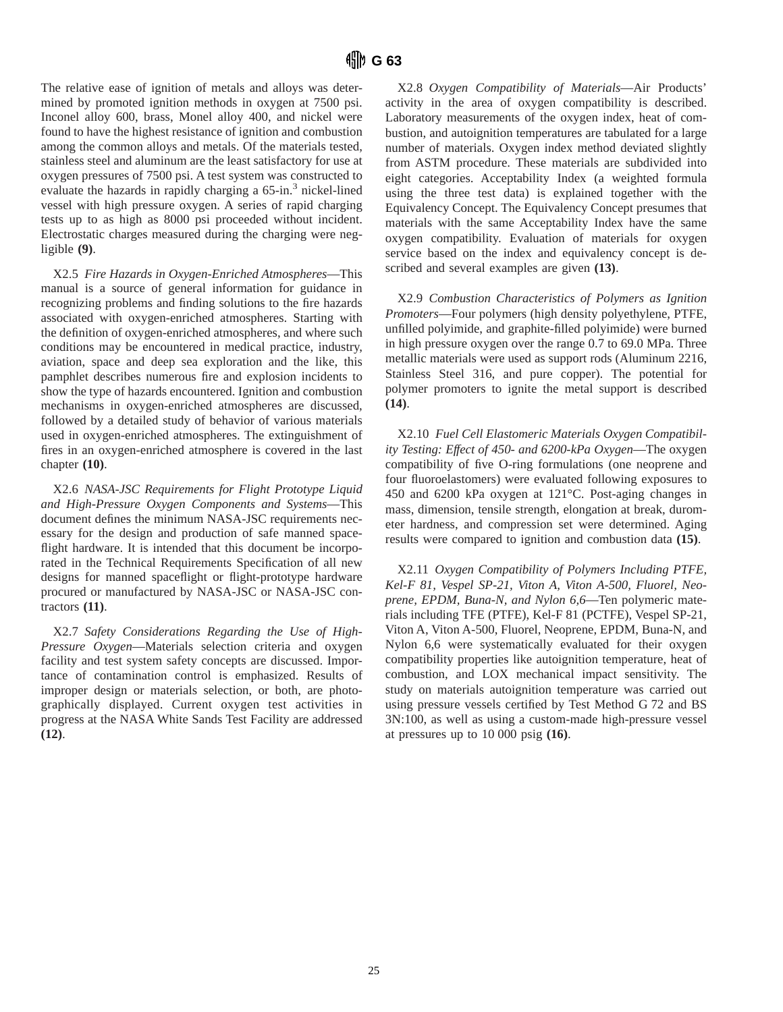The relative ease of ignition of metals and alloys was determined by promoted ignition methods in oxygen at 7500 psi. Inconel alloy 600, brass, Monel alloy 400, and nickel were found to have the highest resistance of ignition and combustion among the common alloys and metals. Of the materials tested, stainless steel and aluminum are the least satisfactory for use at oxygen pressures of 7500 psi. A test system was constructed to evaluate the hazards in rapidly charging a  $65$ -in.<sup>3</sup> nickel-lined vessel with high pressure oxygen. A series of rapid charging tests up to as high as 8000 psi proceeded without incident. Electrostatic charges measured during the charging were negligible **(9)**.

X2.5 *Fire Hazards in Oxygen-Enriched Atmospheres*—This manual is a source of general information for guidance in recognizing problems and finding solutions to the fire hazards associated with oxygen-enriched atmospheres. Starting with the definition of oxygen-enriched atmospheres, and where such conditions may be encountered in medical practice, industry, aviation, space and deep sea exploration and the like, this pamphlet describes numerous fire and explosion incidents to show the type of hazards encountered. Ignition and combustion mechanisms in oxygen-enriched atmospheres are discussed, followed by a detailed study of behavior of various materials used in oxygen-enriched atmospheres. The extinguishment of fires in an oxygen-enriched atmosphere is covered in the last chapter **(10)**.

X2.6 *NASA-JSC Requirements for Flight Prototype Liquid and High-Pressure Oxygen Components and Systems*—This document defines the minimum NASA-JSC requirements necessary for the design and production of safe manned spaceflight hardware. It is intended that this document be incorporated in the Technical Requirements Specification of all new designs for manned spaceflight or flight-prototype hardware procured or manufactured by NASA-JSC or NASA-JSC contractors **(11)**.

X2.7 *Safety Considerations Regarding the Use of High-Pressure Oxygen*—Materials selection criteria and oxygen facility and test system safety concepts are discussed. Importance of contamination control is emphasized. Results of improper design or materials selection, or both, are photographically displayed. Current oxygen test activities in progress at the NASA White Sands Test Facility are addressed **(12)**.

X2.8 *Oxygen Compatibility of Materials*—Air Products' activity in the area of oxygen compatibility is described. Laboratory measurements of the oxygen index, heat of combustion, and autoignition temperatures are tabulated for a large number of materials. Oxygen index method deviated slightly from ASTM procedure. These materials are subdivided into eight categories. Acceptability Index (a weighted formula using the three test data) is explained together with the Equivalency Concept. The Equivalency Concept presumes that materials with the same Acceptability Index have the same oxygen compatibility. Evaluation of materials for oxygen service based on the index and equivalency concept is described and several examples are given **(13)**.

X2.9 *Combustion Characteristics of Polymers as Ignition Promoters*—Four polymers (high density polyethylene, PTFE, unfilled polyimide, and graphite-filled polyimide) were burned in high pressure oxygen over the range 0.7 to 69.0 MPa. Three metallic materials were used as support rods (Aluminum 2216, Stainless Steel 316, and pure copper). The potential for polymer promoters to ignite the metal support is described **(14)**.

X2.10 *Fuel Cell Elastomeric Materials Oxygen Compatibility Testing: Effect of 450- and 6200-kPa Oxygen*—The oxygen compatibility of five O-ring formulations (one neoprene and four fluoroelastomers) were evaluated following exposures to 450 and 6200 kPa oxygen at 121°C. Post-aging changes in mass, dimension, tensile strength, elongation at break, durometer hardness, and compression set were determined. Aging results were compared to ignition and combustion data **(15)**.

X2.11 *Oxygen Compatibility of Polymers Including PTFE, Kel-F 81, Vespel SP-21, Viton A, Viton A-500, Fluorel, Neoprene, EPDM, Buna-N, and Nylon 6,6*—Ten polymeric materials including TFE (PTFE), Kel-F 81 (PCTFE), Vespel SP-21, Viton A, Viton A-500, Fluorel, Neoprene, EPDM, Buna-N, and Nylon 6,6 were systematically evaluated for their oxygen compatibility properties like autoignition temperature, heat of combustion, and LOX mechanical impact sensitivity. The study on materials autoignition temperature was carried out using pressure vessels certified by Test Method G 72 and BS 3N:100, as well as using a custom-made high-pressure vessel at pressures up to 10 000 psig **(16)**.